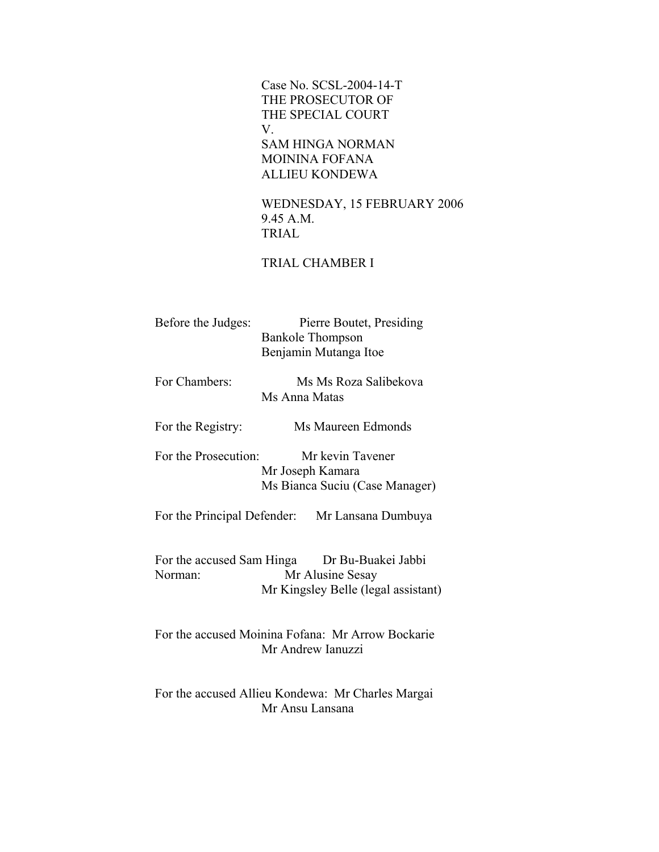Case No. SCSL-2004-14-T THE PROSECUTOR OF THE SPECIAL COURT V. SAM HINGA NORMAN MOININA FOFANA ALLIEU KONDEWA

> WEDNESDAY, 15 FEBRUARY 2006 9.45 A.M. TRIAL

## TRIAL CHAMBER I

| Before the Judges:                   | <b>Bankole Thompson</b> | Pierre Boutet, Presiding<br>Benjamin Mutanga Itoe                             |  |
|--------------------------------------|-------------------------|-------------------------------------------------------------------------------|--|
| For Chambers:                        | Ms Anna Matas           | Ms Ms Roza Salibekova                                                         |  |
| For the Registry:                    |                         | Ms Maureen Edmonds                                                            |  |
| For the Prosecution:                 | Mr Joseph Kamara        | Mr kevin Tavener<br>Ms Bianca Suciu (Case Manager)                            |  |
|                                      |                         | For the Principal Defender: Mr Lansana Dumbuya                                |  |
| For the accused Sam Hinga<br>Norman: |                         | Dr Bu-Buakei Jabbi<br>Mr Alusine Sesay<br>Mr Kingsley Belle (legal assistant) |  |
|                                      | Mr Andrew Ianuzzi       | For the accused Moinina Fofana: Mr Arrow Bockarie                             |  |
|                                      | Mr Ansu Lansana         | For the accused Allieu Kondewa: Mr Charles Margai                             |  |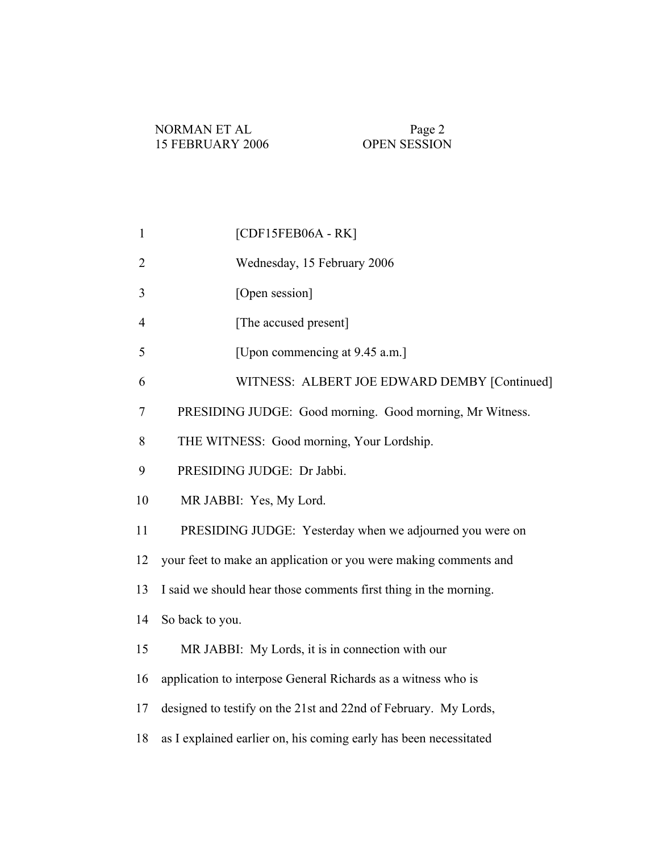- 2 Wednesday, 15 February 2006
- 3 [Open session]
- 4 [The accused present]
- 5 [Upon commencing at 9.45 a.m.]
- 6 WITNESS: ALBERT JOE EDWARD DEMBY [Continued]
- 7 PRESIDING JUDGE: Good morning. Good morning, Mr Witness.
- 8 THE WITNESS: Good morning, Your Lordship.
- 9 PRESIDING JUDGE: Dr Jabbi.
- 10 MR JABBI: Yes, My Lord.
- 11 PRESIDING JUDGE: Yesterday when we adjourned you were on
- 12 your feet to make an application or you were making comments and
- 13 I said we should hear those comments first thing in the morning.
- 14 So back to you.
- 15 MR JABBI: My Lords, it is in connection with our
- 16 application to interpose General Richards as a witness who is
- 17 designed to testify on the 21st and 22nd of February. My Lords,
- 18 as I explained earlier on, his coming early has been necessitated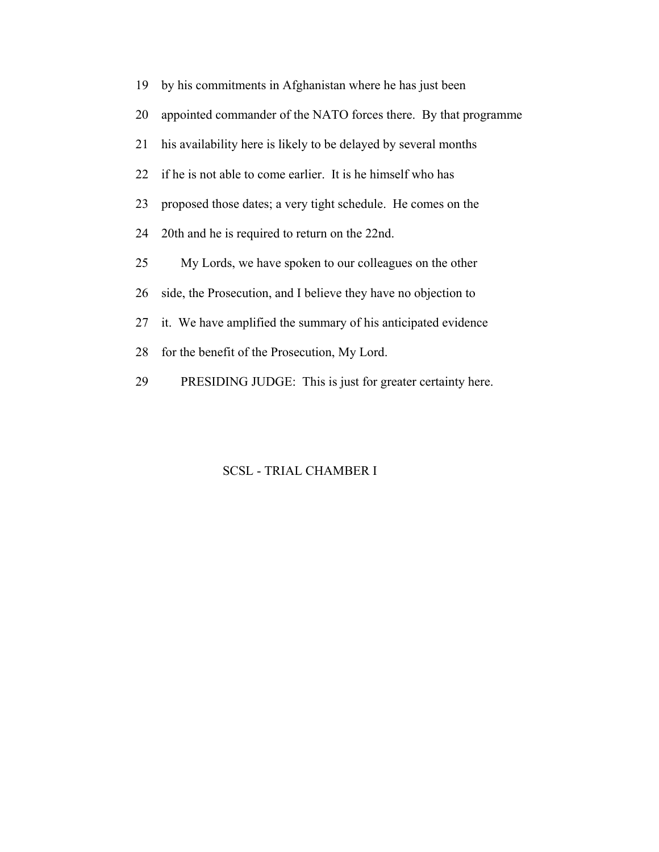| 19 | by his commitments in Afghanistan where he has just been        |
|----|-----------------------------------------------------------------|
| 20 | appointed commander of the NATO forces there. By that programme |
| 21 | his availability here is likely to be delayed by several months |
| 22 | if he is not able to come earlier. It is he himself who has     |
| 23 | proposed those dates; a very tight schedule. He comes on the    |
| 24 | 20th and he is required to return on the 22nd.                  |
| 25 | My Lords, we have spoken to our colleagues on the other         |
| 26 | side, the Prosecution, and I believe they have no objection to  |
| 27 | it. We have amplified the summary of his anticipated evidence   |
| 28 | for the benefit of the Prosecution, My Lord.                    |
| 29 | PRESIDING JUDGE: This is just for greater certainty here.       |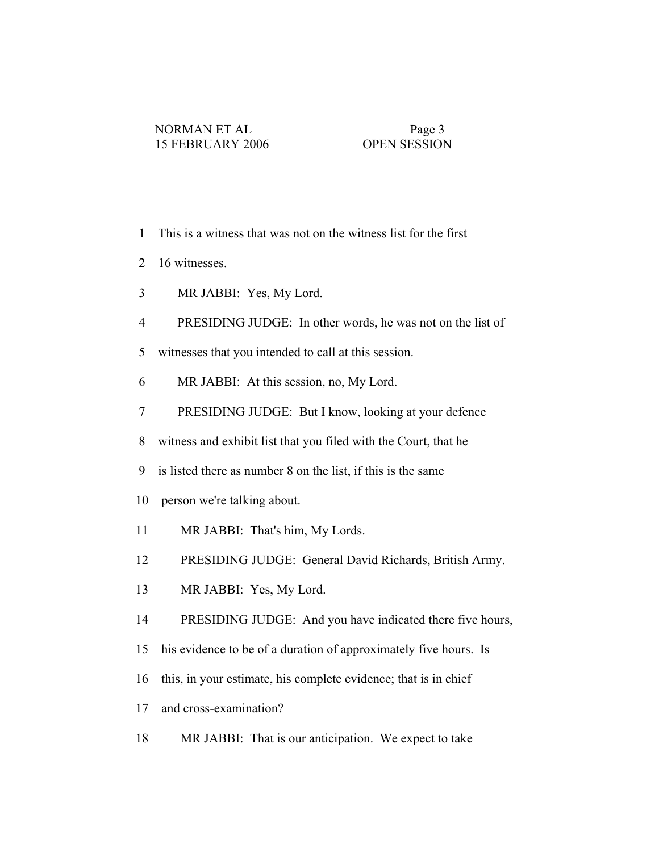- 1 This is a witness that was not on the witness list for the first
- 2 16 witnesses.
- 3 MR JABBI: Yes, My Lord.
- 4 PRESIDING JUDGE: In other words, he was not on the list of
- 5 witnesses that you intended to call at this session.
- 6 MR JABBI: At this session, no, My Lord.
- 7 PRESIDING JUDGE: But I know, looking at your defence
- 8 witness and exhibit list that you filed with the Court, that he
- 9 is listed there as number 8 on the list, if this is the same
- 10 person we're talking about.
- 11 MR JABBI: That's him, My Lords.
- 12 PRESIDING JUDGE: General David Richards, British Army.
- 13 MR JABBI: Yes, My Lord.
- 14 PRESIDING JUDGE: And you have indicated there five hours,
- 15 his evidence to be of a duration of approximately five hours. Is
- 16 this, in your estimate, his complete evidence; that is in chief
- 17 and cross-examination?
- 18 MR JABBI: That is our anticipation. We expect to take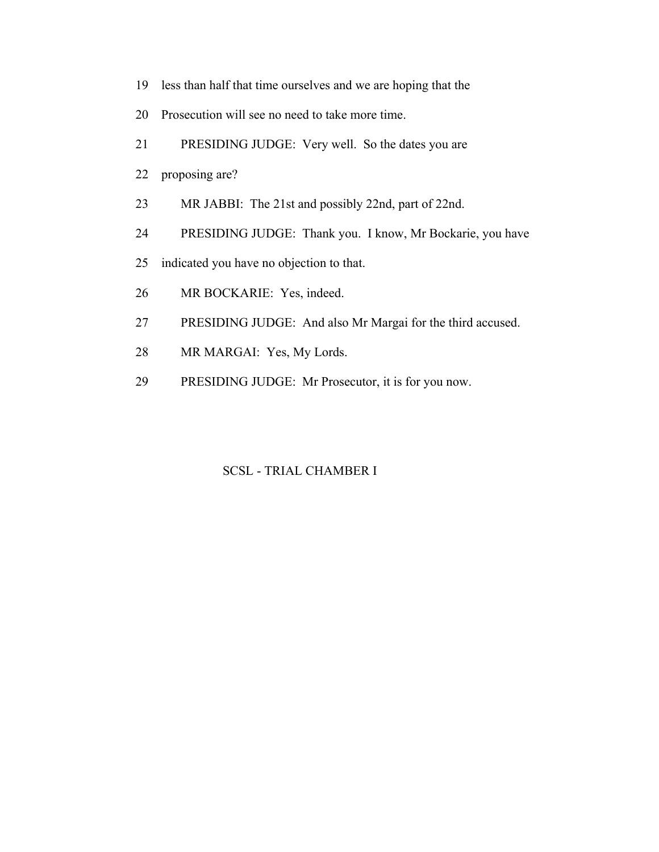- 19 less than half that time ourselves and we are hoping that the
- 20 Prosecution will see no need to take more time.
- 21 PRESIDING JUDGE: Very well. So the dates you are
- 22 proposing are?
- 23 MR JABBI: The 21st and possibly 22nd, part of 22nd.
- 24 PRESIDING JUDGE: Thank you. I know, Mr Bockarie, you have
- 25 indicated you have no objection to that.
- 26 MR BOCKARIE: Yes, indeed.
- 27 PRESIDING JUDGE: And also Mr Margai for the third accused.
- 28 MR MARGAI: Yes, My Lords.
- 29 PRESIDING JUDGE: Mr Prosecutor, it is for you now.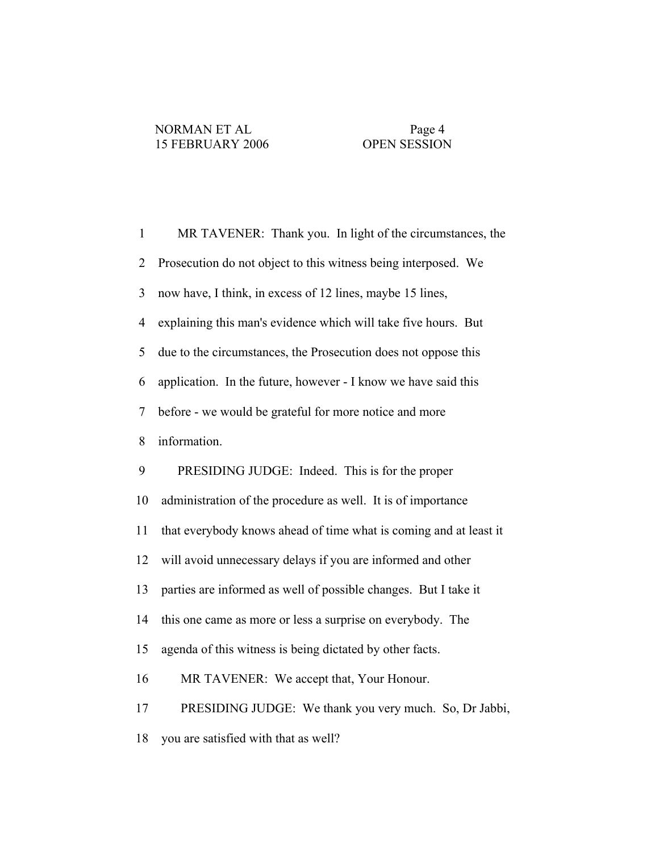| $\mathbf{1}$             | MR TAVENER: Thank you. In light of the circumstances, the         |
|--------------------------|-------------------------------------------------------------------|
| $\overline{2}$           | Prosecution do not object to this witness being interposed. We    |
| 3                        | now have, I think, in excess of 12 lines, maybe 15 lines,         |
| $\overline{4}$           | explaining this man's evidence which will take five hours. But    |
| 5                        | due to the circumstances, the Prosecution does not oppose this    |
| 6                        | application. In the future, however - I know we have said this    |
| $\overline{\mathcal{L}}$ | before - we would be grateful for more notice and more            |
| 8                        | information.                                                      |
| 9                        | PRESIDING JUDGE: Indeed. This is for the proper                   |
| 10                       | administration of the procedure as well. It is of importance      |
| 11                       | that everybody knows ahead of time what is coming and at least it |
| 12                       | will avoid unnecessary delays if you are informed and other       |
| 13                       | parties are informed as well of possible changes. But I take it   |
| 14                       | this one came as more or less a surprise on everybody. The        |
| 15                       | agenda of this witness is being dictated by other facts.          |
| 16                       | MR TAVENER: We accept that, Your Honour.                          |
| 17                       | PRESIDING JUDGE: We thank you very much. So, Dr Jabbi,            |
| 18                       | you are satisfied with that as well?                              |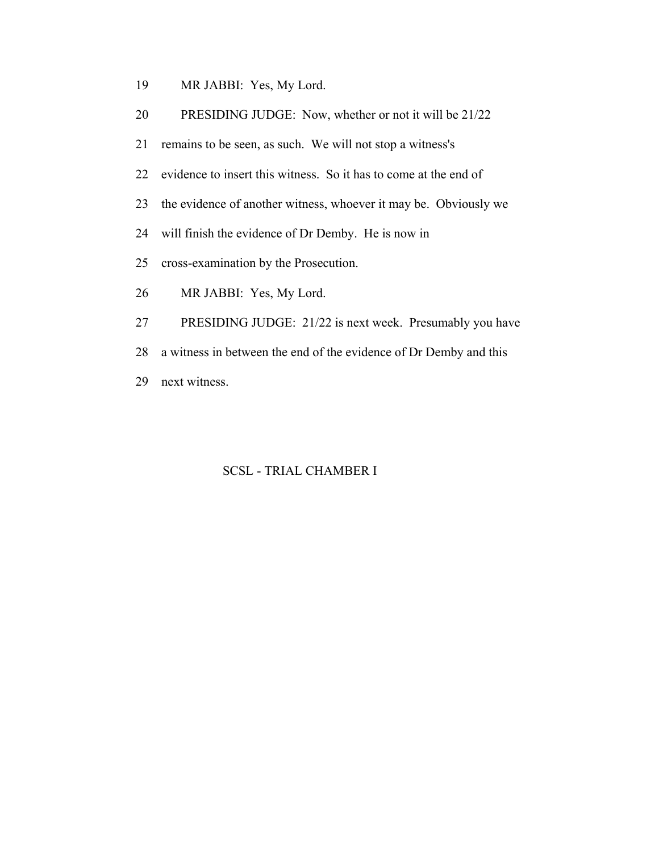- 19 MR JABBI: Yes, My Lord.
- 20 PRESIDING JUDGE: Now, whether or not it will be 21/22
- 21 remains to be seen, as such. We will not stop a witness's
- 22 evidence to insert this witness. So it has to come at the end of
- 23 the evidence of another witness, whoever it may be. Obviously we
- 24 will finish the evidence of Dr Demby. He is now in
- 25 cross-examination by the Prosecution.
- 26 MR JABBI: Yes, My Lord.
- 27 PRESIDING JUDGE: 21/22 is next week. Presumably you have
- 28 a witness in between the end of the evidence of Dr Demby and this
- 29 next witness.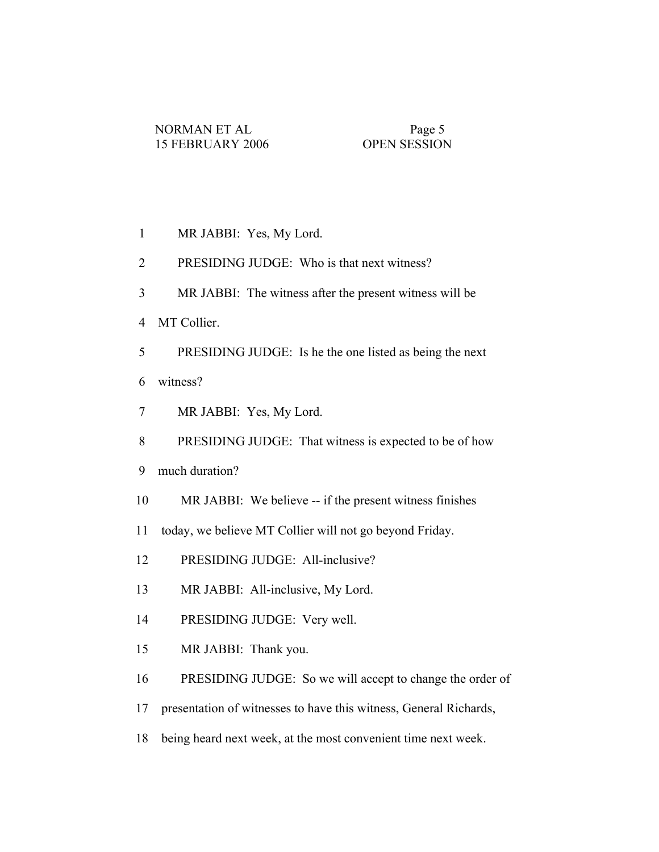- 1 MR JABBI: Yes, My Lord.
- 2 PRESIDING JUDGE: Who is that next witness?
- 3 MR JABBI: The witness after the present witness will be
- 4 MT Collier.
- 5 PRESIDING JUDGE: Is he the one listed as being the next 6 witness?
- 7 MR JABBI: Yes, My Lord.
- 8 PRESIDING JUDGE: That witness is expected to be of how
- 9 much duration?
- 10 MR JABBI: We believe -- if the present witness finishes
- 11 today, we believe MT Collier will not go beyond Friday.
- 12 PRESIDING JUDGE: All-inclusive?
- 13 MR JABBI: All-inclusive, My Lord.
- 14 PRESIDING JUDGE: Very well.
- 15 MR JABBI: Thank you.
- 16 PRESIDING JUDGE: So we will accept to change the order of
- 17 presentation of witnesses to have this witness, General Richards,
- 18 being heard next week, at the most convenient time next week.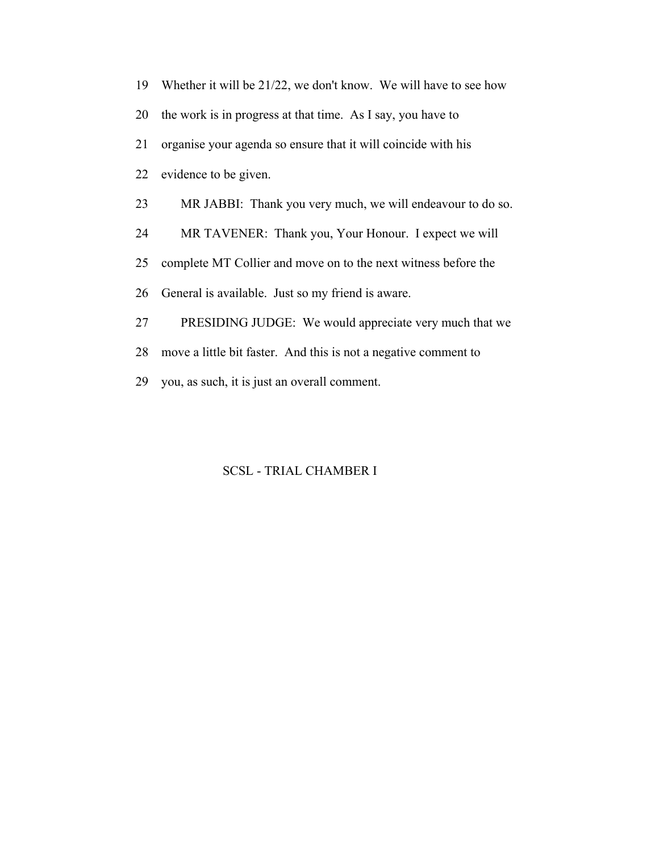| 19 | Whether it will be 21/22, we don't know. We will have to see how |
|----|------------------------------------------------------------------|
| 20 | the work is in progress at that time. As I say, you have to      |
| 21 | organise your agenda so ensure that it will coincide with his    |
| 22 | evidence to be given.                                            |
| 23 | MR JABBI: Thank you very much, we will endeavour to do so.       |
| 24 | MR TAVENER: Thank you, Your Honour. I expect we will             |
| 25 | complete MT Collier and move on to the next witness before the   |
| 26 | General is available. Just so my friend is aware.                |
| 27 | PRESIDING JUDGE: We would appreciate very much that we           |
| 28 | move a little bit faster. And this is not a negative comment to  |
| 29 | you, as such, it is just an overall comment.                     |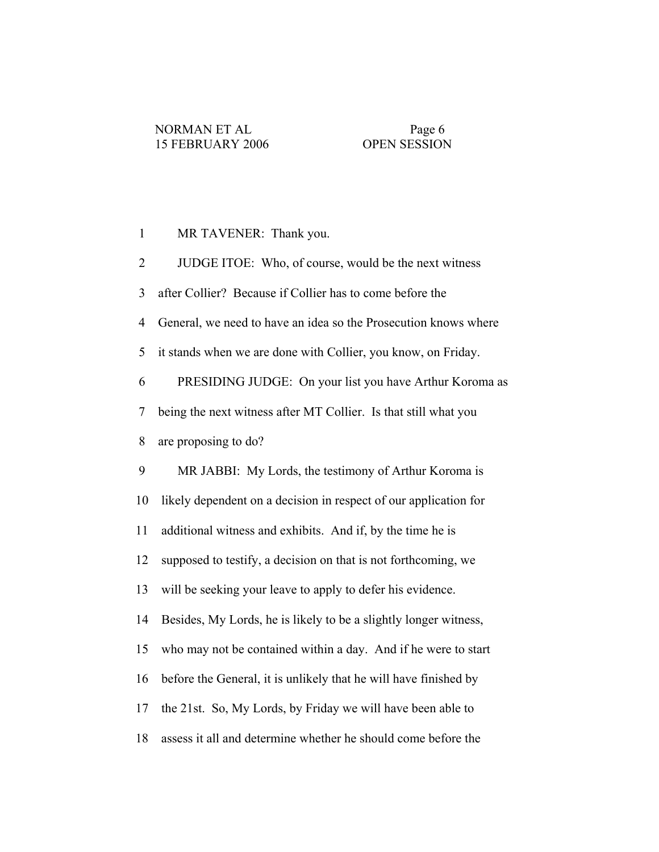1 MR TAVENER: Thank you.

 2 JUDGE ITOE: Who, of course, would be the next witness 3 after Collier? Because if Collier has to come before the 4 General, we need to have an idea so the Prosecution knows where 5 it stands when we are done with Collier, you know, on Friday. 6 PRESIDING JUDGE: On your list you have Arthur Koroma as 7 being the next witness after MT Collier. Is that still what you 8 are proposing to do? 9 MR JABBI: My Lords, the testimony of Arthur Koroma is 10 likely dependent on a decision in respect of our application for 11 additional witness and exhibits. And if, by the time he is 12 supposed to testify, a decision on that is not forthcoming, we 13 will be seeking your leave to apply to defer his evidence. 14 Besides, My Lords, he is likely to be a slightly longer witness, 15 who may not be contained within a day. And if he were to start 16 before the General, it is unlikely that he will have finished by 17 the 21st. So, My Lords, by Friday we will have been able to 18 assess it all and determine whether he should come before the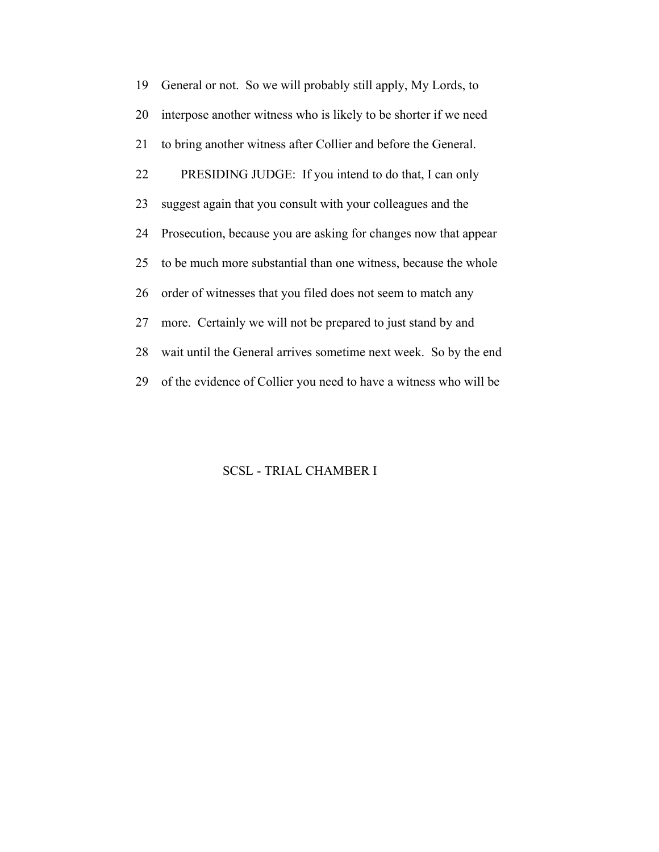19 General or not. So we will probably still apply, My Lords, to 20 interpose another witness who is likely to be shorter if we need 21 to bring another witness after Collier and before the General. 22 PRESIDING JUDGE: If you intend to do that, I can only 23 suggest again that you consult with your colleagues and the 24 Prosecution, because you are asking for changes now that appear 25 to be much more substantial than one witness, because the whole 26 order of witnesses that you filed does not seem to match any 27 more. Certainly we will not be prepared to just stand by and 28 wait until the General arrives sometime next week. So by the end 29 of the evidence of Collier you need to have a witness who will be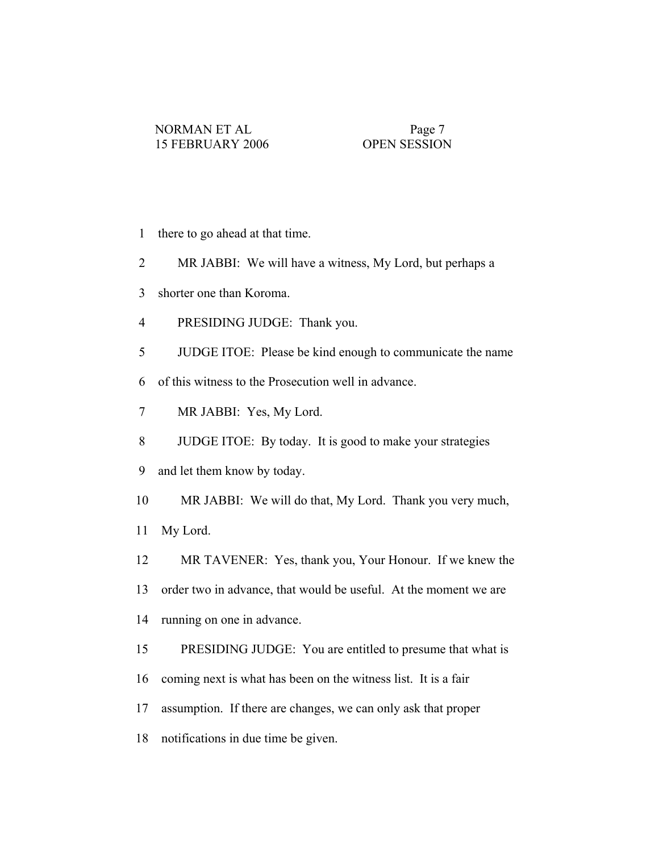- 1 there to go ahead at that time.
- 2 MR JABBI: We will have a witness, My Lord, but perhaps a
- 3 shorter one than Koroma.
- 4 PRESIDING JUDGE: Thank you.
- 5 JUDGE ITOE: Please be kind enough to communicate the name
- 6 of this witness to the Prosecution well in advance.
- 7 MR JABBI: Yes, My Lord.
- 8 JUDGE ITOE: By today. It is good to make your strategies
- 9 and let them know by today.
- 10 MR JABBI: We will do that, My Lord. Thank you very much,
- 11 My Lord.
- 12 MR TAVENER: Yes, thank you, Your Honour. If we knew the
- 13 order two in advance, that would be useful. At the moment we are
- 14 running on one in advance.
- 15 PRESIDING JUDGE: You are entitled to presume that what is
- 16 coming next is what has been on the witness list. It is a fair
- 17 assumption. If there are changes, we can only ask that proper
- 18 notifications in due time be given.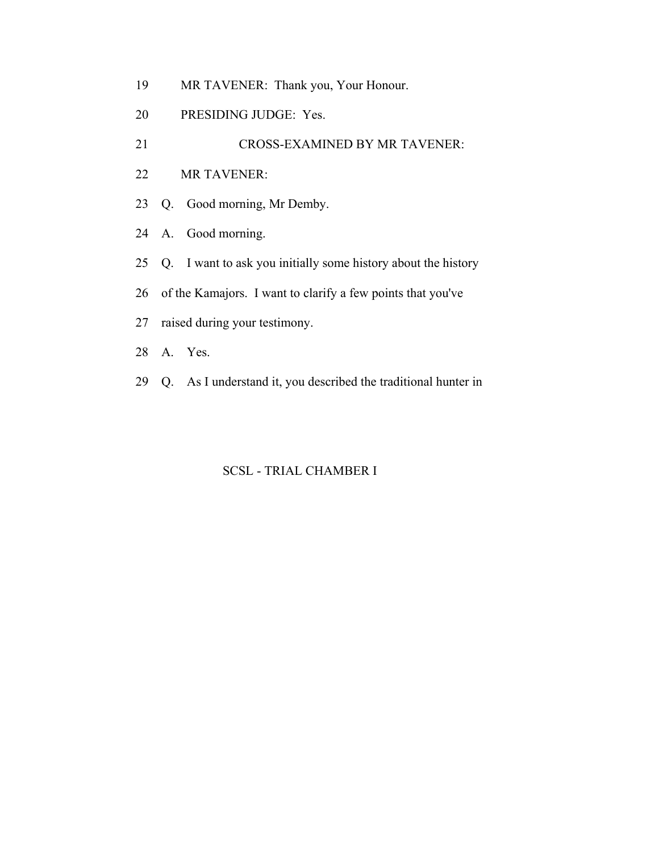- 19 MR TAVENER: Thank you, Your Honour.
- 20 PRESIDING JUDGE: Yes.
- 21 CROSS-EXAMINED BY MR TAVENER:
- 22 MR TAVENER:
- 23 Q. Good morning, Mr Demby.
- 24 A. Good morning.
- 25 Q. I want to ask you initially some history about the history
- 26 of the Kamajors. I want to clarify a few points that you've
- 27 raised during your testimony.
- 28 A. Yes.
- 29 Q. As I understand it, you described the traditional hunter in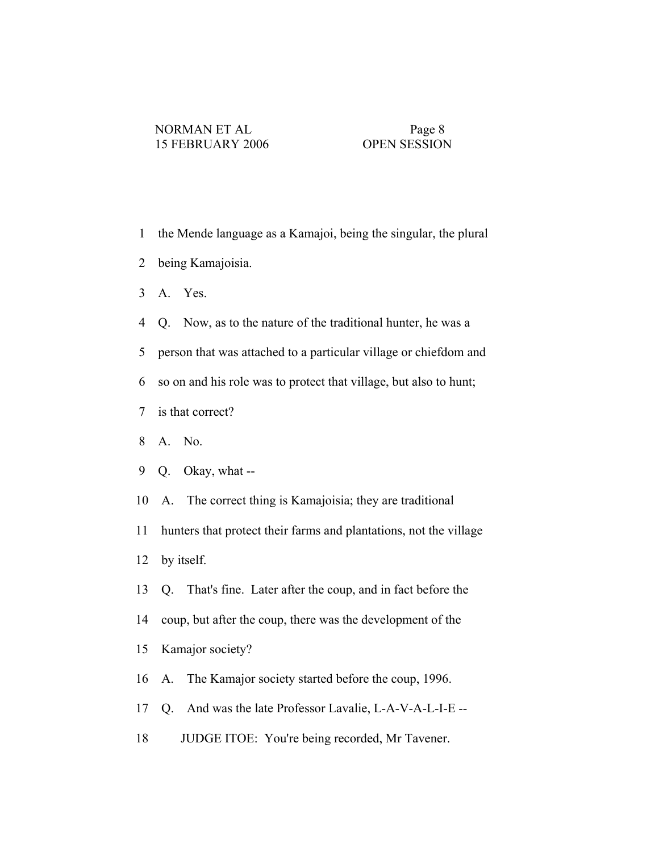- 1 the Mende language as a Kamajoi, being the singular, the plural
- 2 being Kamajoisia.
- 3 A. Yes.
- 4 Q. Now, as to the nature of the traditional hunter, he was a
- 5 person that was attached to a particular village or chiefdom and
- 6 so on and his role was to protect that village, but also to hunt;
- 7 is that correct?
- 8 A. No.
- 9 Q. Okay, what --
- 10 A. The correct thing is Kamajoisia; they are traditional
- 11 hunters that protect their farms and plantations, not the village
- 12 by itself.
- 13 Q. That's fine. Later after the coup, and in fact before the
- 14 coup, but after the coup, there was the development of the
- 15 Kamajor society?
- 16 A. The Kamajor society started before the coup, 1996.
- 17 Q. And was the late Professor Lavalie, L-A-V-A-L-I-E --
- 18 JUDGE ITOE: You're being recorded, Mr Tavener.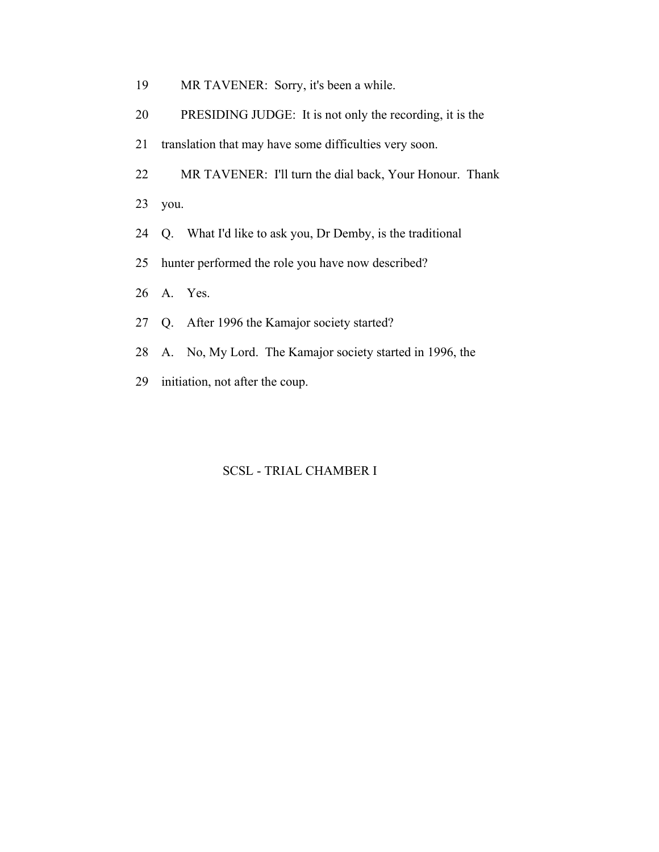- 19 MR TAVENER: Sorry, it's been a while.
- 20 PRESIDING JUDGE: It is not only the recording, it is the
- 21 translation that may have some difficulties very soon.
- 22 MR TAVENER: I'll turn the dial back, Your Honour. Thank

23 you.

- 24 Q. What I'd like to ask you, Dr Demby, is the traditional
- 25 hunter performed the role you have now described?
- 26 A. Yes.
- 27 Q. After 1996 the Kamajor society started?
- 28 A. No, My Lord. The Kamajor society started in 1996, the
- 29 initiation, not after the coup.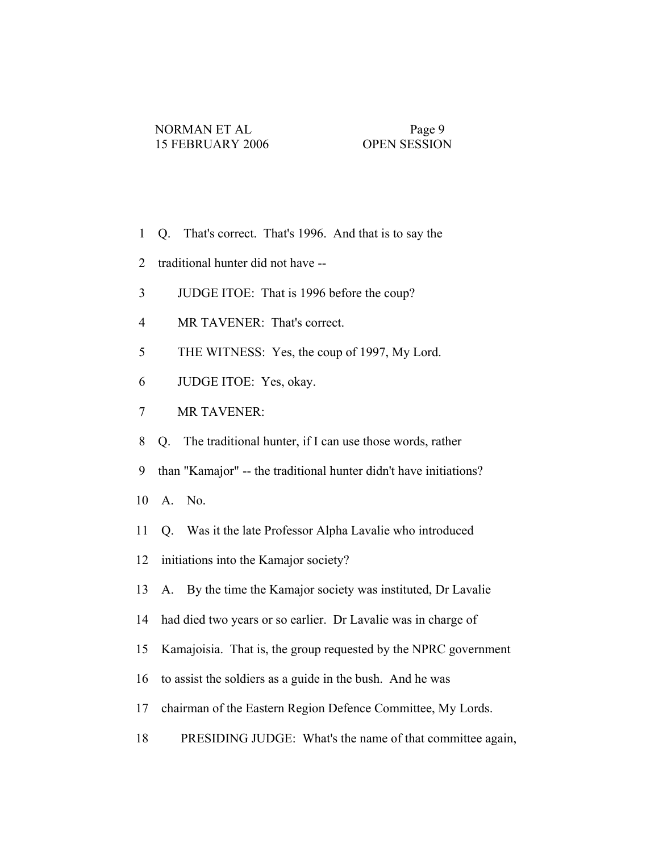- 1 Q. That's correct. That's 1996. And that is to say the
- 2 traditional hunter did not have --
- 3 JUDGE ITOE: That is 1996 before the coup?
- 4 MR TAVENER: That's correct.
- 5 THE WITNESS: Yes, the coup of 1997, My Lord.
- 6 JUDGE ITOE: Yes, okay.
- 7 MR TAVENER:
- 8 Q. The traditional hunter, if I can use those words, rather
- 9 than "Kamajor" -- the traditional hunter didn't have initiations?
- 10 A. No.
- 11 Q. Was it the late Professor Alpha Lavalie who introduced
- 12 initiations into the Kamajor society?
- 13 A. By the time the Kamajor society was instituted, Dr Lavalie
- 14 had died two years or so earlier. Dr Lavalie was in charge of
- 15 Kamajoisia. That is, the group requested by the NPRC government
- 16 to assist the soldiers as a guide in the bush. And he was
- 17 chairman of the Eastern Region Defence Committee, My Lords.
- 18 PRESIDING JUDGE: What's the name of that committee again,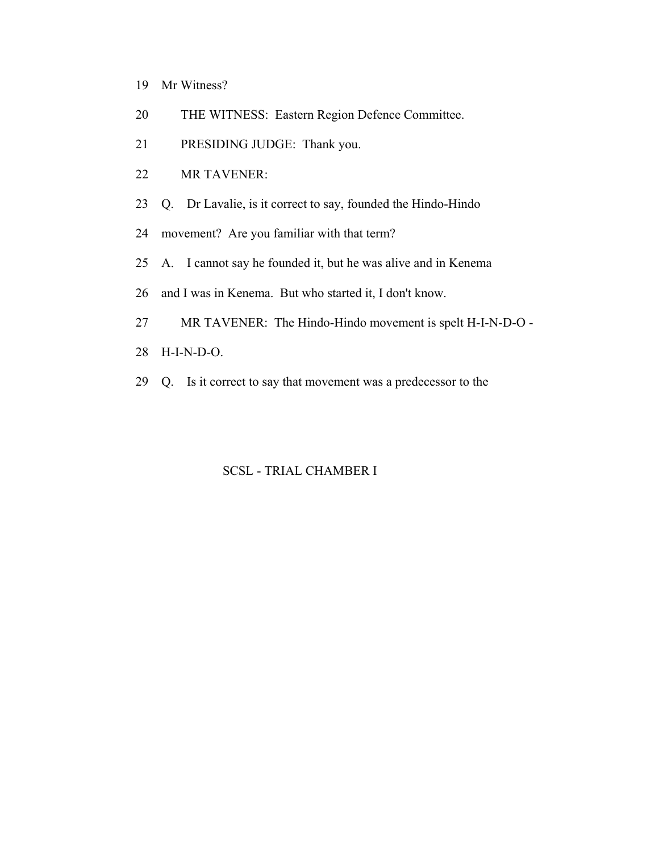- 19 Mr Witness?
- 20 THE WITNESS: Eastern Region Defence Committee.
- 21 PRESIDING JUDGE: Thank you.
- 22 MR TAVENER:
- 23 Q. Dr Lavalie, is it correct to say, founded the Hindo-Hindo
- 24 movement? Are you familiar with that term?
- 25 A. I cannot say he founded it, but he was alive and in Kenema
- 26 and I was in Kenema. But who started it, I don't know.
- 27 MR TAVENER: The Hindo-Hindo movement is spelt H-I-N-D-O -
- 28 H-I-N-D-O.
- 29 Q. Is it correct to say that movement was a predecessor to the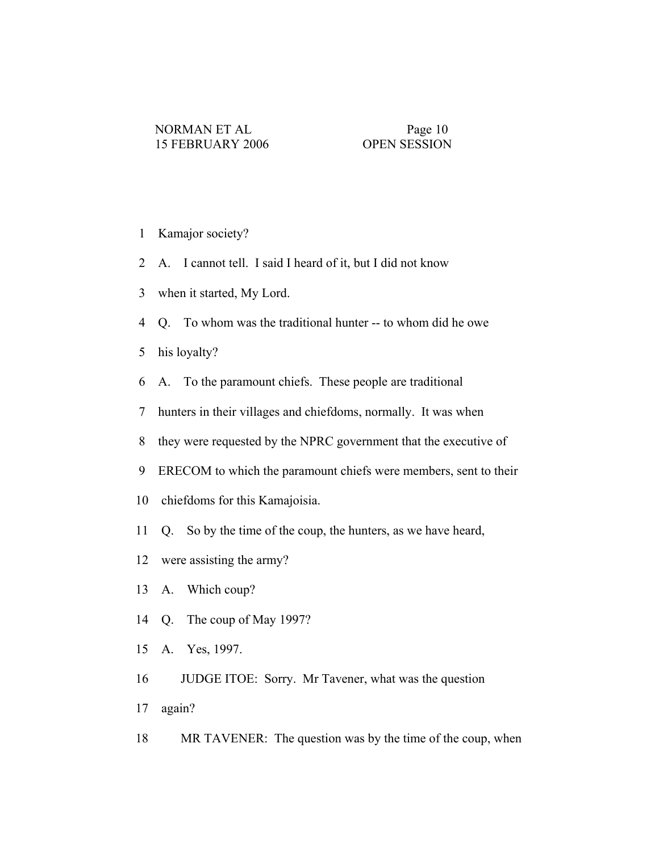- 1 Kamajor society?
- 2 A. I cannot tell. I said I heard of it, but I did not know
- 3 when it started, My Lord.
- 4 Q. To whom was the traditional hunter -- to whom did he owe
- 5 his loyalty?
- 6 A. To the paramount chiefs. These people are traditional
- 7 hunters in their villages and chiefdoms, normally. It was when
- 8 they were requested by the NPRC government that the executive of
- 9 ERECOM to which the paramount chiefs were members, sent to their
- 10 chiefdoms for this Kamajoisia.
- 11 Q. So by the time of the coup, the hunters, as we have heard,
- 12 were assisting the army?
- 13 A. Which coup?
- 14 Q. The coup of May 1997?
- 15 A. Yes, 1997.
- 16 JUDGE ITOE: Sorry. Mr Tavener, what was the question
- 17 again?
- 18 MR TAVENER: The question was by the time of the coup, when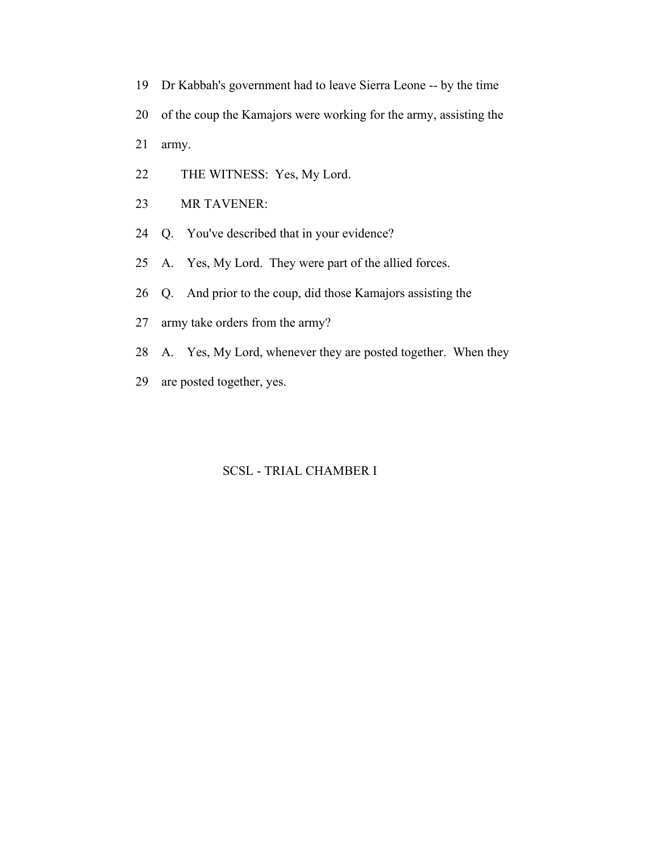- 19 Dr Kabbah's government had to leave Sierra Leone -- by the time
- 20 of the coup the Kamajors were working for the army, assisting the
- 21 army.
- 22 THE WITNESS: Yes, My Lord.
- 23 MR TAVENER:
- 24 Q. You've described that in your evidence?
- 25 A. Yes, My Lord. They were part of the allied forces.
- 26 Q. And prior to the coup, did those Kamajors assisting the
- 27 army take orders from the army?
- 28 A. Yes, My Lord, whenever they are posted together. When they
- 29 are posted together, yes.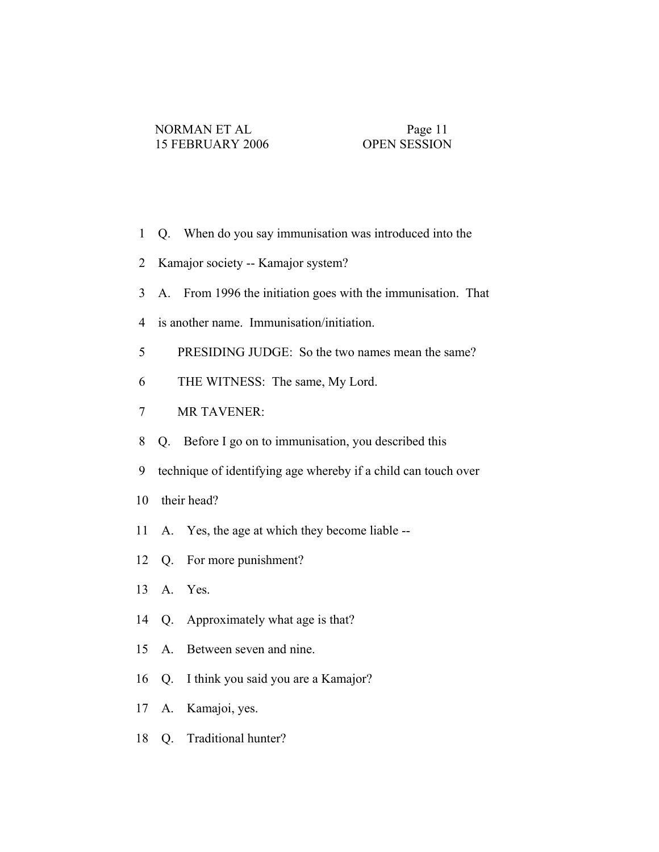- 1 Q. When do you say immunisation was introduced into the
- 2 Kamajor society -- Kamajor system?
- 3 A. From 1996 the initiation goes with the immunisation. That
- 4 is another name. Immunisation/initiation.
- 5 PRESIDING JUDGE: So the two names mean the same?
- 6 THE WITNESS: The same, My Lord.
- 7 MR TAVENER:
- 8 Q. Before I go on to immunisation, you described this
- 9 technique of identifying age whereby if a child can touch over
- 10 their head?
- 11 A. Yes, the age at which they become liable --
- 12 Q. For more punishment?
- 13 A. Yes.
- 14 Q. Approximately what age is that?
- 15 A. Between seven and nine.
- 16 Q. I think you said you are a Kamajor?
- 17 A. Kamajoi, yes.
- 18 Q. Traditional hunter?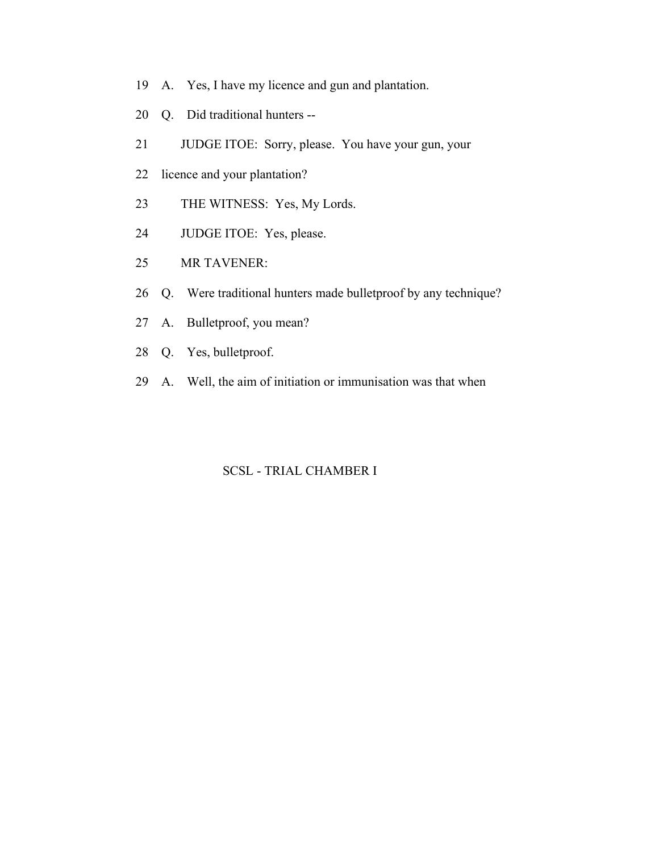- 19 A. Yes, I have my licence and gun and plantation.
- 20 Q. Did traditional hunters --
- 21 JUDGE ITOE: Sorry, please. You have your gun, your
- 22 licence and your plantation?
- 23 THE WITNESS: Yes, My Lords.
- 24 JUDGE ITOE: Yes, please.
- 25 MR TAVENER:
- 26 Q. Were traditional hunters made bulletproof by any technique?
- 27 A. Bulletproof, you mean?
- 28 Q. Yes, bulletproof.
- 29 A. Well, the aim of initiation or immunisation was that when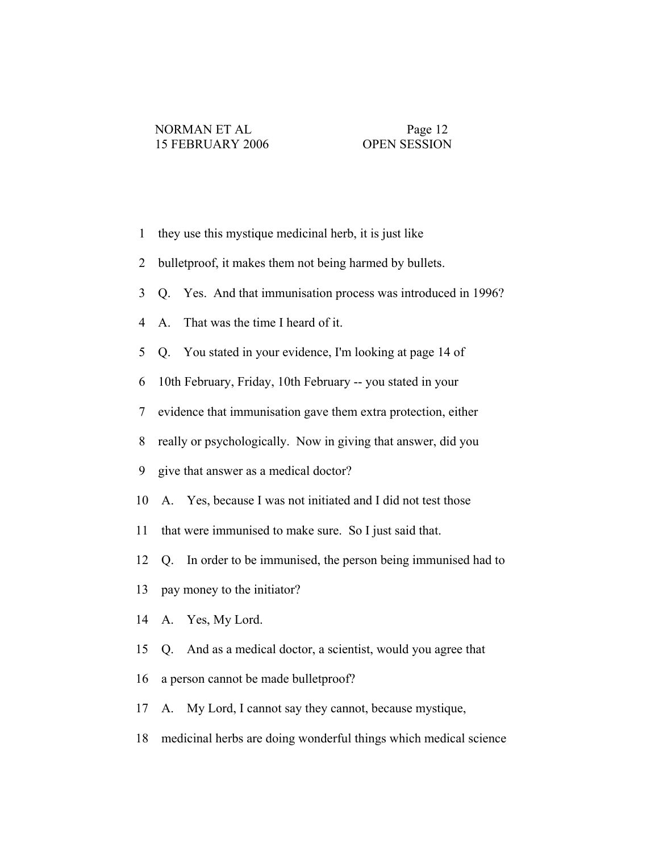- 1 they use this mystique medicinal herb, it is just like
- 2 bulletproof, it makes them not being harmed by bullets.
- 3 Q. Yes. And that immunisation process was introduced in 1996?
- 4 A. That was the time I heard of it.
- 5 Q. You stated in your evidence, I'm looking at page 14 of
- 6 10th February, Friday, 10th February -- you stated in your
- 7 evidence that immunisation gave them extra protection, either
- 8 really or psychologically. Now in giving that answer, did you
- 9 give that answer as a medical doctor?
- 10 A. Yes, because I was not initiated and I did not test those
- 11 that were immunised to make sure. So I just said that.
- 12 Q. In order to be immunised, the person being immunised had to
- 13 pay money to the initiator?
- 14 A. Yes, My Lord.
- 15 Q. And as a medical doctor, a scientist, would you agree that
- 16 a person cannot be made bulletproof?
- 17 A. My Lord, I cannot say they cannot, because mystique,
- 18 medicinal herbs are doing wonderful things which medical science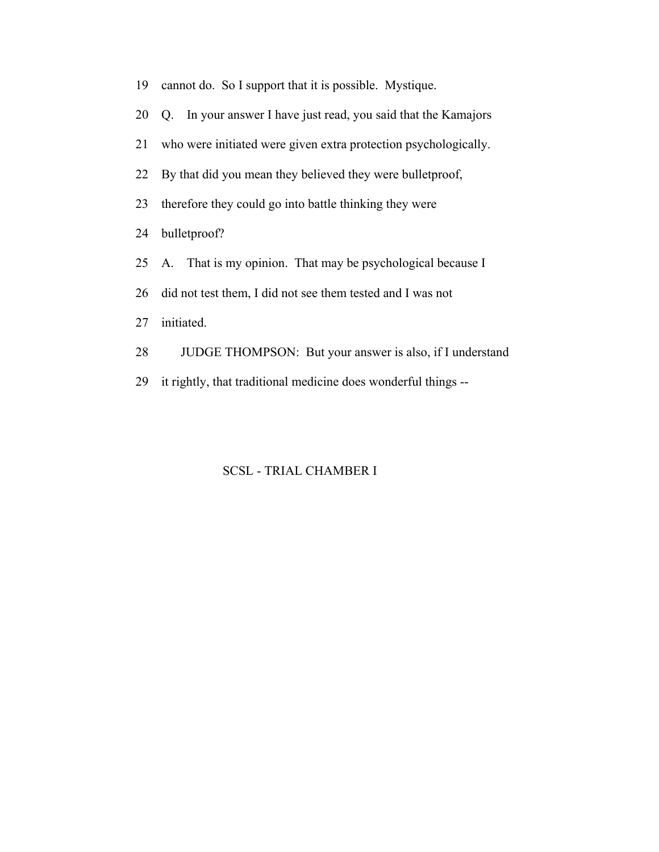19 cannot do. So I support that it is possible. Mystique. 20 Q. In your answer I have just read, you said that the Kamajors 21 who were initiated were given extra protection psychologically. 22 By that did you mean they believed they were bulletproof, 23 therefore they could go into battle thinking they were 24 bulletproof? 25 A. That is my opinion. That may be psychological because I 26 did not test them, I did not see them tested and I was not 27 initiated. 28 JUDGE THOMPSON: But your answer is also, if I understand 29 it rightly, that traditional medicine does wonderful things --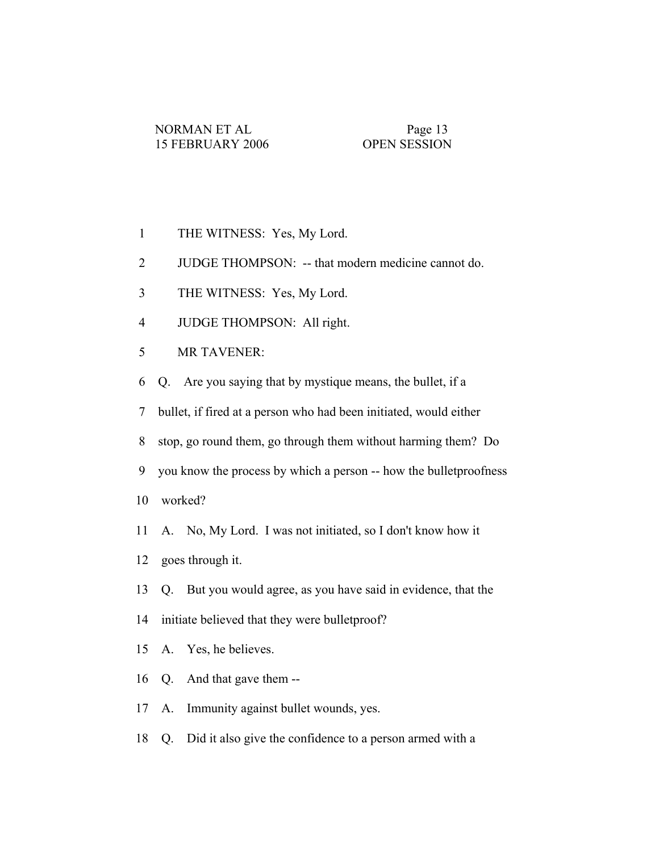- 1 THE WITNESS: Yes, My Lord.
- 2 JUDGE THOMPSON: -- that modern medicine cannot do.
- 3 THE WITNESS: Yes, My Lord.
- 4 JUDGE THOMPSON: All right.
- 5 MR TAVENER:
- 6 Q. Are you saying that by mystique means, the bullet, if a

7 bullet, if fired at a person who had been initiated, would either

8 stop, go round them, go through them without harming them? Do

- 9 you know the process by which a person -- how the bulletproofness
- 10 worked?
- 11 A. No, My Lord. I was not initiated, so I don't know how it
- 12 goes through it.
- 13 Q. But you would agree, as you have said in evidence, that the
- 14 initiate believed that they were bulletproof?
- 15 A. Yes, he believes.
- 16 Q. And that gave them --
- 17 A. Immunity against bullet wounds, yes.
- 18 Q. Did it also give the confidence to a person armed with a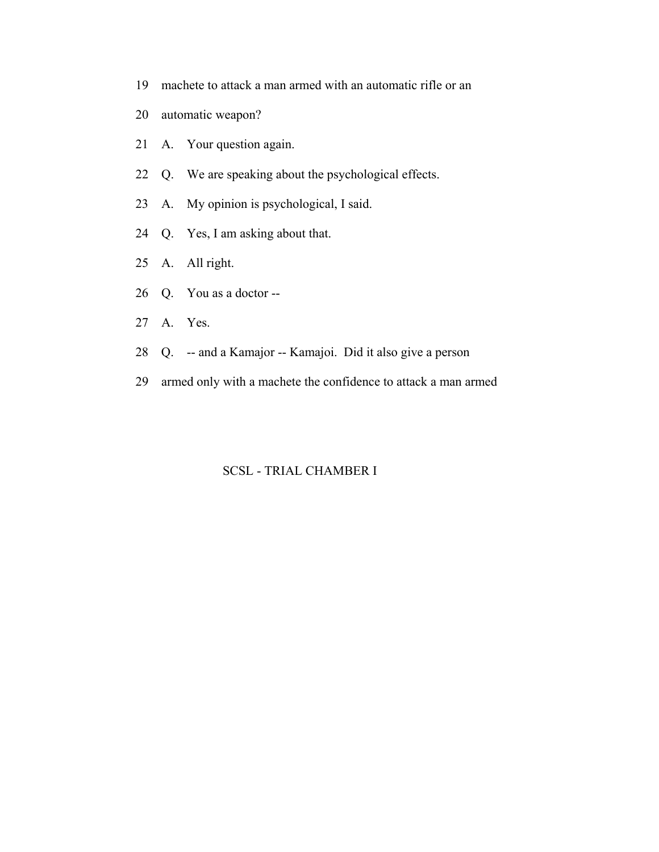- 19 machete to attack a man armed with an automatic rifle or an
- 20 automatic weapon?
- 21 A. Your question again.
- 22 Q. We are speaking about the psychological effects.
- 23 A. My opinion is psychological, I said.
- 24 Q. Yes, I am asking about that.
- 25 A. All right.
- 26 Q. You as a doctor --
- 27 A. Yes.
- 28 Q. -- and a Kamajor -- Kamajoi. Did it also give a person
- 29 armed only with a machete the confidence to attack a man armed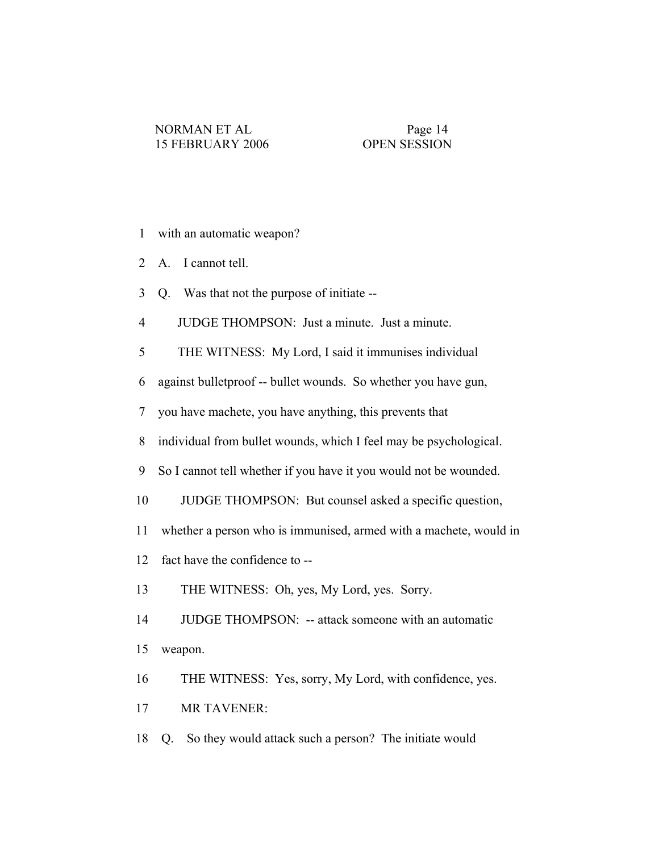- 1 with an automatic weapon?
- 2 A. I cannot tell.
- 3 Q. Was that not the purpose of initiate --
- 4 JUDGE THOMPSON: Just a minute. Just a minute.

5 THE WITNESS: My Lord, I said it immunises individual

6 against bulletproof -- bullet wounds. So whether you have gun,

7 you have machete, you have anything, this prevents that

- 8 individual from bullet wounds, which I feel may be psychological.
- 9 So I cannot tell whether if you have it you would not be wounded.
- 10 JUDGE THOMPSON: But counsel asked a specific question,
- 11 whether a person who is immunised, armed with a machete, would in
- 12 fact have the confidence to --
- 13 THE WITNESS: Oh, yes, My Lord, yes. Sorry.
- 14 JUDGE THOMPSON: -- attack someone with an automatic
- 15 weapon.
- 16 THE WITNESS: Yes, sorry, My Lord, with confidence, yes.
- 17 MR TAVENER:
- 18 Q. So they would attack such a person? The initiate would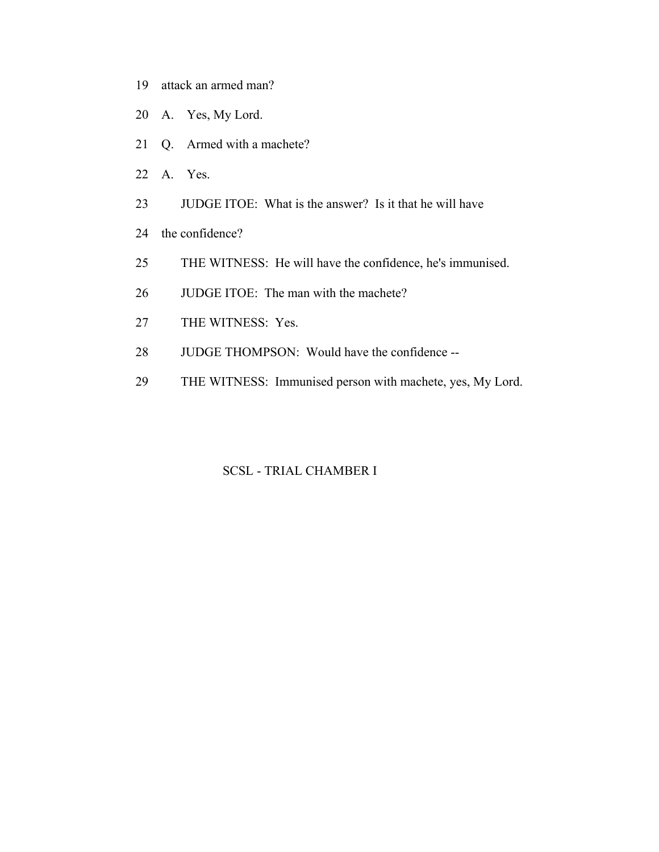- 19 attack an armed man?
- 20 A. Yes, My Lord.
- 21 Q. Armed with a machete?
- 22 A. Yes.
- 23 JUDGE ITOE: What is the answer? Is it that he will have
- 24 the confidence?
- 25 THE WITNESS: He will have the confidence, he's immunised.
- 26 JUDGE ITOE: The man with the machete?
- 27 THE WITNESS: Yes.
- 28 JUDGE THOMPSON: Would have the confidence --
- 29 THE WITNESS: Immunised person with machete, yes, My Lord.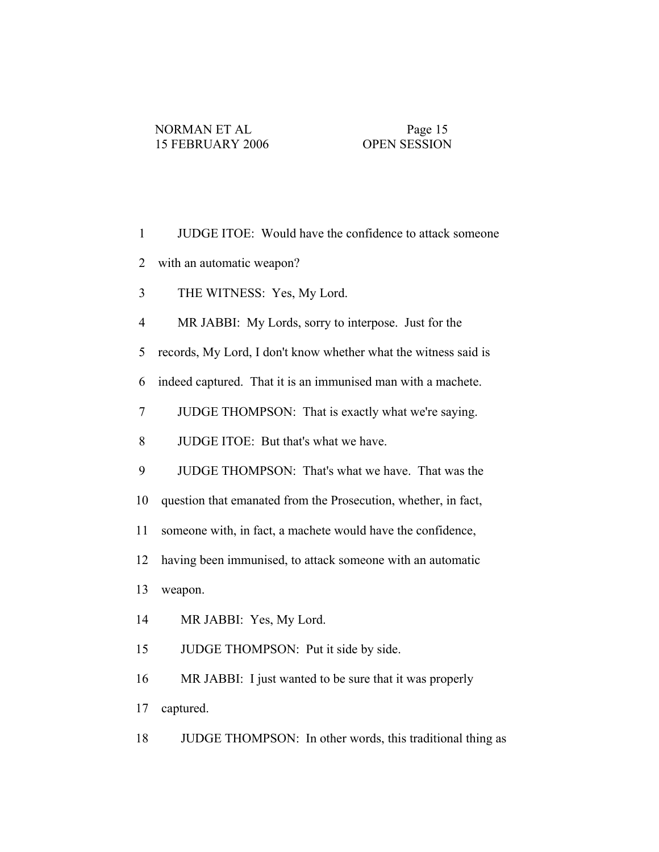| $\mathbf{1}$   | JUDGE ITOE: Would have the confidence to attack someone         |
|----------------|-----------------------------------------------------------------|
| $\overline{2}$ | with an automatic weapon?                                       |
| 3              | THE WITNESS: Yes, My Lord.                                      |
| 4              | MR JABBI: My Lords, sorry to interpose. Just for the            |
| 5              | records, My Lord, I don't know whether what the witness said is |
| 6              | indeed captured. That it is an immunised man with a machete.    |
| 7              | JUDGE THOMPSON: That is exactly what we're saying.              |
| 8              | JUDGE ITOE: But that's what we have.                            |
| 9              | JUDGE THOMPSON: That's what we have. That was the               |
| 10             | question that emanated from the Prosecution, whether, in fact,  |
| 11             | someone with, in fact, a machete would have the confidence,     |
| 12             | having been immunised, to attack someone with an automatic      |
| 13             | weapon.                                                         |
| 14             | MR JABBI: Yes, My Lord.                                         |
| 15             | JUDGE THOMPSON: Put it side by side.                            |
| 16             | MR JABBI: I just wanted to be sure that it was properly         |
| 17             | captured.                                                       |

18 JUDGE THOMPSON: In other words, this traditional thing as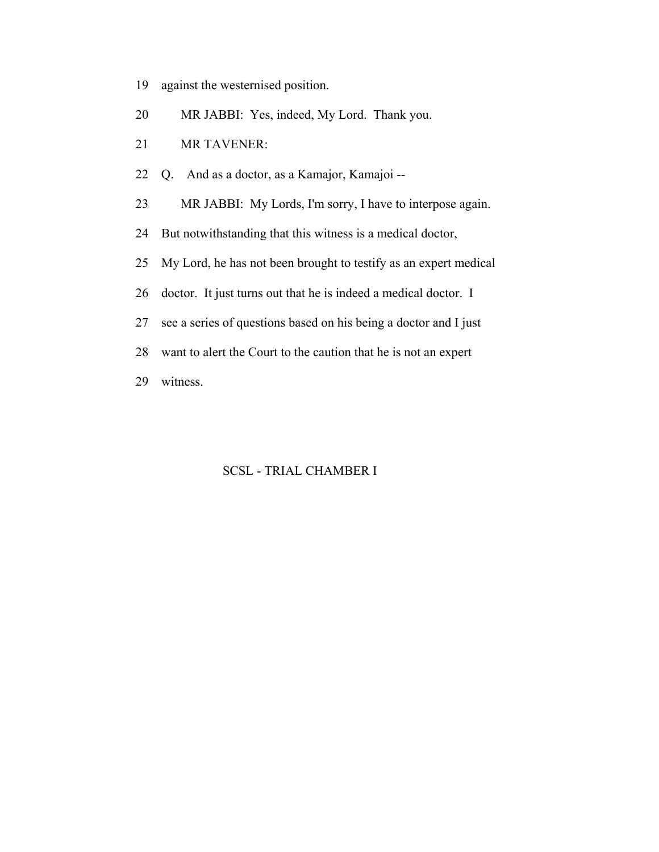- 19 against the westernised position.
- 20 MR JABBI: Yes, indeed, My Lord. Thank you.
- 21 MR TAVENER:
- 22 Q. And as a doctor, as a Kamajor, Kamajoi --
- 23 MR JABBI: My Lords, I'm sorry, I have to interpose again.
- 24 But notwithstanding that this witness is a medical doctor,
- 25 My Lord, he has not been brought to testify as an expert medical
- 26 doctor. It just turns out that he is indeed a medical doctor. I
- 27 see a series of questions based on his being a doctor and I just
- 28 want to alert the Court to the caution that he is not an expert
- 29 witness.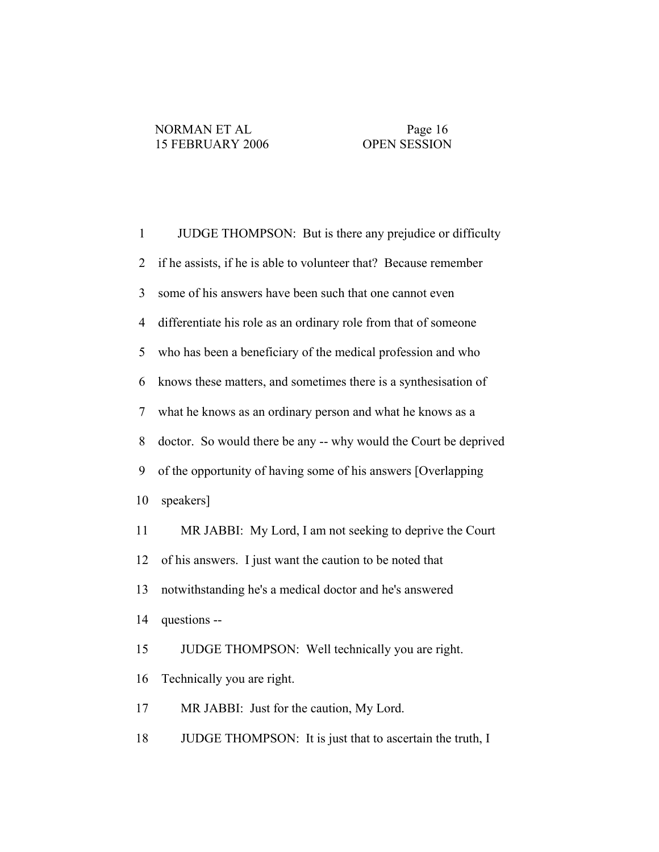1 JUDGE THOMPSON: But is there any prejudice or difficulty 2 if he assists, if he is able to volunteer that? Because remember 3 some of his answers have been such that one cannot even 4 differentiate his role as an ordinary role from that of someone 5 who has been a beneficiary of the medical profession and who 6 knows these matters, and sometimes there is a synthesisation of 7 what he knows as an ordinary person and what he knows as a 8 doctor. So would there be any -- why would the Court be deprived 9 of the opportunity of having some of his answers [Overlapping 10 speakers] 11 MR JABBI: My Lord, I am not seeking to deprive the Court 12 of his answers. I just want the caution to be noted that 13 notwithstanding he's a medical doctor and he's answered 14 questions -- 15 JUDGE THOMPSON: Well technically you are right. 16 Technically you are right. 17 MR JABBI: Just for the caution, My Lord. 18 JUDGE THOMPSON: It is just that to ascertain the truth, I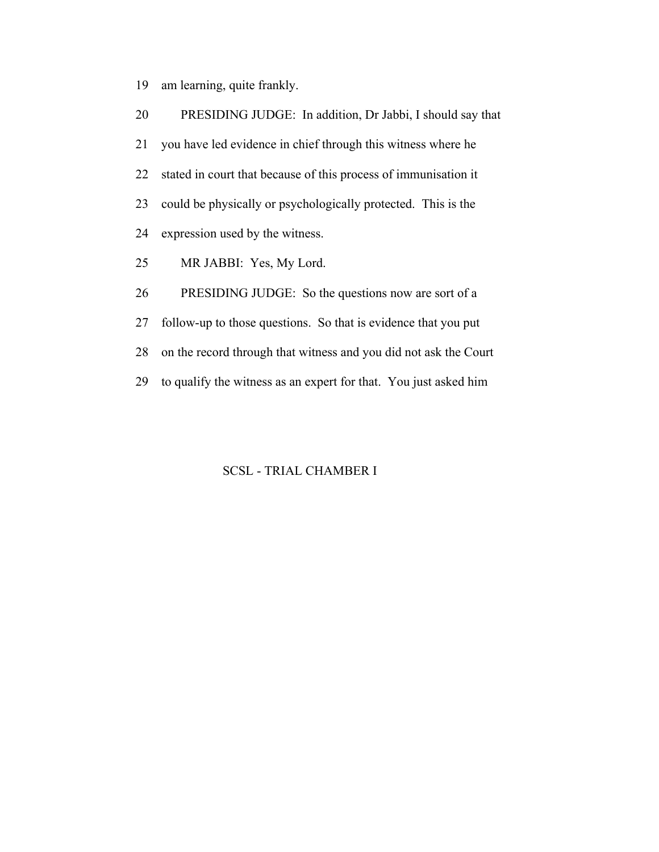19 am learning, quite frankly.

| 20 | PRESIDING JUDGE: In addition, Dr Jabbi, I should say that        |
|----|------------------------------------------------------------------|
| 21 | you have led evidence in chief through this witness where he     |
| 22 | stated in court that because of this process of immunisation it  |
| 23 | could be physically or psychologically protected. This is the    |
| 24 | expression used by the witness.                                  |
| 25 | MR JABBI: Yes, My Lord.                                          |
| 26 | PRESIDING JUDGE: So the questions now are sort of a              |
| 27 | follow-up to those questions. So that is evidence that you put   |
| 28 | on the record through that witness and you did not ask the Court |
| 29 | to qualify the witness as an expert for that. You just asked him |
|    |                                                                  |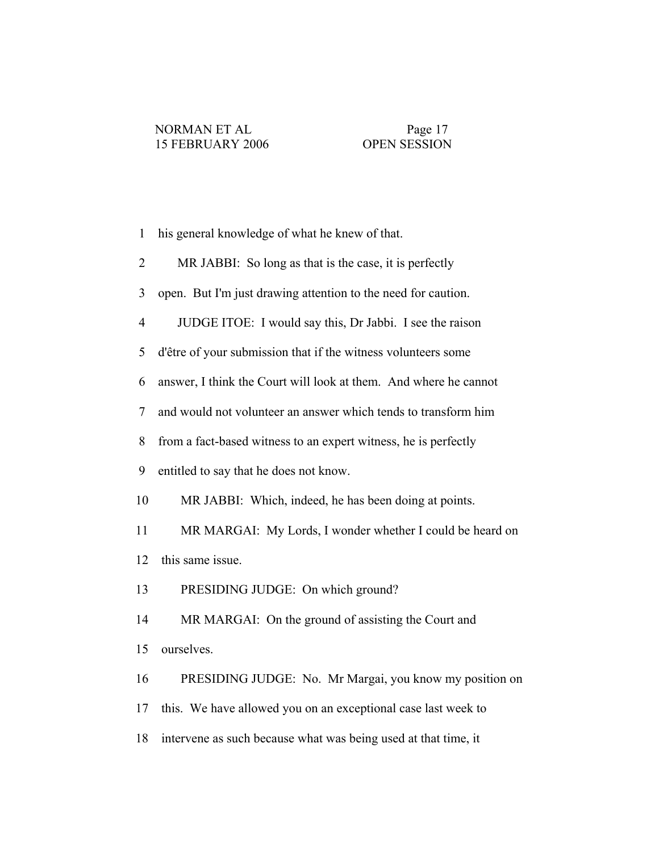| his general knowledge of what he knew of that. |  |
|------------------------------------------------|--|
|------------------------------------------------|--|

- 2 MR JABBI: So long as that is the case, it is perfectly
- 3 open. But I'm just drawing attention to the need for caution.
- 4 JUDGE ITOE: I would say this, Dr Jabbi. I see the raison
- 5 d'être of your submission that if the witness volunteers some
- 6 answer, I think the Court will look at them. And where he cannot
- 7 and would not volunteer an answer which tends to transform him
- 8 from a fact-based witness to an expert witness, he is perfectly
- 9 entitled to say that he does not know.
- 10 MR JABBI: Which, indeed, he has been doing at points.
- 11 MR MARGAI: My Lords, I wonder whether I could be heard on 12 this same issue.
- 13 PRESIDING JUDGE: On which ground?
- 14 MR MARGAI: On the ground of assisting the Court and
- 15 ourselves.
- 16 PRESIDING JUDGE: No. Mr Margai, you know my position on
- 17 this. We have allowed you on an exceptional case last week to
- 18 intervene as such because what was being used at that time, it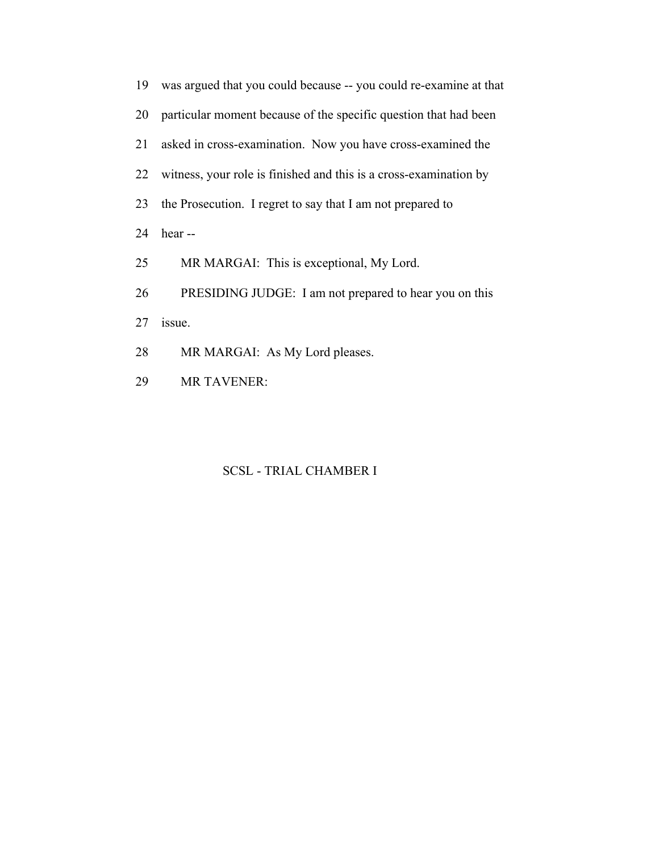| 19 | was argued that you could because -- you could re-examine at that |
|----|-------------------------------------------------------------------|
| 20 | particular moment because of the specific question that had been  |
| 21 | asked in cross-examination. Now you have cross-examined the       |
| 22 | witness, your role is finished and this is a cross-examination by |
| 23 | the Prosecution. I regret to say that I am not prepared to        |
| 24 | hear --                                                           |
| 25 | MR MARGAI: This is exceptional, My Lord.                          |
| 26 | PRESIDING JUDGE: I am not prepared to hear you on this            |
| 27 | issue.                                                            |
| 28 | MR MARGAI: As My Lord pleases.                                    |
|    |                                                                   |

29 MR TAVENER: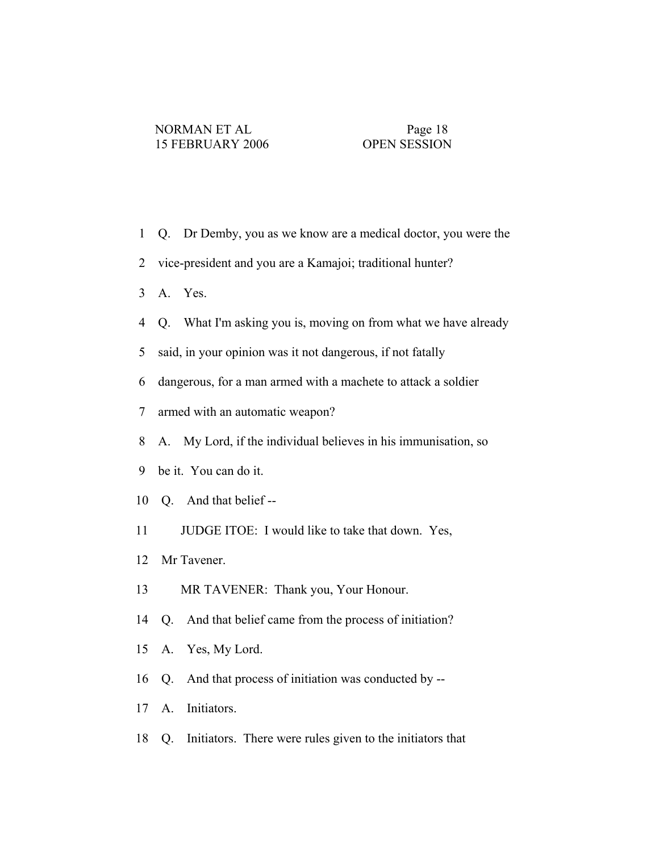- 1 Q. Dr Demby, you as we know are a medical doctor, you were the
- 2 vice-president and you are a Kamajoi; traditional hunter?
- 3 A. Yes.
- 4 Q. What I'm asking you is, moving on from what we have already
- 5 said, in your opinion was it not dangerous, if not fatally
- 6 dangerous, for a man armed with a machete to attack a soldier
- 7 armed with an automatic weapon?
- 8 A. My Lord, if the individual believes in his immunisation, so
- 9 be it. You can do it.
- 10 Q. And that belief --
- 11 JUDGE ITOE: I would like to take that down. Yes,
- 12 Mr Tavener.
- 13 MR TAVENER: Thank you, Your Honour.
- 14 Q. And that belief came from the process of initiation?
- 15 A. Yes, My Lord.
- 16 Q. And that process of initiation was conducted by --
- 17 A. Initiators.
- 18 Q. Initiators. There were rules given to the initiators that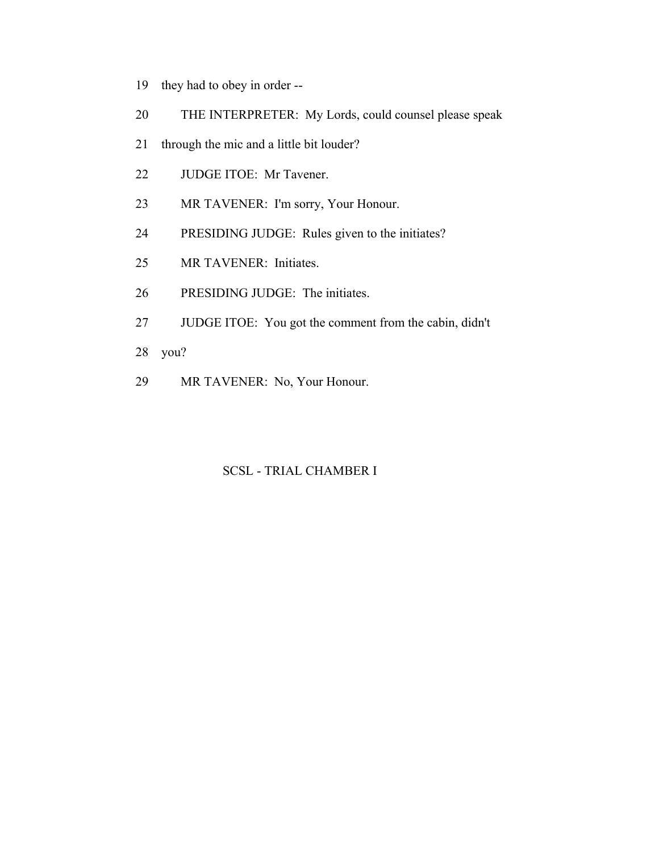- 19 they had to obey in order --
- 20 THE INTERPRETER: My Lords, could counsel please speak
- 21 through the mic and a little bit louder?
- 22 JUDGE ITOE: Mr Tavener.
- 23 MR TAVENER: I'm sorry, Your Honour.
- 24 PRESIDING JUDGE: Rules given to the initiates?
- 25 MR TAVENER: Initiates.
- 26 PRESIDING JUDGE: The initiates.
- 27 JUDGE ITOE: You got the comment from the cabin, didn't
- 28 you?
- 29 MR TAVENER: No, Your Honour.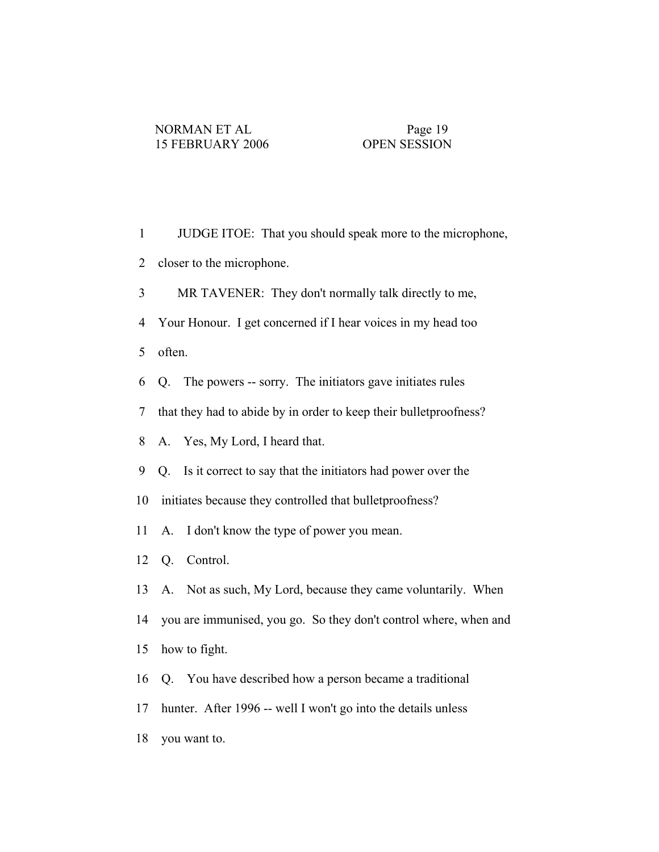- 1 JUDGE ITOE: That you should speak more to the microphone, 2 closer to the microphone. 3 MR TAVENER: They don't normally talk directly to me, 4 Your Honour. I get concerned if I hear voices in my head too 5 often. 6 Q. The powers -- sorry. The initiators gave initiates rules 7 that they had to abide by in order to keep their bulletproofness? 8 A. Yes, My Lord, I heard that. 9 Q. Is it correct to say that the initiators had power over the 10 initiates because they controlled that bulletproofness? 11 A. I don't know the type of power you mean. 12 Q. Control. 13 A. Not as such, My Lord, because they came voluntarily. When 14 you are immunised, you go. So they don't control where, when and 15 how to fight. 16 Q. You have described how a person became a traditional 17 hunter. After 1996 -- well I won't go into the details unless
- 18 you want to.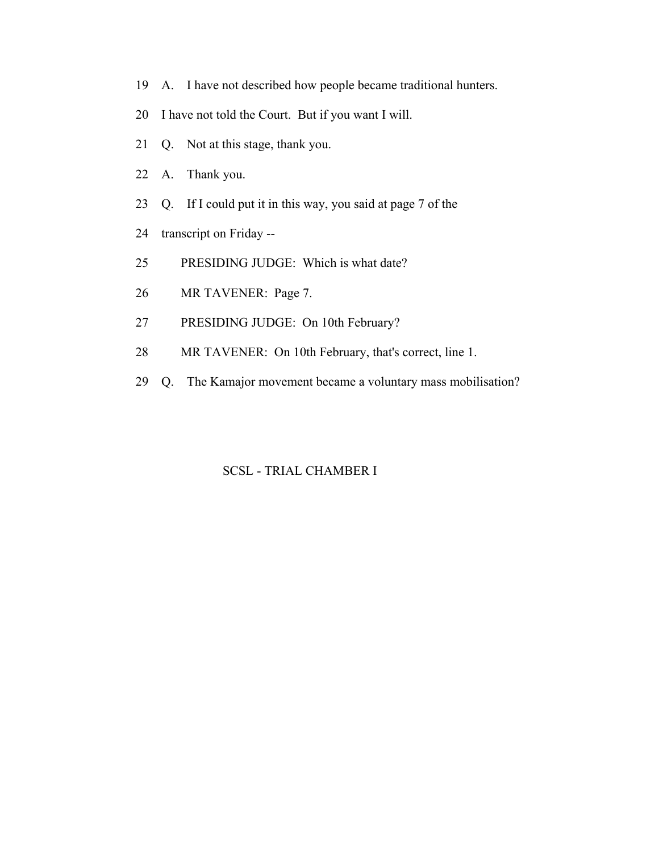- 19 A. I have not described how people became traditional hunters.
- 20 I have not told the Court. But if you want I will.
- 21 Q. Not at this stage, thank you.
- 22 A. Thank you.
- 23 Q. If I could put it in this way, you said at page 7 of the
- 24 transcript on Friday --
- 25 PRESIDING JUDGE: Which is what date?
- 26 MR TAVENER: Page 7.
- 27 PRESIDING JUDGE: On 10th February?
- 28 MR TAVENER: On 10th February, that's correct, line 1.
- 29 Q. The Kamajor movement became a voluntary mass mobilisation?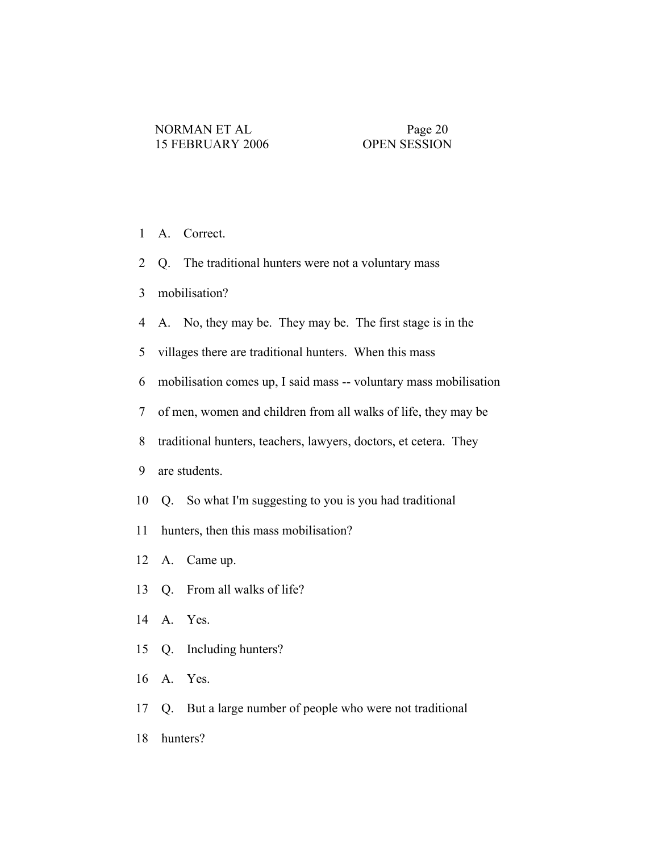- 1 A. Correct.
- 2 Q. The traditional hunters were not a voluntary mass
- 3 mobilisation?
- 4 A. No, they may be. They may be. The first stage is in the
- 5 villages there are traditional hunters. When this mass
- 6 mobilisation comes up, I said mass -- voluntary mass mobilisation
- 7 of men, women and children from all walks of life, they may be
- 8 traditional hunters, teachers, lawyers, doctors, et cetera. They
- 9 are students.
- 10 Q. So what I'm suggesting to you is you had traditional
- 11 hunters, then this mass mobilisation?
- 12 A. Came up.
- 13 Q. From all walks of life?
- 14 A. Yes.
- 15 Q. Including hunters?
- 16 A. Yes.
- 17 Q. But a large number of people who were not traditional
- 18 hunters?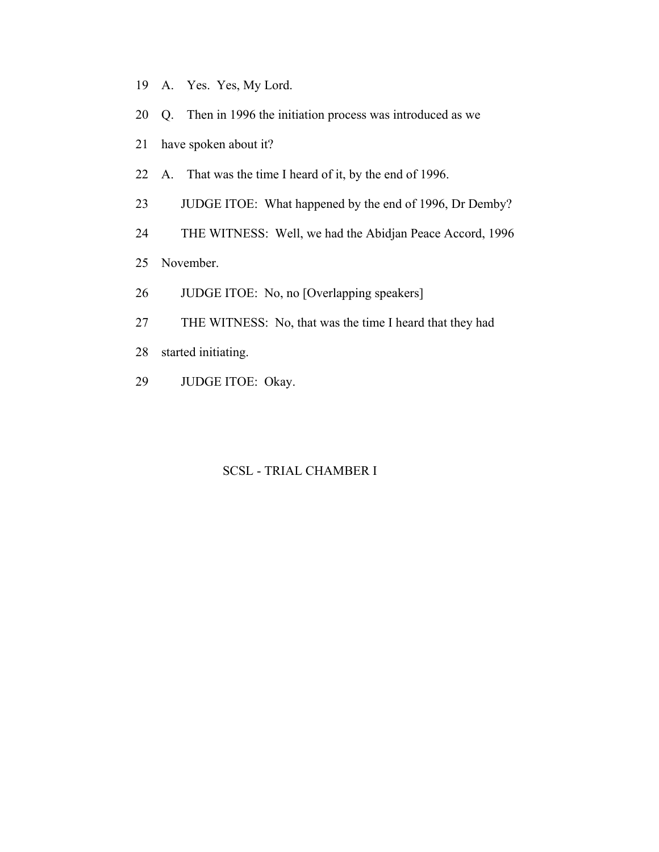- 19 A. Yes. Yes, My Lord.
- 20 Q. Then in 1996 the initiation process was introduced as we
- 21 have spoken about it?
- 22 A. That was the time I heard of it, by the end of 1996.
- 23 JUDGE ITOE: What happened by the end of 1996, Dr Demby?
- 24 THE WITNESS: Well, we had the Abidjan Peace Accord, 1996
- 25 November.
- 26 JUDGE ITOE: No, no [Overlapping speakers]
- 27 THE WITNESS: No, that was the time I heard that they had
- 28 started initiating.
- 29 JUDGE ITOE: Okay.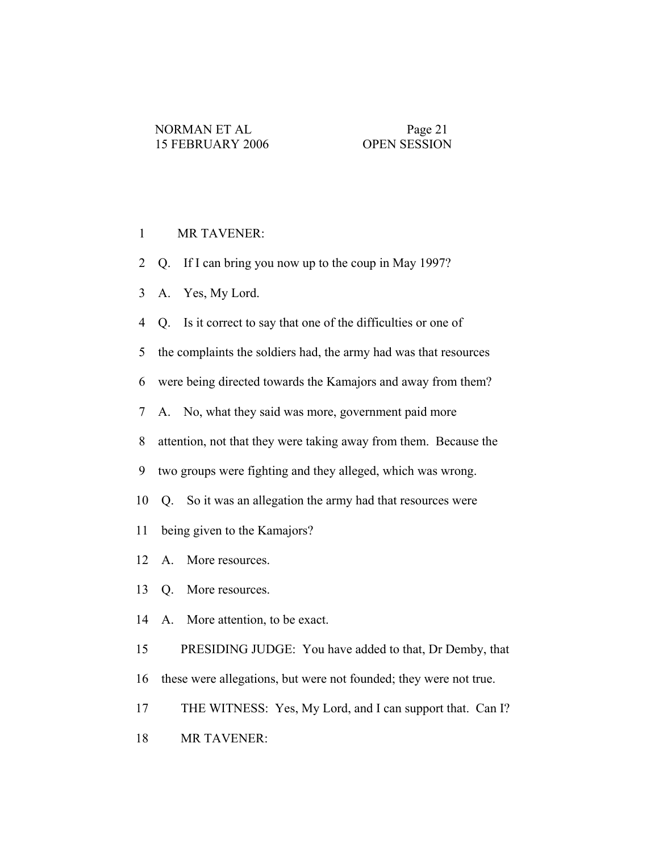### 1 MR TAVENER:

- 2 Q. If I can bring you now up to the coup in May 1997?
- 3 A. Yes, My Lord.
- 4 Q. Is it correct to say that one of the difficulties or one of
- 5 the complaints the soldiers had, the army had was that resources
- 6 were being directed towards the Kamajors and away from them?
- 7 A. No, what they said was more, government paid more
- 8 attention, not that they were taking away from them. Because the
- 9 two groups were fighting and they alleged, which was wrong.
- 10 Q. So it was an allegation the army had that resources were
- 11 being given to the Kamajors?
- 12 A. More resources.
- 13 Q. More resources.
- 14 A. More attention, to be exact.
- 15 PRESIDING JUDGE: You have added to that, Dr Demby, that 16 these were allegations, but were not founded; they were not true.
- 17 THE WITNESS: Yes, My Lord, and I can support that. Can I?
- 18 MR TAVENER: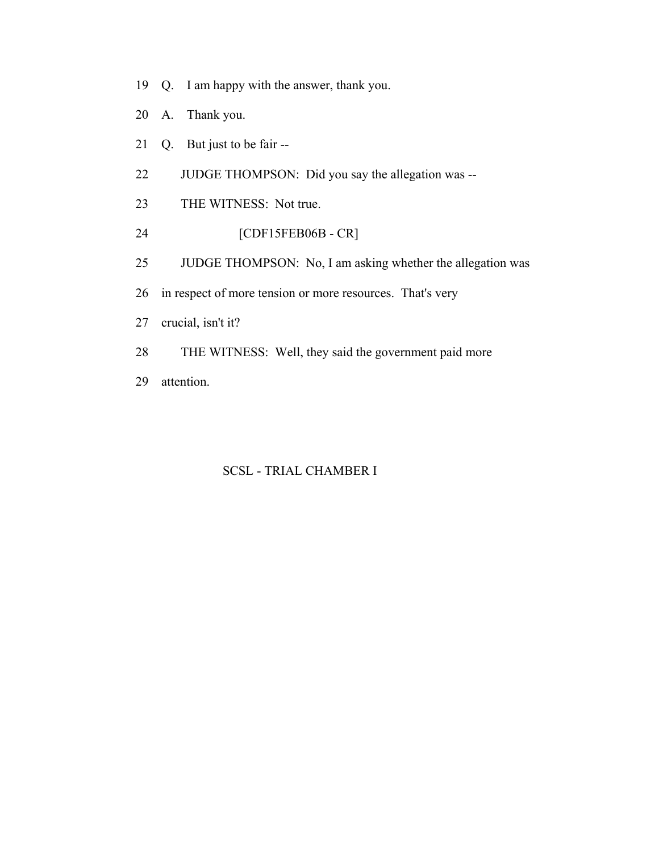- 19 Q. I am happy with the answer, thank you.
- 20 A. Thank you.
- 21 Q. But just to be fair --
- 22 JUDGE THOMPSON: Did you say the allegation was --
- 23 THE WITNESS: Not true.
- 24 [CDF15FEB06B CR]
- 25 JUDGE THOMPSON: No, I am asking whether the allegation was
- 26 in respect of more tension or more resources. That's very
- 27 crucial, isn't it?
- 28 THE WITNESS: Well, they said the government paid more
- 29 attention.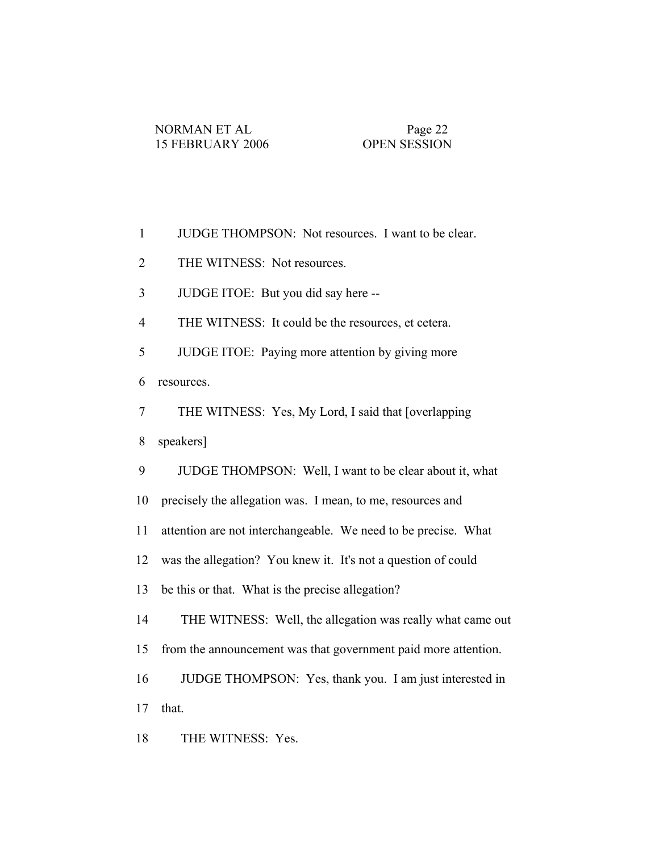| $\mathbf{1}$   | JUDGE THOMPSON: Not resources. I want to be clear.             |
|----------------|----------------------------------------------------------------|
| $\overline{2}$ | THE WITNESS: Not resources.                                    |
| 3              | JUDGE ITOE: But you did say here --                            |
| $\overline{4}$ | THE WITNESS: It could be the resources, et cetera.             |
| 5              | JUDGE ITOE: Paying more attention by giving more               |
| 6              | resources.                                                     |
| $\tau$         | THE WITNESS: Yes, My Lord, I said that [overlapping]           |
| 8              | speakers]                                                      |
| 9              | JUDGE THOMPSON: Well, I want to be clear about it, what        |
| 10             | precisely the allegation was. I mean, to me, resources and     |
| 11             | attention are not interchangeable. We need to be precise. What |
| 12             | was the allegation? You knew it. It's not a question of could  |
| 13             | be this or that. What is the precise allegation?               |
| 14             | THE WITNESS: Well, the allegation was really what came out     |
| 15             | from the announcement was that government paid more attention. |
| 16             | JUDGE THOMPSON: Yes, thank you. I am just interested in        |
| 17             | that.                                                          |
| 18             | THE WITNESS: Yes.                                              |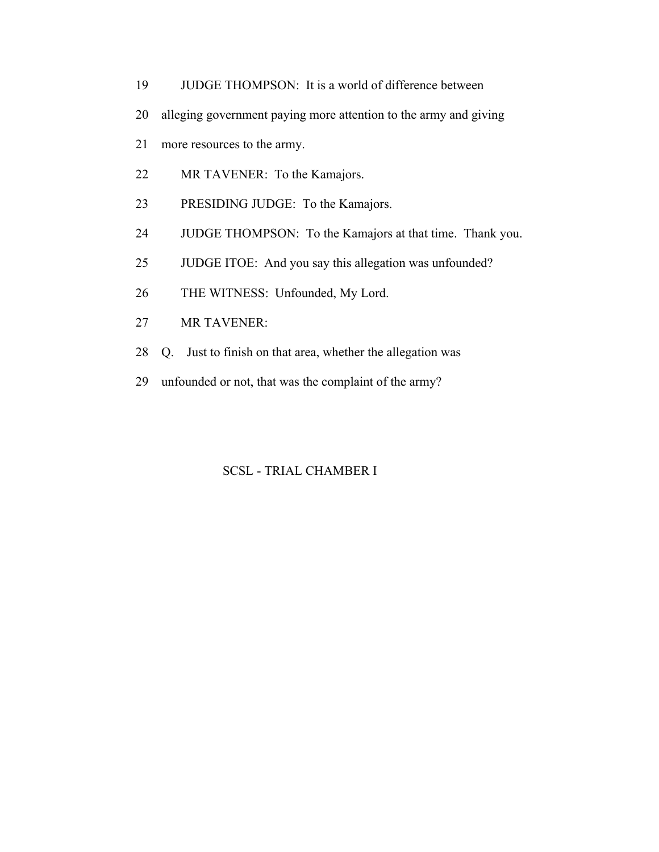- 19 JUDGE THOMPSON: It is a world of difference between
- 20 alleging government paying more attention to the army and giving
- 21 more resources to the army.
- 22 MR TAVENER: To the Kamajors.
- 23 PRESIDING JUDGE: To the Kamajors.
- 24 JUDGE THOMPSON: To the Kamajors at that time. Thank you.
- 25 JUDGE ITOE: And you say this allegation was unfounded?
- 26 THE WITNESS: Unfounded, My Lord.
- 27 MR TAVENER:
- 28 Q. Just to finish on that area, whether the allegation was
- 29 unfounded or not, that was the complaint of the army?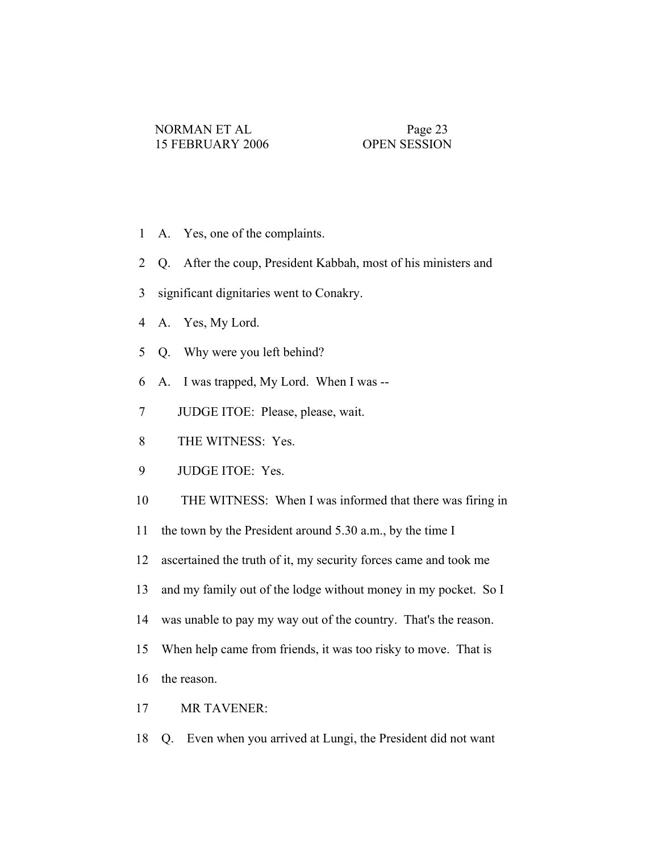- 1 A. Yes, one of the complaints.
- 2 Q. After the coup, President Kabbah, most of his ministers and
- 3 significant dignitaries went to Conakry.
- 4 A. Yes, My Lord.
- 5 Q. Why were you left behind?
- 6 A. I was trapped, My Lord. When I was --
- 7 JUDGE ITOE: Please, please, wait.
- 8 THE WITNESS: Yes.
- 9 JUDGE ITOE: Yes.
- 10 THE WITNESS: When I was informed that there was firing in
- 11 the town by the President around 5.30 a.m., by the time I
- 12 ascertained the truth of it, my security forces came and took me
- 13 and my family out of the lodge without money in my pocket. So I
- 14 was unable to pay my way out of the country. That's the reason.
- 15 When help came from friends, it was too risky to move. That is
- 16 the reason.
- 17 MR TAVENER:
- 18 Q. Even when you arrived at Lungi, the President did not want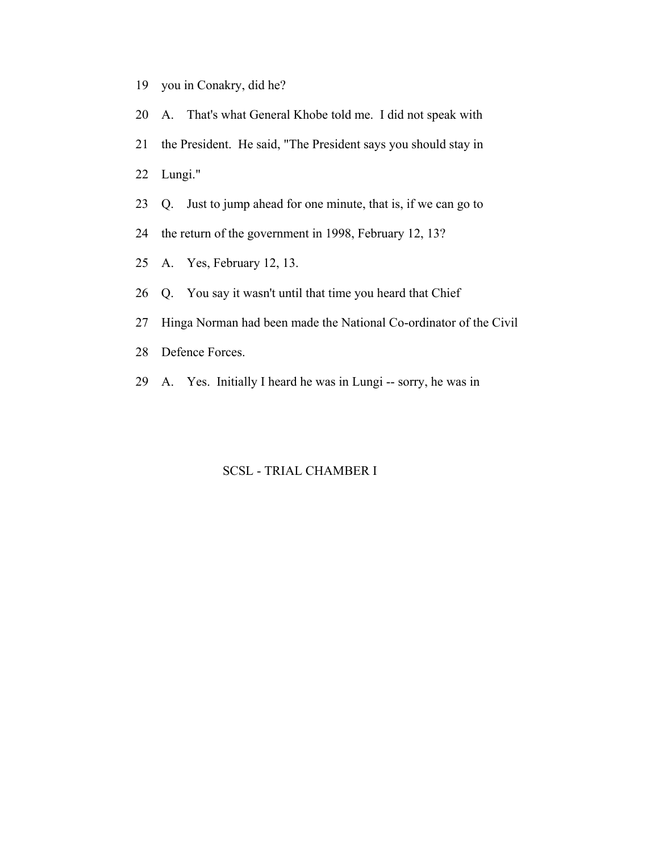- 19 you in Conakry, did he?
- 20 A. That's what General Khobe told me. I did not speak with 21 the President. He said, "The President says you should stay in 22 Lungi."
- 23 Q. Just to jump ahead for one minute, that is, if we can go to
- 24 the return of the government in 1998, February 12, 13?
- 25 A. Yes, February 12, 13.
- 26 Q. You say it wasn't until that time you heard that Chief
- 27 Hinga Norman had been made the National Co-ordinator of the Civil
- 28 Defence Forces.
- 29 A. Yes. Initially I heard he was in Lungi -- sorry, he was in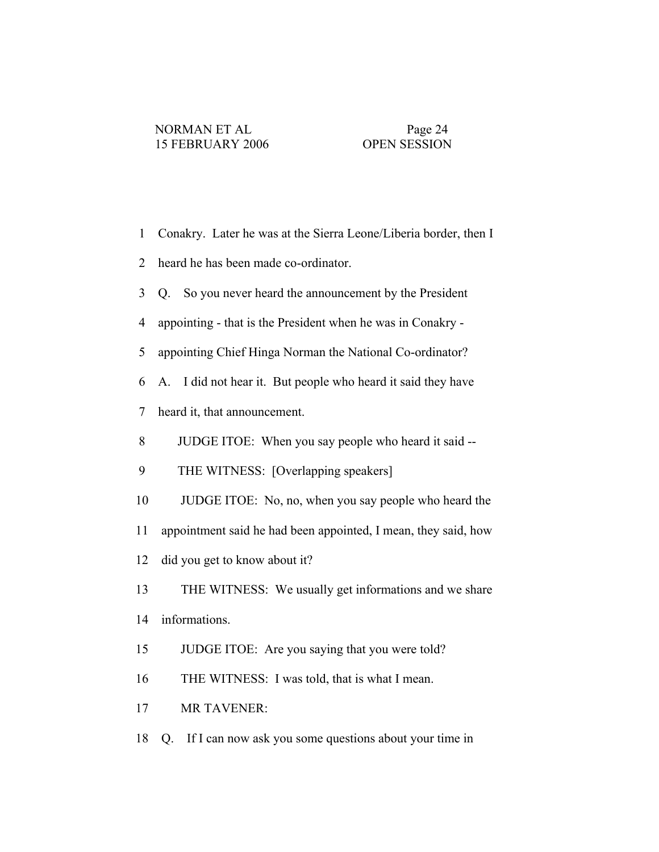| $\mathbf{1}$   | Conakry. Later he was at the Sierra Leone/Liberia border, then I |
|----------------|------------------------------------------------------------------|
| $\overline{2}$ | heard he has been made co-ordinator.                             |
| 3              | Q. So you never heard the announcement by the President          |
| 4              | appointing - that is the President when he was in Conakry -      |
| 5              | appointing Chief Hinga Norman the National Co-ordinator?         |
| 6              | I did not hear it. But people who heard it said they have<br>A.  |
| 7              | heard it, that announcement.                                     |
| 8              | JUDGE ITOE: When you say people who heard it said --             |
| 9              | THE WITNESS: [Overlapping speakers]                              |
| 10             | JUDGE ITOE: No, no, when you say people who heard the            |
| 11             | appointment said he had been appointed, I mean, they said, how   |
| 12             | did you get to know about it?                                    |
| 13             | THE WITNESS: We usually get informations and we share            |
| 14             | informations.                                                    |
| 15             | JUDGE ITOE: Are you saying that you were told?                   |
| 16             | THE WITNESS: I was told, that is what I mean.                    |
| 17             | MR TAVENER:                                                      |
| 18             | If I can now ask you some questions about your time in<br>Q.     |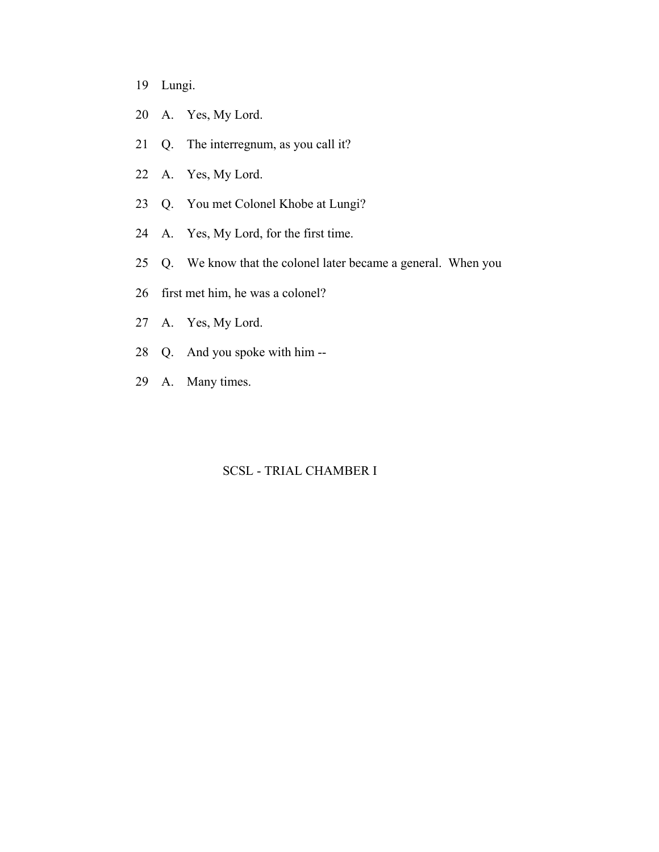19 Lungi.

- 20 A. Yes, My Lord.
- 21 Q. The interregnum, as you call it?
- 22 A. Yes, My Lord.
- 23 Q. You met Colonel Khobe at Lungi?
- 24 A. Yes, My Lord, for the first time.
- 25 Q. We know that the colonel later became a general. When you
- 26 first met him, he was a colonel?
- 27 A. Yes, My Lord.
- 28 Q. And you spoke with him --
- 29 A. Many times.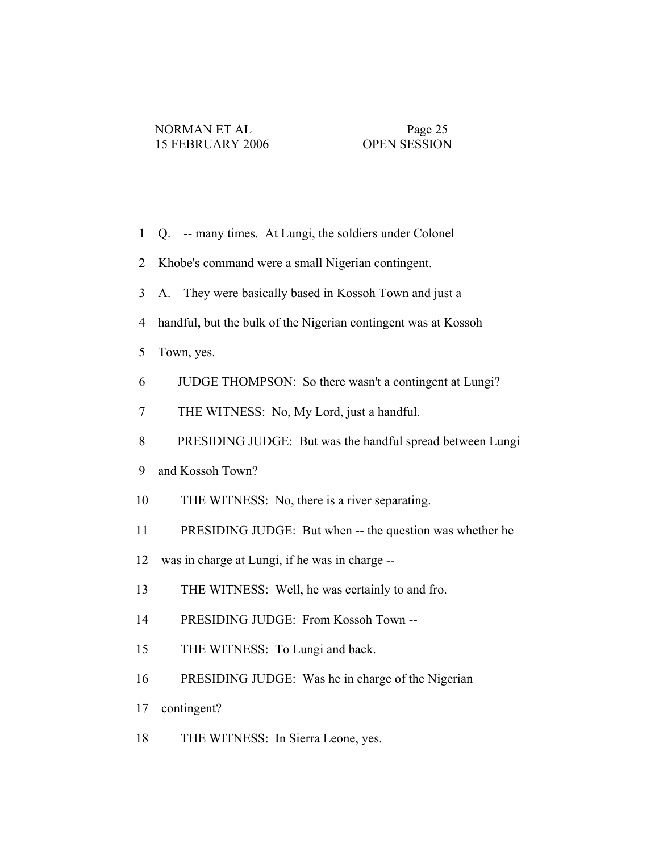- 1 Q. -- many times. At Lungi, the soldiers under Colonel
- 2 Khobe's command were a small Nigerian contingent.
- 3 A. They were basically based in Kossoh Town and just a
- 4 handful, but the bulk of the Nigerian contingent was at Kossoh
- 5 Town, yes.
- 6 JUDGE THOMPSON: So there wasn't a contingent at Lungi?
- 7 THE WITNESS: No, My Lord, just a handful.
- 8 PRESIDING JUDGE: But was the handful spread between Lungi
- 9 and Kossoh Town?
- 10 THE WITNESS: No, there is a river separating.
- 11 PRESIDING JUDGE: But when -- the question was whether he
- 12 was in charge at Lungi, if he was in charge --
- 13 THE WITNESS: Well, he was certainly to and fro.
- 14 PRESIDING JUDGE: From Kossoh Town --
- 15 THE WITNESS: To Lungi and back.
- 16 PRESIDING JUDGE: Was he in charge of the Nigerian
- 17 contingent?
- 18 THE WITNESS: In Sierra Leone, yes.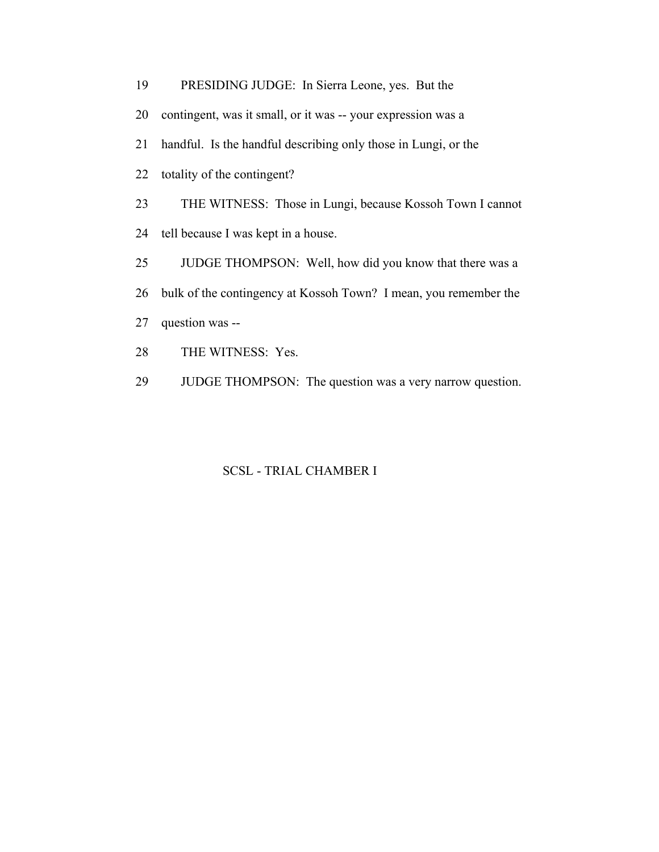- 19 PRESIDING JUDGE: In Sierra Leone, yes. But the
- 20 contingent, was it small, or it was -- your expression was a
- 21 handful. Is the handful describing only those in Lungi, or the
- 22 totality of the contingent?
- 23 THE WITNESS: Those in Lungi, because Kossoh Town I cannot
- 24 tell because I was kept in a house.
- 25 JUDGE THOMPSON: Well, how did you know that there was a
- 26 bulk of the contingency at Kossoh Town? I mean, you remember the
- 27 question was --
- 28 THE WITNESS: Yes.
- 29 JUDGE THOMPSON: The question was a very narrow question.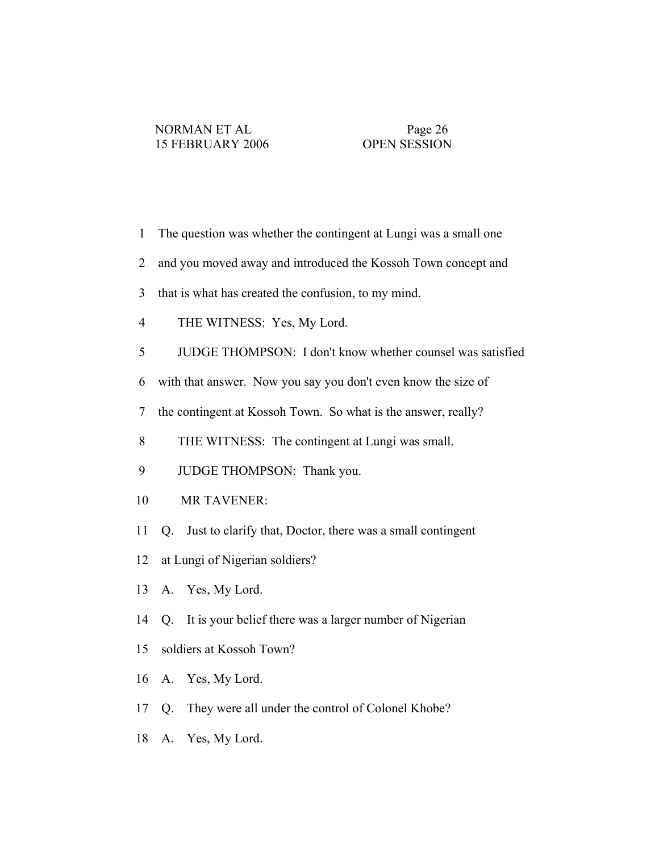1 The question was whether the contingent at Lungi was a small one 2 and you moved away and introduced the Kossoh Town concept and 3 that is what has created the confusion, to my mind. 4 THE WITNESS: Yes, My Lord. 5 JUDGE THOMPSON: I don't know whether counsel was satisfied 6 with that answer. Now you say you don't even know the size of 7 the contingent at Kossoh Town. So what is the answer, really? 8 THE WITNESS: The contingent at Lungi was small. 9 JUDGE THOMPSON: Thank you. 10 MR TAVENER: 11 Q. Just to clarify that, Doctor, there was a small contingent 12 at Lungi of Nigerian soldiers? 13 A. Yes, My Lord. 14 Q. It is your belief there was a larger number of Nigerian 15 soldiers at Kossoh Town? 16 A. Yes, My Lord. 17 Q. They were all under the control of Colonel Khobe? 18 A. Yes, My Lord.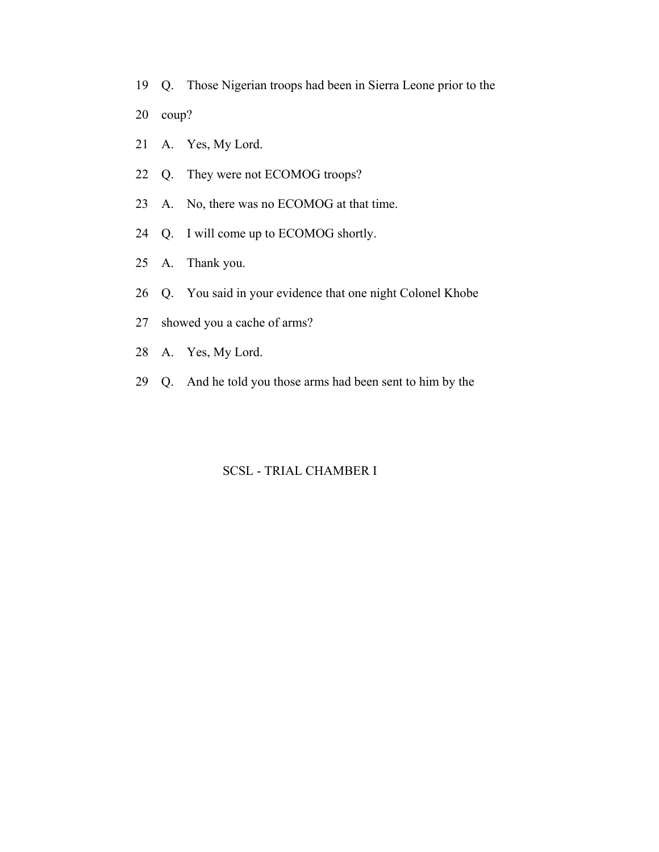- 19 Q. Those Nigerian troops had been in Sierra Leone prior to the
- 20 coup?
- 21 A. Yes, My Lord.
- 22 Q. They were not ECOMOG troops?
- 23 A. No, there was no ECOMOG at that time.
- 24 Q. I will come up to ECOMOG shortly.
- 25 A. Thank you.
- 26 Q. You said in your evidence that one night Colonel Khobe
- 27 showed you a cache of arms?
- 28 A. Yes, My Lord.
- 29 Q. And he told you those arms had been sent to him by the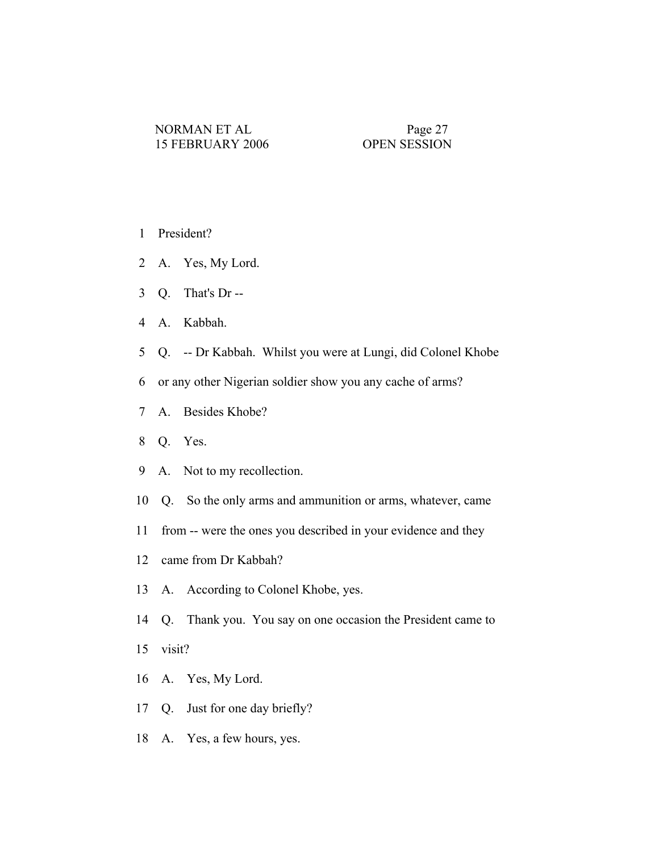- 1 President?
- 2 A. Yes, My Lord.
- 3 Q. That's Dr --
- 4 A. Kabbah.
- 5 Q. -- Dr Kabbah. Whilst you were at Lungi, did Colonel Khobe
- 6 or any other Nigerian soldier show you any cache of arms?
- 7 A. Besides Khobe?
- 8 Q. Yes.
- 9 A. Not to my recollection.
- 10 Q. So the only arms and ammunition or arms, whatever, came
- 11 from -- were the ones you described in your evidence and they
- 12 came from Dr Kabbah?
- 13 A. According to Colonel Khobe, yes.
- 14 Q. Thank you. You say on one occasion the President came to
- 15 visit?
- 16 A. Yes, My Lord.
- 17 Q. Just for one day briefly?
- 18 A. Yes, a few hours, yes.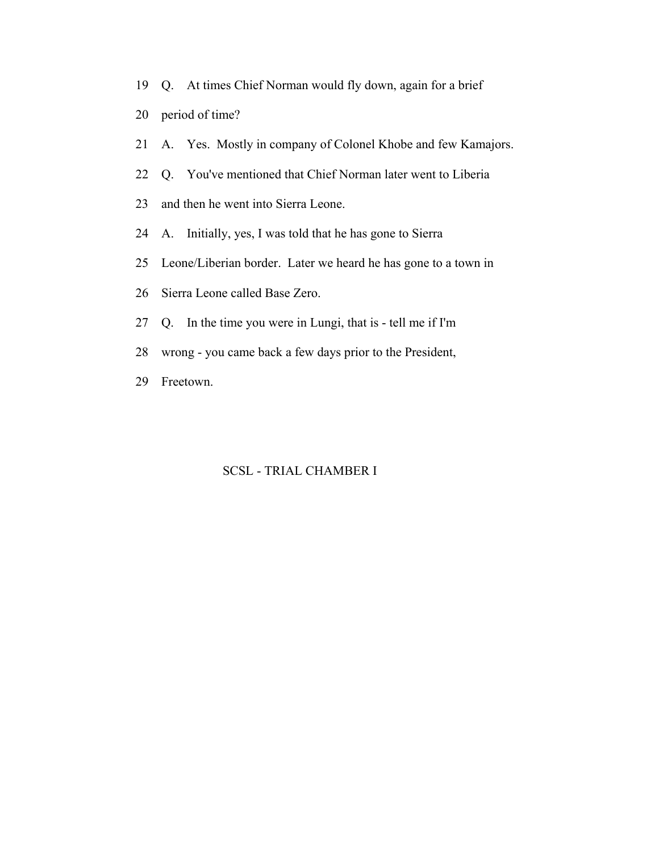- 19 Q. At times Chief Norman would fly down, again for a brief
- 20 period of time?
- 21 A. Yes. Mostly in company of Colonel Khobe and few Kamajors.
- 22 Q. You've mentioned that Chief Norman later went to Liberia
- 23 and then he went into Sierra Leone.
- 24 A. Initially, yes, I was told that he has gone to Sierra
- 25 Leone/Liberian border. Later we heard he has gone to a town in
- 26 Sierra Leone called Base Zero.
- 27 Q. In the time you were in Lungi, that is tell me if I'm
- 28 wrong you came back a few days prior to the President,
- 29 Freetown.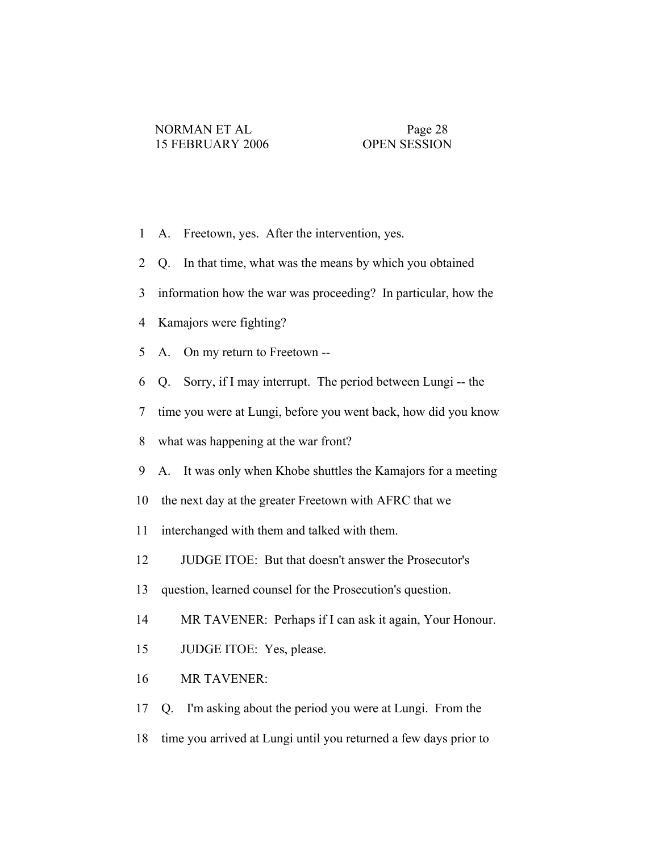- 1 A. Freetown, yes. After the intervention, yes.
- 2 Q. In that time, what was the means by which you obtained
- 3 information how the war was proceeding? In particular, how the
- 4 Kamajors were fighting?
- 5 A. On my return to Freetown --
- 6 Q. Sorry, if I may interrupt. The period between Lungi -- the
- 7 time you were at Lungi, before you went back, how did you know
- 8 what was happening at the war front?
- 9 A. It was only when Khobe shuttles the Kamajors for a meeting
- 10 the next day at the greater Freetown with AFRC that we
- 11 interchanged with them and talked with them.
- 12 JUDGE ITOE: But that doesn't answer the Prosecutor's
- 13 question, learned counsel for the Prosecution's question.
- 14 MR TAVENER: Perhaps if I can ask it again, Your Honour.
- 15 JUDGE ITOE: Yes, please.
- 16 MR TAVENER:
- 17 Q. I'm asking about the period you were at Lungi. From the
- 18 time you arrived at Lungi until you returned a few days prior to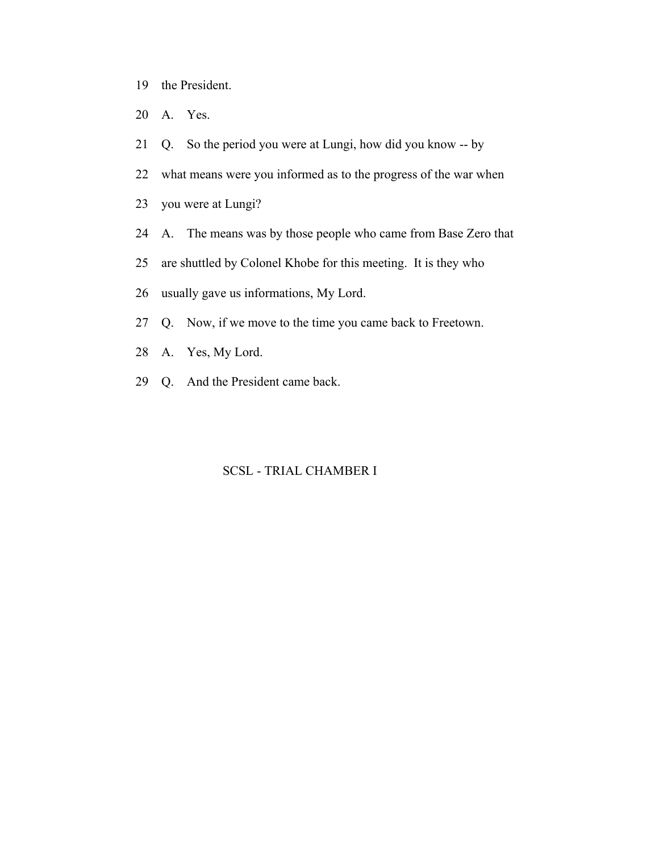- 19 the President.
- 20 A. Yes.
- 21 Q. So the period you were at Lungi, how did you know -- by
- 22 what means were you informed as to the progress of the war when
- 23 you were at Lungi?
- 24 A. The means was by those people who came from Base Zero that
- 25 are shuttled by Colonel Khobe for this meeting. It is they who
- 26 usually gave us informations, My Lord.
- 27 Q. Now, if we move to the time you came back to Freetown.
- 28 A. Yes, My Lord.
- 29 Q. And the President came back.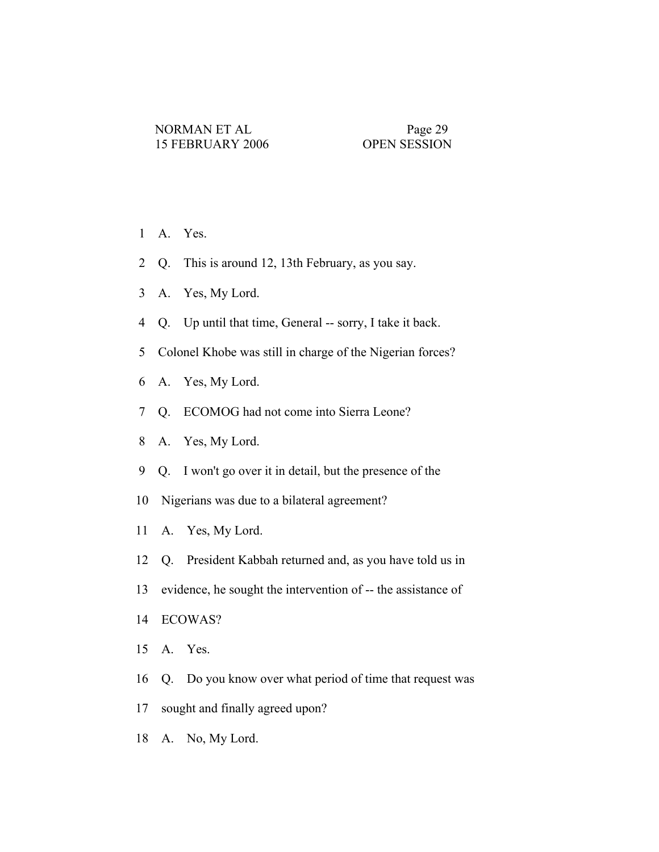- 1 A. Yes.
- 2 Q. This is around 12, 13th February, as you say.
- 3 A. Yes, My Lord.
- 4 Q. Up until that time, General -- sorry, I take it back.
- 5 Colonel Khobe was still in charge of the Nigerian forces?
- 6 A. Yes, My Lord.
- 7 Q. ECOMOG had not come into Sierra Leone?
- 8 A. Yes, My Lord.
- 9 Q. I won't go over it in detail, but the presence of the
- 10 Nigerians was due to a bilateral agreement?
- 11 A. Yes, My Lord.
- 12 Q. President Kabbah returned and, as you have told us in
- 13 evidence, he sought the intervention of -- the assistance of
- 14 ECOWAS?
- 15 A. Yes.
- 16 Q. Do you know over what period of time that request was
- 17 sought and finally agreed upon?
- 18 A. No, My Lord.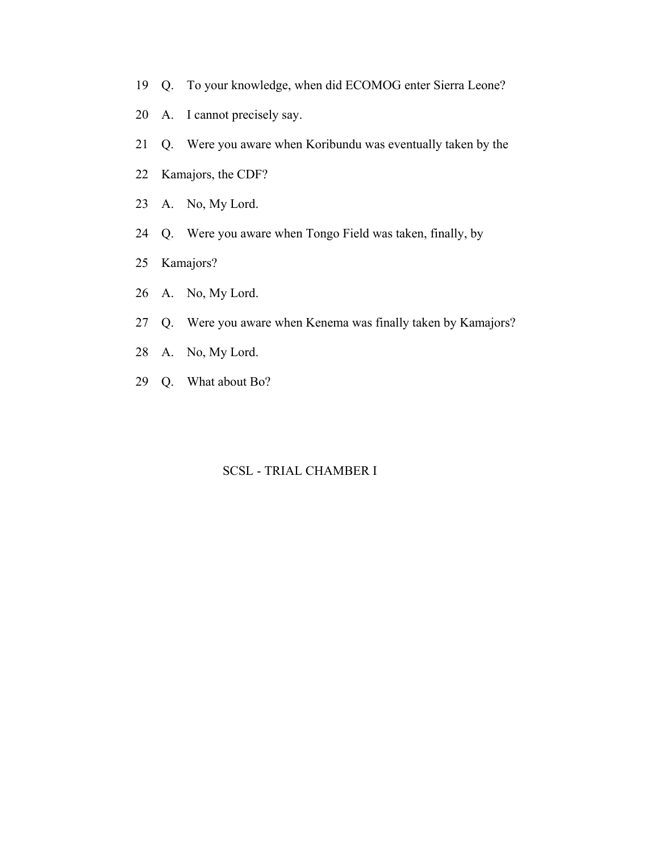- 19 Q. To your knowledge, when did ECOMOG enter Sierra Leone?
- 20 A. I cannot precisely say.
- 21 Q. Were you aware when Koribundu was eventually taken by the
- 22 Kamajors, the CDF?
- 23 A. No, My Lord.
- 24 Q. Were you aware when Tongo Field was taken, finally, by
- 25 Kamajors?
- 26 A. No, My Lord.
- 27 Q. Were you aware when Kenema was finally taken by Kamajors?
- 28 A. No, My Lord.
- 29 Q. What about Bo?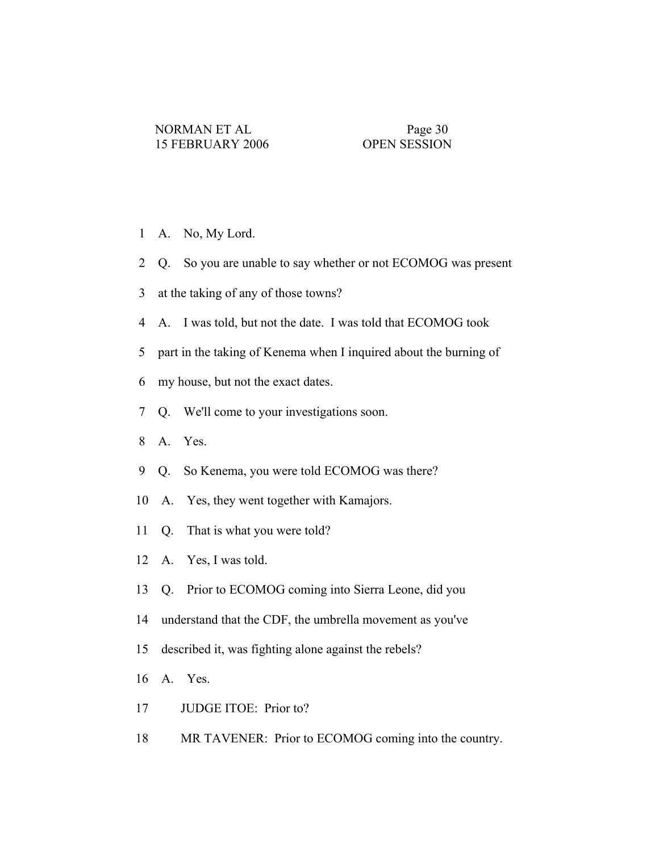- 1 A. No, My Lord.
- 2 Q. So you are unable to say whether or not ECOMOG was present
- 3 at the taking of any of those towns?
- 4 A. I was told, but not the date. I was told that ECOMOG took
- 5 part in the taking of Kenema when I inquired about the burning of
- 6 my house, but not the exact dates.
- 7 Q. We'll come to your investigations soon.
- 8 A. Yes.
- 9 Q. So Kenema, you were told ECOMOG was there?
- 10 A. Yes, they went together with Kamajors.
- 11 Q. That is what you were told?
- 12 A. Yes, I was told.
- 13 Q. Prior to ECOMOG coming into Sierra Leone, did you
- 14 understand that the CDF, the umbrella movement as you've
- 15 described it, was fighting alone against the rebels?
- 16 A. Yes.
- 17 JUDGE ITOE: Prior to?
- 18 MR TAVENER: Prior to ECOMOG coming into the country.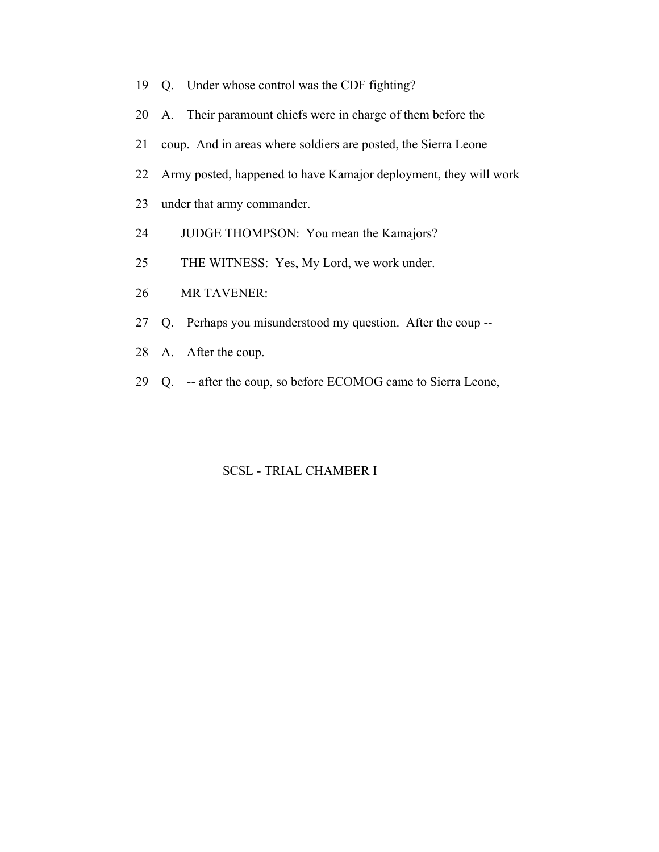- 19 Q. Under whose control was the CDF fighting?
- 20 A. Their paramount chiefs were in charge of them before the
- 21 coup. And in areas where soldiers are posted, the Sierra Leone
- 22 Army posted, happened to have Kamajor deployment, they will work
- 23 under that army commander.
- 24 JUDGE THOMPSON: You mean the Kamajors?
- 25 THE WITNESS: Yes, My Lord, we work under.
- 26 MR TAVENER:
- 27 Q. Perhaps you misunderstood my question. After the coup --
- 28 A. After the coup.
- 29 Q. -- after the coup, so before ECOMOG came to Sierra Leone,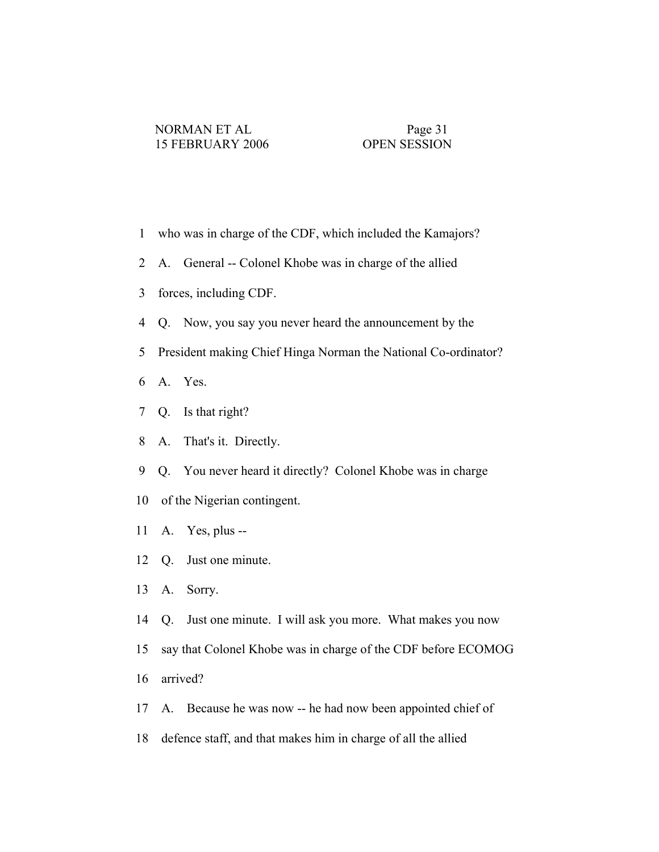- 1 who was in charge of the CDF, which included the Kamajors?
- 2 A. General -- Colonel Khobe was in charge of the allied
- 3 forces, including CDF.
- 4 Q. Now, you say you never heard the announcement by the
- 5 President making Chief Hinga Norman the National Co-ordinator?
- 6 A. Yes.
- 7 Q. Is that right?
- 8 A. That's it. Directly.
- 9 Q. You never heard it directly? Colonel Khobe was in charge
- 10 of the Nigerian contingent.
- 11 A. Yes, plus --
- 12 Q. Just one minute.
- 13 A. Sorry.
- 14 Q. Just one minute. I will ask you more. What makes you now
- 15 say that Colonel Khobe was in charge of the CDF before ECOMOG
- 16 arrived?
- 17 A. Because he was now -- he had now been appointed chief of
- 18 defence staff, and that makes him in charge of all the allied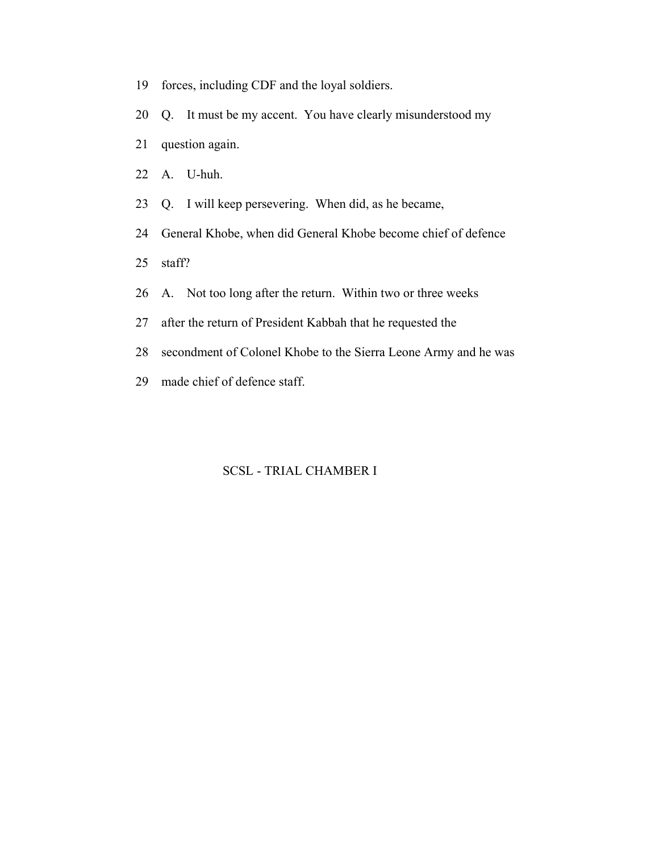- 19 forces, including CDF and the loyal soldiers.
- 20 Q. It must be my accent. You have clearly misunderstood my
- 21 question again.
- 22 A. U-huh.
- 23 Q. I will keep persevering. When did, as he became,
- 24 General Khobe, when did General Khobe become chief of defence
- 25 staff?
- 26 A. Not too long after the return. Within two or three weeks
- 27 after the return of President Kabbah that he requested the
- 28 secondment of Colonel Khobe to the Sierra Leone Army and he was
- 29 made chief of defence staff.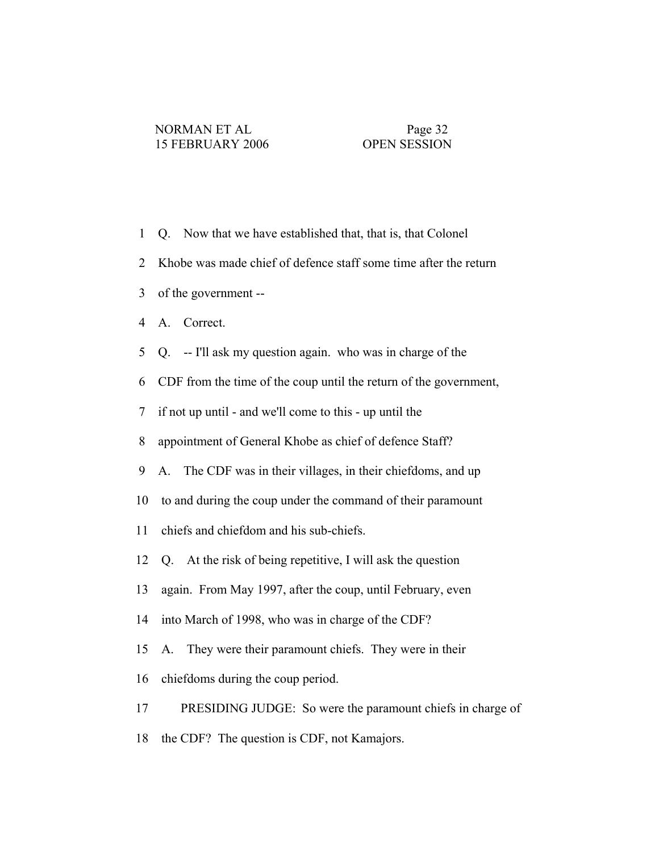- 1 Q. Now that we have established that, that is, that Colonel
- 2 Khobe was made chief of defence staff some time after the return
- 3 of the government --
- 4 A. Correct.
- 5 Q. -- I'll ask my question again. who was in charge of the
- 6 CDF from the time of the coup until the return of the government,
- 7 if not up until and we'll come to this up until the
- 8 appointment of General Khobe as chief of defence Staff?
- 9 A. The CDF was in their villages, in their chiefdoms, and up
- 10 to and during the coup under the command of their paramount
- 11 chiefs and chiefdom and his sub-chiefs.
- 12 Q. At the risk of being repetitive, I will ask the question
- 13 again. From May 1997, after the coup, until February, even
- 14 into March of 1998, who was in charge of the CDF?
- 15 A. They were their paramount chiefs. They were in their
- 16 chiefdoms during the coup period.
- 17 PRESIDING JUDGE: So were the paramount chiefs in charge of
- 18 the CDF? The question is CDF, not Kamajors.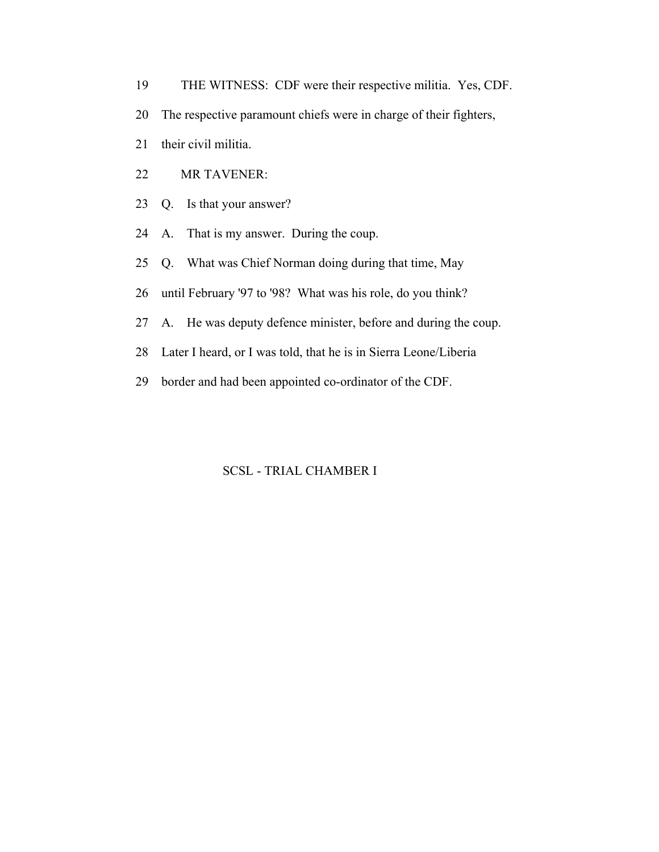- 19 THE WITNESS: CDF were their respective militia. Yes, CDF.
- 20 The respective paramount chiefs were in charge of their fighters,
- 21 their civil militia.
- 22 MR TAVENER:
- 23 Q. Is that your answer?
- 24 A. That is my answer. During the coup.
- 25 Q. What was Chief Norman doing during that time, May
- 26 until February '97 to '98? What was his role, do you think?
- 27 A. He was deputy defence minister, before and during the coup.
- 28 Later I heard, or I was told, that he is in Sierra Leone/Liberia
- 29 border and had been appointed co-ordinator of the CDF.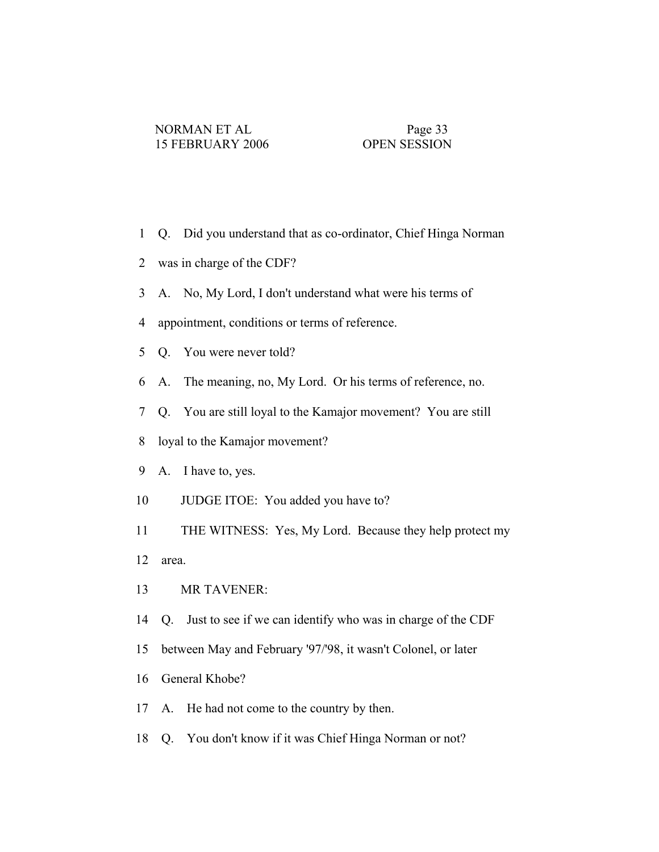- 1 Q. Did you understand that as co-ordinator, Chief Hinga Norman
- 2 was in charge of the CDF?
- 3 A. No, My Lord, I don't understand what were his terms of
- 4 appointment, conditions or terms of reference.
- 5 Q. You were never told?
- 6 A. The meaning, no, My Lord. Or his terms of reference, no.
- 7 Q. You are still loyal to the Kamajor movement? You are still
- 8 loyal to the Kamajor movement?
- 9 A. I have to, yes.
- 10 JUDGE ITOE: You added you have to?
- 11 THE WITNESS: Yes, My Lord. Because they help protect my
- 12 area.
- 13 MR TAVENER:
- 14 Q. Just to see if we can identify who was in charge of the CDF
- 15 between May and February '97/'98, it wasn't Colonel, or later
- 16 General Khobe?
- 17 A. He had not come to the country by then.
- 18 Q. You don't know if it was Chief Hinga Norman or not?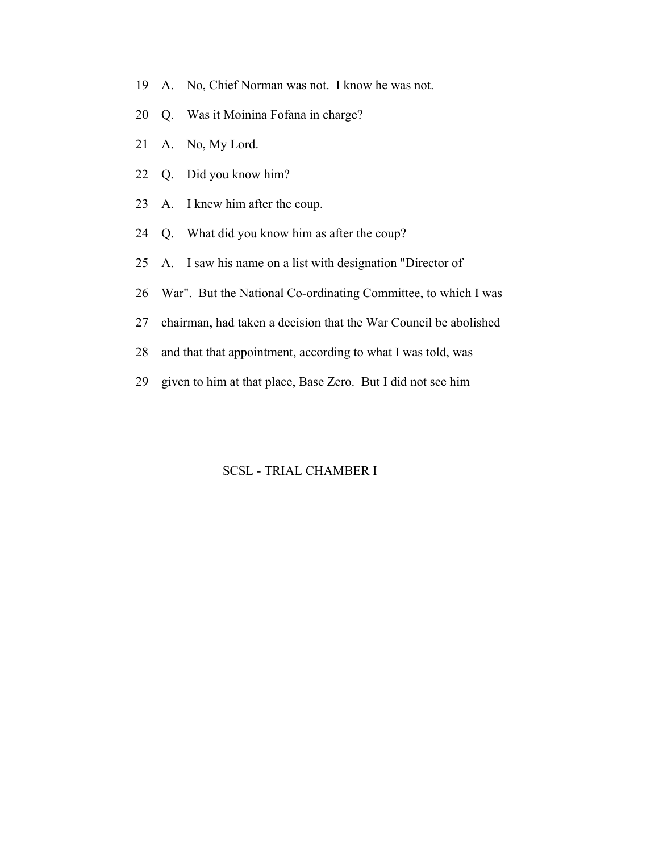- 19 A. No, Chief Norman was not. I know he was not.
- 20 Q. Was it Moinina Fofana in charge?
- 21 A. No, My Lord.
- 22 Q. Did you know him?
- 23 A. I knew him after the coup.
- 24 Q. What did you know him as after the coup?
- 25 A. I saw his name on a list with designation "Director of
- 26 War". But the National Co-ordinating Committee, to which I was
- 27 chairman, had taken a decision that the War Council be abolished
- 28 and that that appointment, according to what I was told, was
- 29 given to him at that place, Base Zero. But I did not see him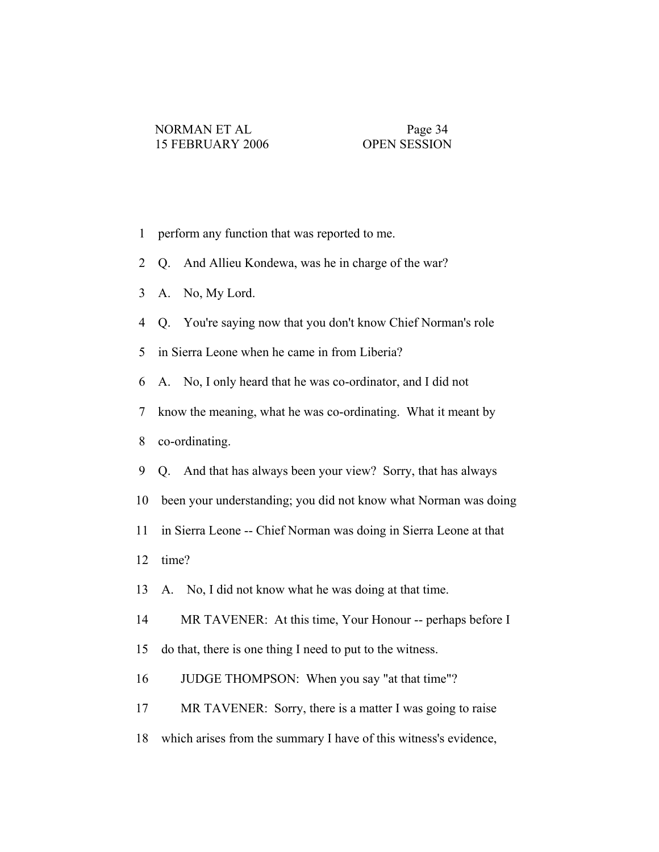- 1 perform any function that was reported to me.
- 2 Q. And Allieu Kondewa, was he in charge of the war?
- 3 A. No, My Lord.
- 4 Q. You're saying now that you don't know Chief Norman's role
- 5 in Sierra Leone when he came in from Liberia?
- 6 A. No, I only heard that he was co-ordinator, and I did not
- 7 know the meaning, what he was co-ordinating. What it meant by
- 8 co-ordinating.
- 9 Q. And that has always been your view? Sorry, that has always
- 10 been your understanding; you did not know what Norman was doing
- 11 in Sierra Leone -- Chief Norman was doing in Sierra Leone at that
- 12 time?
- 13 A. No, I did not know what he was doing at that time.
- 14 MR TAVENER: At this time, Your Honour -- perhaps before I
- 15 do that, there is one thing I need to put to the witness.
- 16 JUDGE THOMPSON: When you say "at that time"?
- 17 MR TAVENER: Sorry, there is a matter I was going to raise
- 18 which arises from the summary I have of this witness's evidence,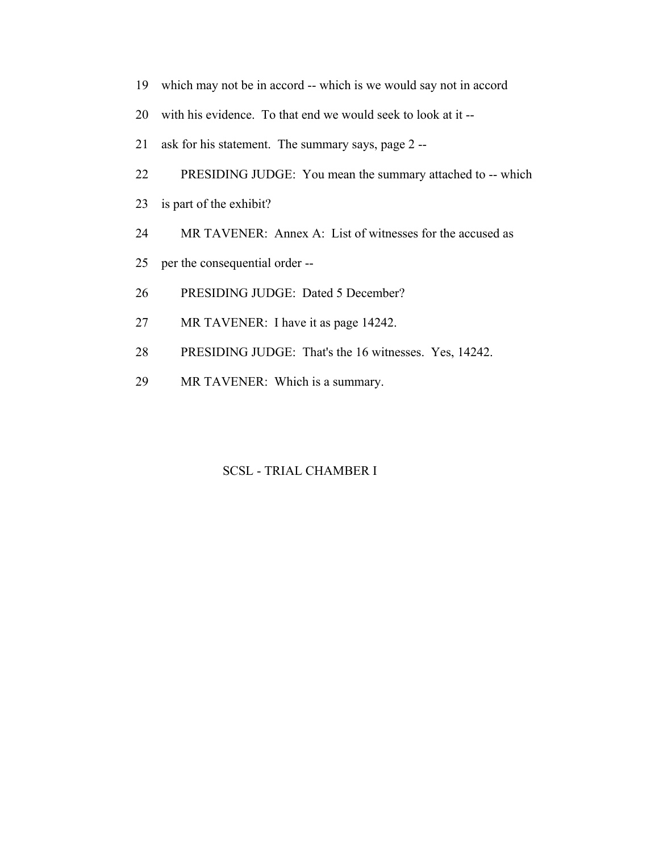- 19 which may not be in accord -- which is we would say not in accord
- 20 with his evidence. To that end we would seek to look at it --
- 21 ask for his statement. The summary says, page 2 --
- 22 PRESIDING JUDGE: You mean the summary attached to -- which
- 23 is part of the exhibit?
- 24 MR TAVENER: Annex A: List of witnesses for the accused as
- 25 per the consequential order --
- 26 PRESIDING JUDGE: Dated 5 December?
- 27 MR TAVENER: I have it as page 14242.
- 28 PRESIDING JUDGE: That's the 16 witnesses. Yes, 14242.
- 29 MR TAVENER: Which is a summary.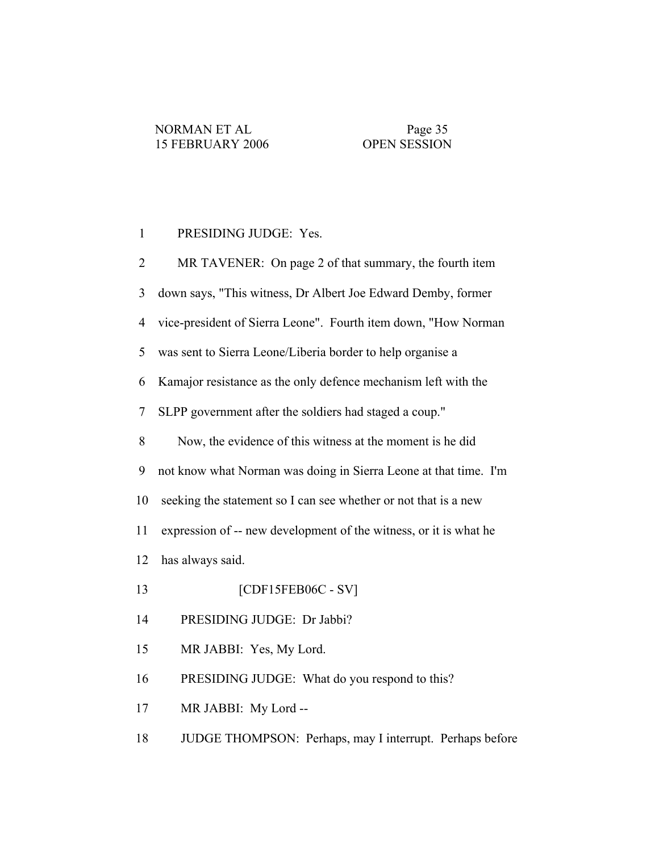#### 1 PRESIDING JUDGE: Yes.

 2 MR TAVENER: On page 2 of that summary, the fourth item 3 down says, "This witness, Dr Albert Joe Edward Demby, former 4 vice-president of Sierra Leone". Fourth item down, "How Norman 5 was sent to Sierra Leone/Liberia border to help organise a 6 Kamajor resistance as the only defence mechanism left with the 7 SLPP government after the soldiers had staged a coup." 8 Now, the evidence of this witness at the moment is he did 9 not know what Norman was doing in Sierra Leone at that time. I'm 10 seeking the statement so I can see whether or not that is a new 11 expression of -- new development of the witness, or it is what he 12 has always said. 13 [CDF15FEB06C - SV] 14 PRESIDING JUDGE: Dr Jabbi? 15 MR JABBI: Yes, My Lord. 16 PRESIDING JUDGE: What do you respond to this? 17 MR JABBI: My Lord --

18 JUDGE THOMPSON: Perhaps, may I interrupt. Perhaps before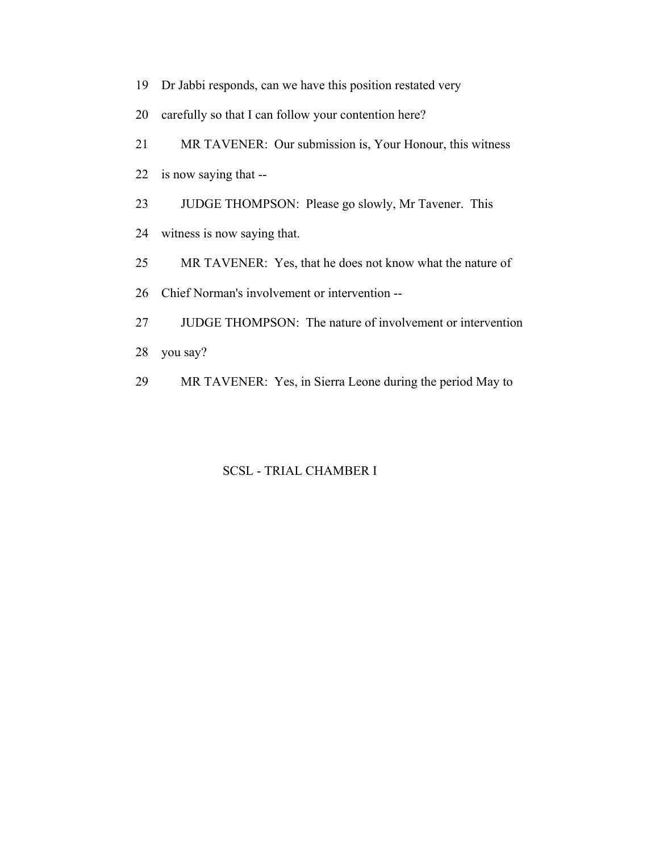- 19 Dr Jabbi responds, can we have this position restated very
- 20 carefully so that I can follow your contention here?
- 21 MR TAVENER: Our submission is, Your Honour, this witness
- 22 is now saying that --
- 23 JUDGE THOMPSON: Please go slowly, Mr Tavener. This
- 24 witness is now saying that.
- 25 MR TAVENER: Yes, that he does not know what the nature of
- 26 Chief Norman's involvement or intervention --
- 27 JUDGE THOMPSON: The nature of involvement or intervention
- 28 you say?
- 29 MR TAVENER: Yes, in Sierra Leone during the period May to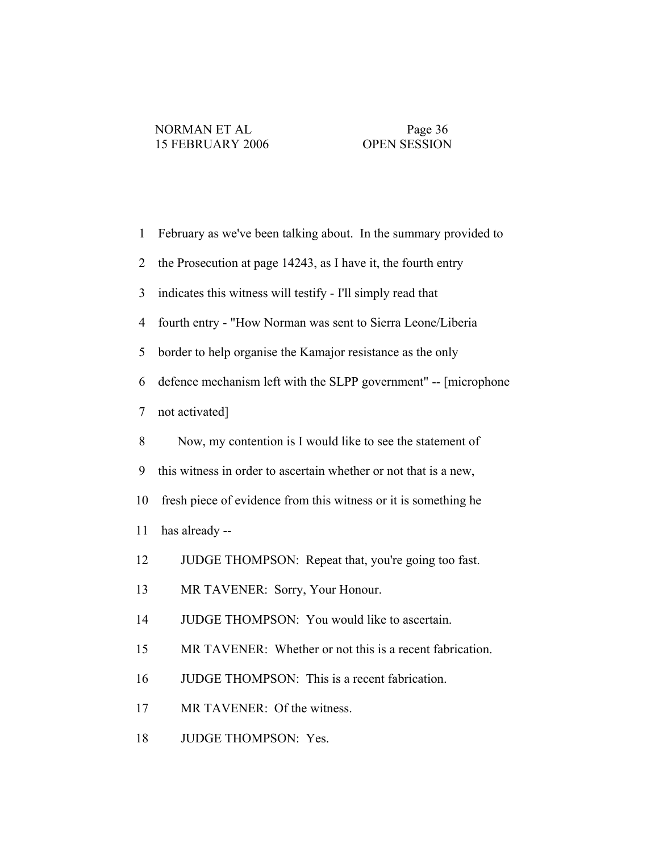| $\mathbf{1}$   | February as we've been talking about. In the summary provided to |
|----------------|------------------------------------------------------------------|
| $\overline{2}$ | the Prosecution at page 14243, as I have it, the fourth entry    |
| 3              | indicates this witness will testify - I'll simply read that      |
| 4              | fourth entry - "How Norman was sent to Sierra Leone/Liberia      |
| 5              | border to help organise the Kamajor resistance as the only       |
| 6              | defence mechanism left with the SLPP government" -- [microphone] |
| 7              | not activated]                                                   |
| 8              | Now, my contention is I would like to see the statement of       |
| 9              | this witness in order to ascertain whether or not that is a new, |
| 10             | fresh piece of evidence from this witness or it is something he  |
| 11             | has already --                                                   |
| 12             | JUDGE THOMPSON: Repeat that, you're going too fast.              |
| 13             | MR TAVENER: Sorry, Your Honour.                                  |
| 14             | JUDGE THOMPSON: You would like to ascertain.                     |
| 15             | MR TAVENER: Whether or not this is a recent fabrication.         |
| 16             | JUDGE THOMPSON: This is a recent fabrication.                    |
| 17             | MR TAVENER: Of the witness.                                      |
| 18             | JUDGE THOMPSON: Yes.                                             |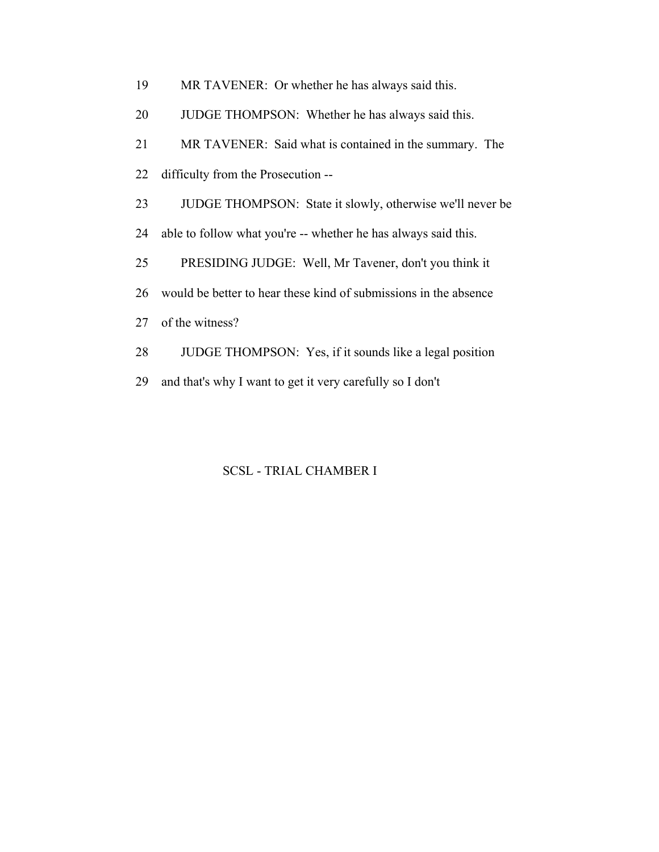| 19 | MR TAVENER: Or whether he has always said this.                  |
|----|------------------------------------------------------------------|
| 20 | JUDGE THOMPSON: Whether he has always said this.                 |
| 21 | MR TAVENER: Said what is contained in the summary. The           |
| 22 | difficulty from the Prosecution --                               |
| 23 | JUDGE THOMPSON: State it slowly, otherwise we'll never be        |
| 24 | able to follow what you're -- whether he has always said this.   |
| 25 | PRESIDING JUDGE: Well, Mr Tavener, don't you think it            |
| 26 | would be better to hear these kind of submissions in the absence |
| 27 | of the witness?                                                  |
| 28 | JUDGE THOMPSON: Yes, if it sounds like a legal position          |
| 29 | and that's why I want to get it very carefully so I don't        |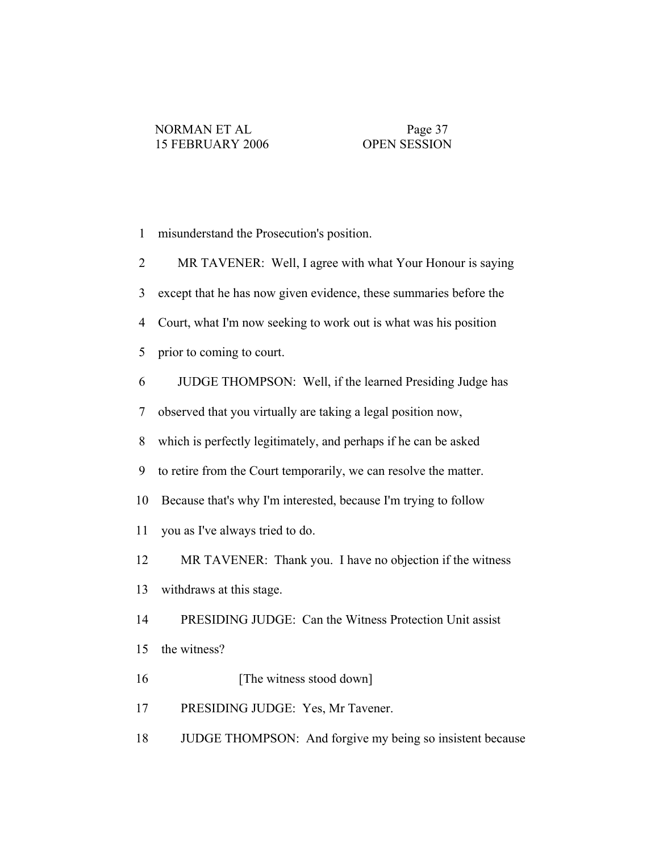| $\mathbf{1}$   | misunderstand the Prosecution's position.                         |
|----------------|-------------------------------------------------------------------|
| $\overline{2}$ | MR TAVENER: Well, I agree with what Your Honour is saying         |
| 3              | except that he has now given evidence, these summaries before the |
| $\overline{4}$ | Court, what I'm now seeking to work out is what was his position  |
| 5              | prior to coming to court.                                         |
| 6              | JUDGE THOMPSON: Well, if the learned Presiding Judge has          |
| 7              | observed that you virtually are taking a legal position now,      |
| 8              | which is perfectly legitimately, and perhaps if he can be asked   |
| 9              | to retire from the Court temporarily, we can resolve the matter.  |
| 10             | Because that's why I'm interested, because I'm trying to follow   |
| 11             | you as I've always tried to do.                                   |
| 12             | MR TAVENER: Thank you. I have no objection if the witness         |
| 13             | withdraws at this stage.                                          |
| 14             | PRESIDING JUDGE: Can the Witness Protection Unit assist           |
| 15             | the witness?                                                      |
| 16             | [The witness stood down]                                          |
| 17             | PRESIDING JUDGE: Yes, Mr Tavener.                                 |
| 18             | JUDGE THOMPSON: And forgive my being so insistent because         |
|                |                                                                   |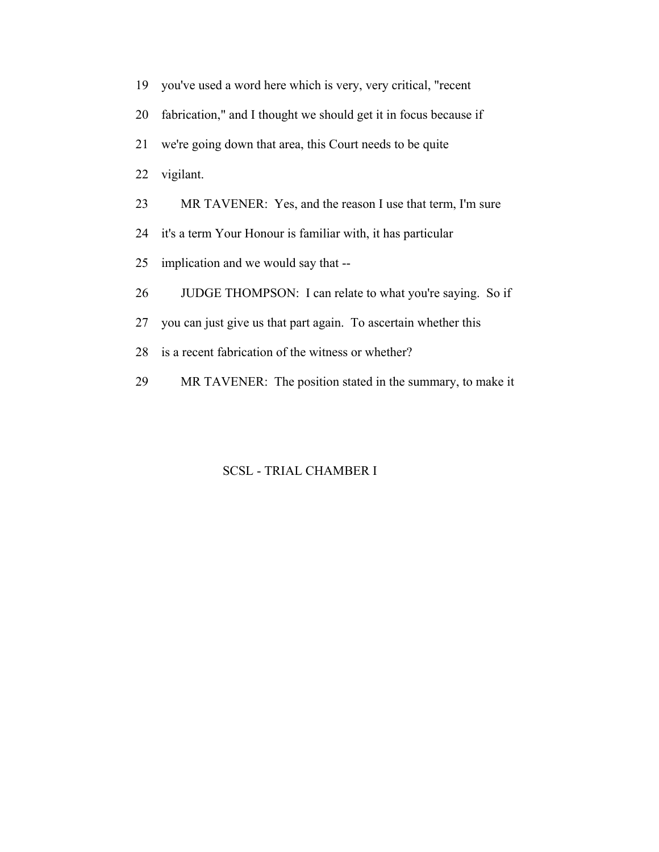- 19 you've used a word here which is very, very critical, "recent
- 20 fabrication," and I thought we should get it in focus because if
- 21 we're going down that area, this Court needs to be quite
- 22 vigilant.
- 23 MR TAVENER: Yes, and the reason I use that term, I'm sure
- 24 it's a term Your Honour is familiar with, it has particular
- 25 implication and we would say that --
- 26 JUDGE THOMPSON: I can relate to what you're saying. So if
- 27 you can just give us that part again. To ascertain whether this
- 28 is a recent fabrication of the witness or whether?
- 29 MR TAVENER: The position stated in the summary, to make it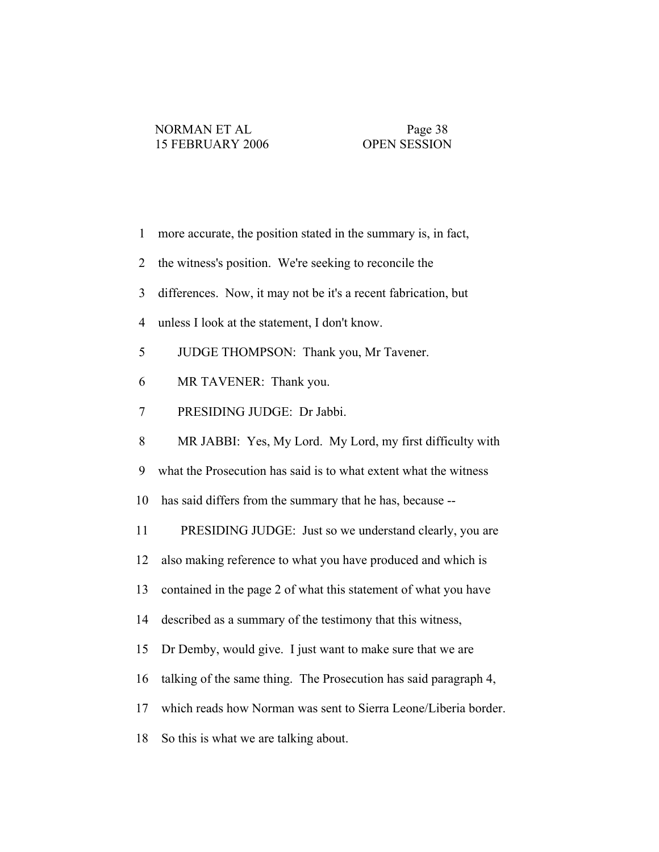| $\mathbf{1}$   | more accurate, the position stated in the summary is, in fact,   |
|----------------|------------------------------------------------------------------|
| $\overline{2}$ | the witness's position. We're seeking to reconcile the           |
| $\overline{3}$ | differences. Now, it may not be it's a recent fabrication, but   |
| $\overline{4}$ | unless I look at the statement, I don't know.                    |
| 5              | JUDGE THOMPSON: Thank you, Mr Tavener.                           |
| 6              | MR TAVENER: Thank you.                                           |
| $\tau$         | PRESIDING JUDGE: Dr Jabbi.                                       |
| 8              | MR JABBI: Yes, My Lord. My Lord, my first difficulty with        |
| 9              | what the Prosecution has said is to what extent what the witness |
| 10             | has said differs from the summary that he has, because --        |
| 11             | PRESIDING JUDGE: Just so we understand clearly, you are          |
| 12             | also making reference to what you have produced and which is     |
| 13             | contained in the page 2 of what this statement of what you have  |
| 14             | described as a summary of the testimony that this witness,       |
| 15             | Dr Demby, would give. I just want to make sure that we are       |
| 16             | talking of the same thing. The Prosecution has said paragraph 4, |
| 17             | which reads how Norman was sent to Sierra Leone/Liberia border.  |
| 18             | So this is what we are talking about.                            |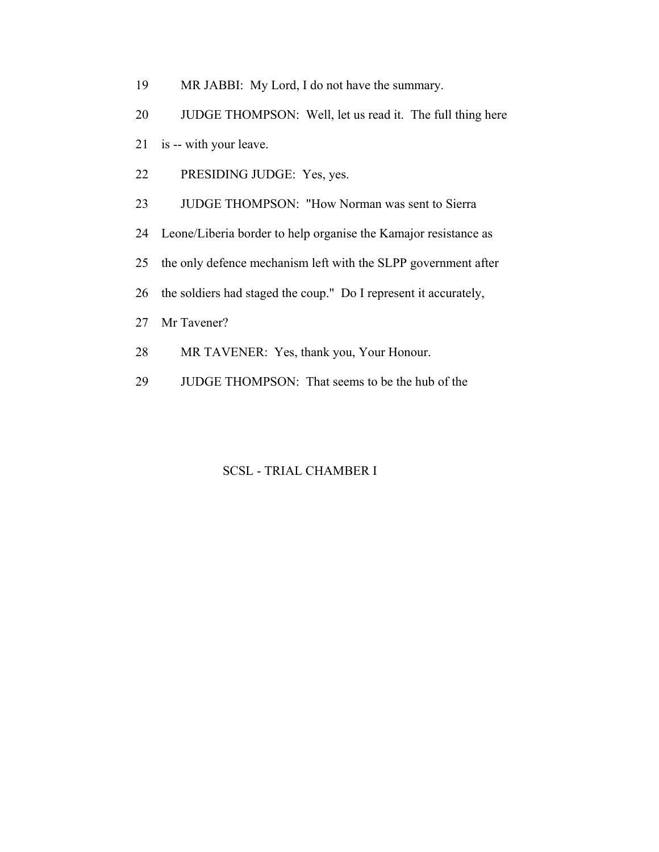- 19 MR JABBI: My Lord, I do not have the summary.
- 20 JUDGE THOMPSON: Well, let us read it. The full thing here
- 21 is -- with your leave.
- 22 PRESIDING JUDGE: Yes, yes.
- 23 JUDGE THOMPSON: "How Norman was sent to Sierra
- 24 Leone/Liberia border to help organise the Kamajor resistance as
- 25 the only defence mechanism left with the SLPP government after
- 26 the soldiers had staged the coup." Do I represent it accurately,
- 27 Mr Tavener?
- 28 MR TAVENER: Yes, thank you, Your Honour.
- 29 JUDGE THOMPSON: That seems to be the hub of the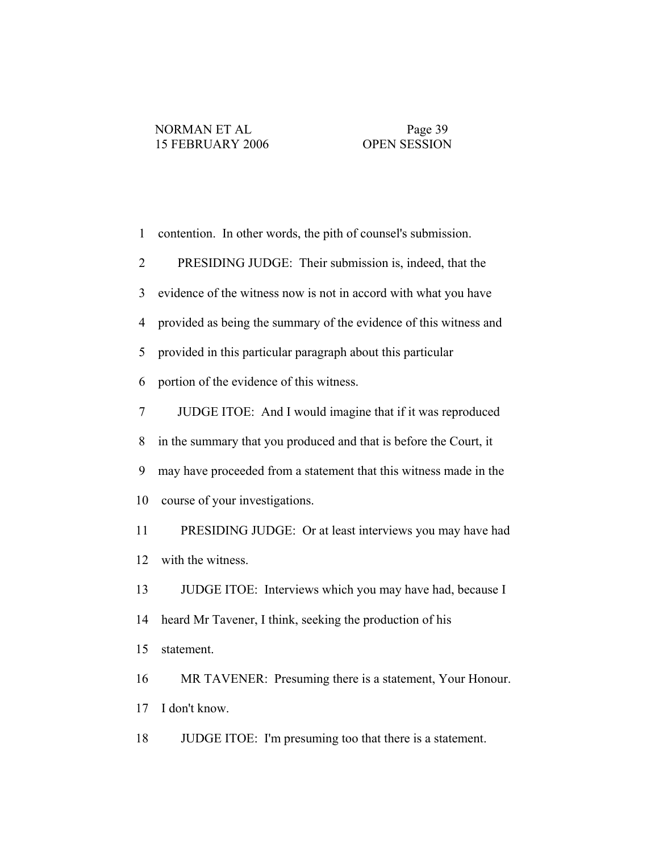| $\mathbf{1}$   | contention. In other words, the pith of counsel's submission.     |
|----------------|-------------------------------------------------------------------|
| $\overline{2}$ | PRESIDING JUDGE: Their submission is, indeed, that the            |
| 3              | evidence of the witness now is not in accord with what you have   |
| $\overline{4}$ | provided as being the summary of the evidence of this witness and |
| 5              | provided in this particular paragraph about this particular       |
| 6              | portion of the evidence of this witness.                          |
| $\tau$         | JUDGE ITOE: And I would imagine that if it was reproduced         |
| 8              | in the summary that you produced and that is before the Court, it |
| 9              | may have proceeded from a statement that this witness made in the |
| 10             | course of your investigations.                                    |
| 11             | PRESIDING JUDGE: Or at least interviews you may have had          |
| 12             | with the witness.                                                 |
| 13             | JUDGE ITOE: Interviews which you may have had, because I          |
| 14             | heard Mr Tavener, I think, seeking the production of his          |
| 15             | statement.                                                        |
| 16             | MR TAVENER: Presuming there is a statement, Your Honour.          |
| 17             | I don't know.                                                     |
|                |                                                                   |

18 JUDGE ITOE: I'm presuming too that there is a statement.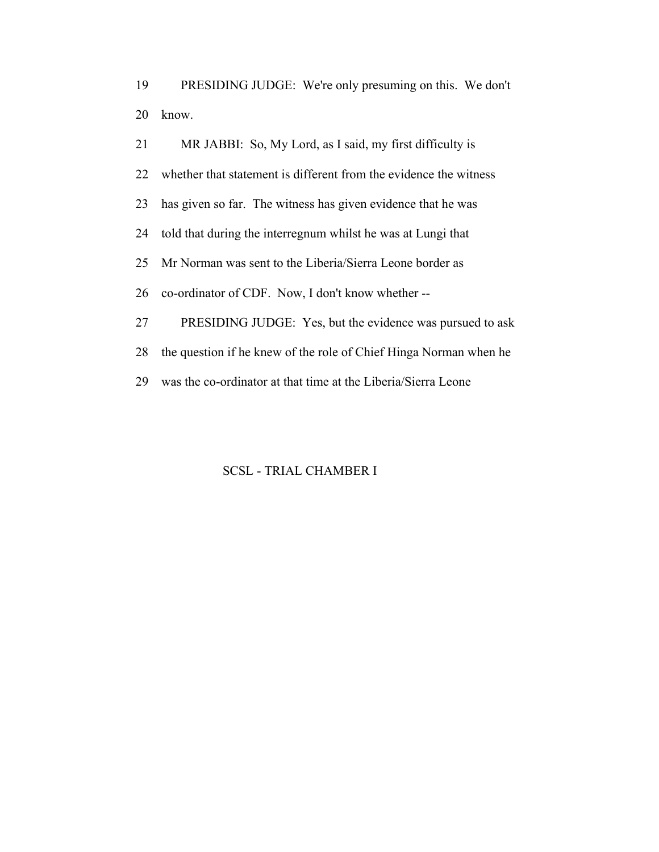19 PRESIDING JUDGE: We're only presuming on this. We don't 20 know.

 21 MR JABBI: So, My Lord, as I said, my first difficulty is 22 whether that statement is different from the evidence the witness 23 has given so far. The witness has given evidence that he was 24 told that during the interregnum whilst he was at Lungi that 25 Mr Norman was sent to the Liberia/Sierra Leone border as 26 co-ordinator of CDF. Now, I don't know whether -- 27 PRESIDING JUDGE: Yes, but the evidence was pursued to ask 28 the question if he knew of the role of Chief Hinga Norman when he 29 was the co-ordinator at that time at the Liberia/Sierra Leone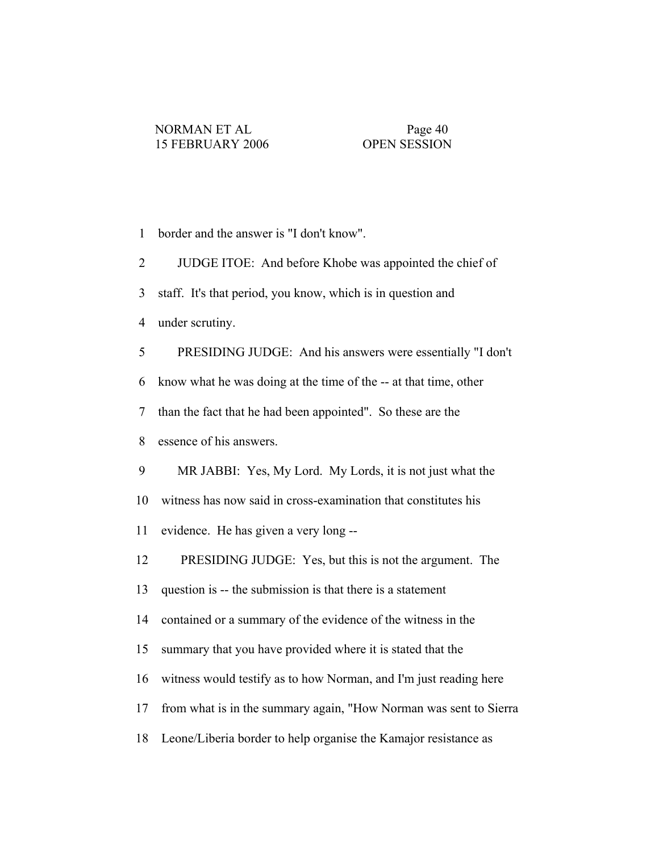- 1 border and the answer is "I don't know".
- 2 JUDGE ITOE: And before Khobe was appointed the chief of
- 3 staff. It's that period, you know, which is in question and
- 4 under scrutiny.
- 5 PRESIDING JUDGE: And his answers were essentially "I don't
- 6 know what he was doing at the time of the -- at that time, other
- 7 than the fact that he had been appointed". So these are the
- 8 essence of his answers.
- 9 MR JABBI: Yes, My Lord. My Lords, it is not just what the
- 10 witness has now said in cross-examination that constitutes his
- 11 evidence. He has given a very long --
- 12 PRESIDING JUDGE: Yes, but this is not the argument. The
- 13 question is -- the submission is that there is a statement
- 14 contained or a summary of the evidence of the witness in the
- 15 summary that you have provided where it is stated that the
- 16 witness would testify as to how Norman, and I'm just reading here
- 17 from what is in the summary again, "How Norman was sent to Sierra
- 18 Leone/Liberia border to help organise the Kamajor resistance as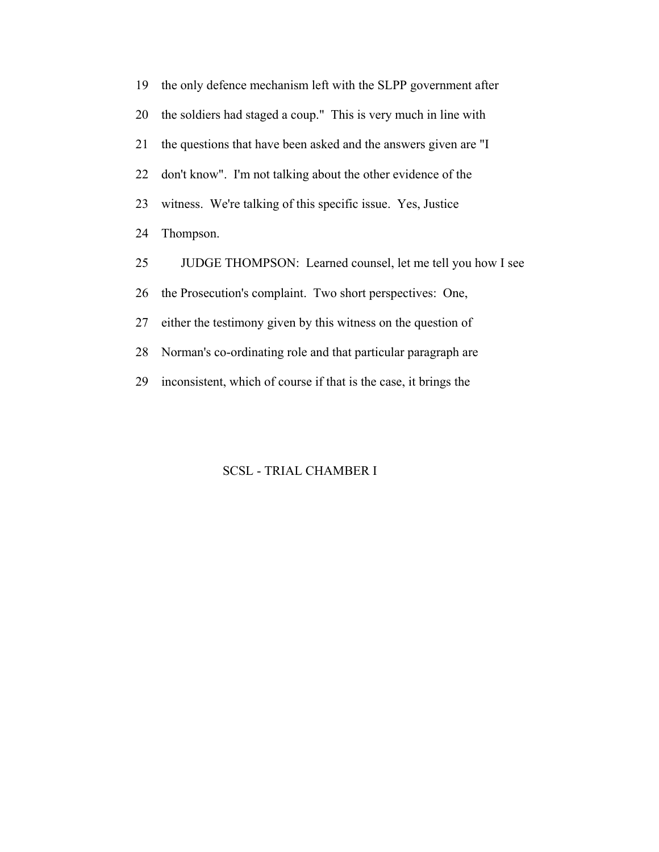19 the only defence mechanism left with the SLPP government after 20 the soldiers had staged a coup." This is very much in line with 21 the questions that have been asked and the answers given are "I 22 don't know". I'm not talking about the other evidence of the 23 witness. We're talking of this specific issue. Yes, Justice 24 Thompson. 25 JUDGE THOMPSON: Learned counsel, let me tell you how I see 26 the Prosecution's complaint. Two short perspectives: One, 27 either the testimony given by this witness on the question of 28 Norman's co-ordinating role and that particular paragraph are 29 inconsistent, which of course if that is the case, it brings the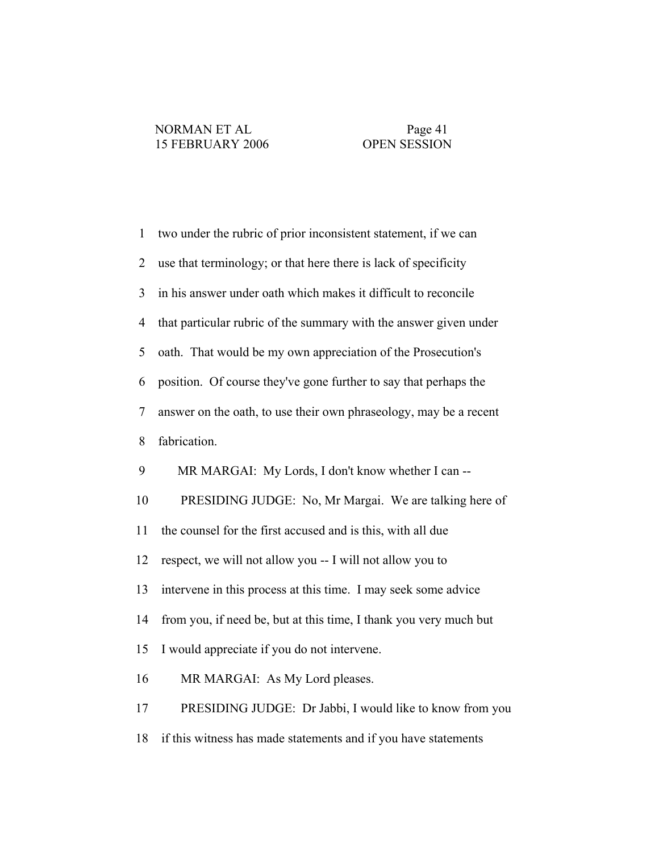| $\mathbf{1}$   | two under the rubric of prior inconsistent statement, if we can   |
|----------------|-------------------------------------------------------------------|
| $\overline{2}$ | use that terminology; or that here there is lack of specificity   |
| 3              | in his answer under oath which makes it difficult to reconcile    |
| $\overline{4}$ | that particular rubric of the summary with the answer given under |
| 5              | oath. That would be my own appreciation of the Prosecution's      |
| 6              | position. Of course they've gone further to say that perhaps the  |
| 7              | answer on the oath, to use their own phraseology, may be a recent |
| 8              | fabrication.                                                      |
| 9              | MR MARGAI: My Lords, I don't know whether I can --                |
| 10             | PRESIDING JUDGE: No, Mr Margai. We are talking here of            |
| 11             | the counsel for the first accused and is this, with all due       |
| 12             | respect, we will not allow you -- I will not allow you to         |
| 13             | intervene in this process at this time. I may seek some advice    |
| 14             | from you, if need be, but at this time, I thank you very much but |
| 15             | I would appreciate if you do not intervene.                       |
| 16             | MR MARGAI: As My Lord pleases.                                    |
| 17             | PRESIDING JUDGE: Dr Jabbi, I would like to know from you          |
| 18             | if this witness has made statements and if you have statements    |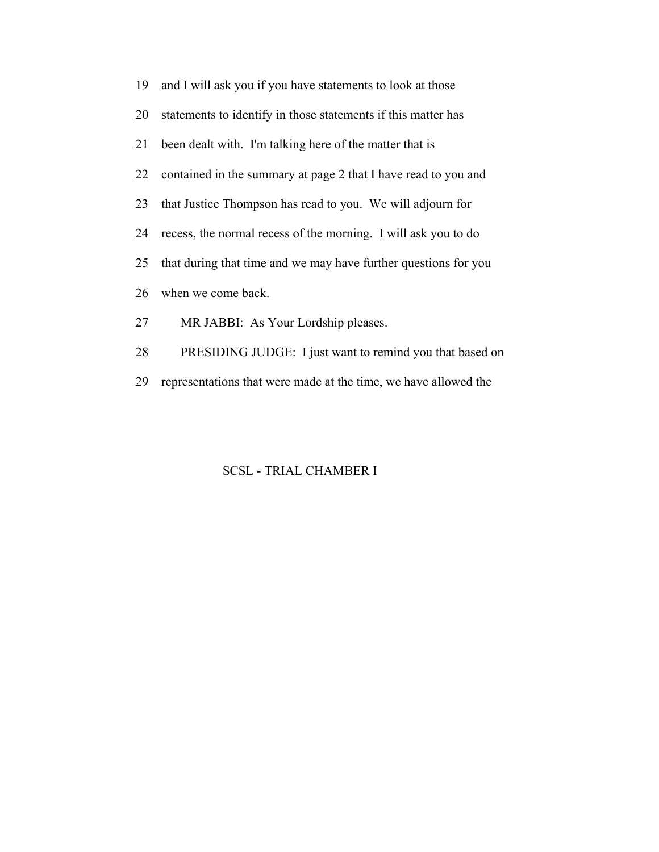| 19 | and I will ask you if you have statements to look at those      |
|----|-----------------------------------------------------------------|
| 20 | statements to identify in those statements if this matter has   |
| 21 | been dealt with. I'm talking here of the matter that is         |
| 22 | contained in the summary at page 2 that I have read to you and  |
| 23 | that Justice Thompson has read to you. We will adjourn for      |
| 24 | recess, the normal recess of the morning. I will ask you to do  |
| 25 | that during that time and we may have further questions for you |
| 26 | when we come back.                                              |
| 27 | MR JABBI: As Your Lordship pleases.                             |
| 28 | PRESIDING JUDGE: I just want to remind you that based on        |

29 representations that were made at the time, we have allowed the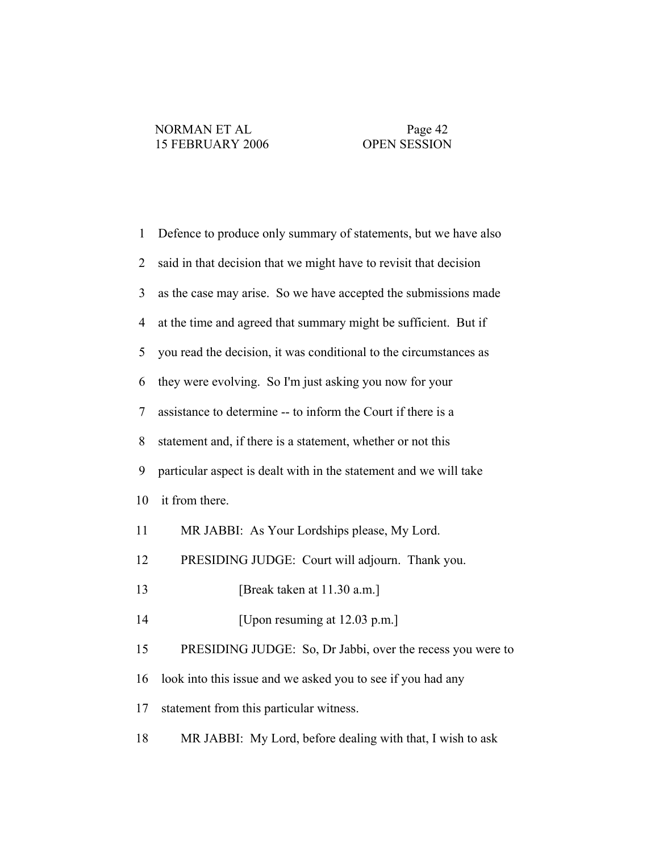| $\mathbf{1}$   | Defence to produce only summary of statements, but we have also   |
|----------------|-------------------------------------------------------------------|
| $\overline{2}$ | said in that decision that we might have to revisit that decision |
| $\overline{3}$ | as the case may arise. So we have accepted the submissions made   |
| $\overline{4}$ | at the time and agreed that summary might be sufficient. But if   |
| 5              | you read the decision, it was conditional to the circumstances as |
| 6              | they were evolving. So I'm just asking you now for your           |
| 7              | assistance to determine -- to inform the Court if there is a      |
| 8              | statement and, if there is a statement, whether or not this       |
| 9              | particular aspect is dealt with in the statement and we will take |
| 10             | it from there.                                                    |
| 11             | MR JABBI: As Your Lordships please, My Lord.                      |
| 12             | PRESIDING JUDGE: Court will adjourn. Thank you.                   |
| 13             | [Break taken at 11.30 a.m.]                                       |
| 14             | [Upon resuming at 12.03 p.m.]                                     |
| 15             | PRESIDING JUDGE: So, Dr Jabbi, over the recess you were to        |
| 16             | look into this issue and we asked you to see if you had any       |
| 17             | statement from this particular witness.                           |
| 18             | MR JABBI: My Lord, before dealing with that, I wish to ask        |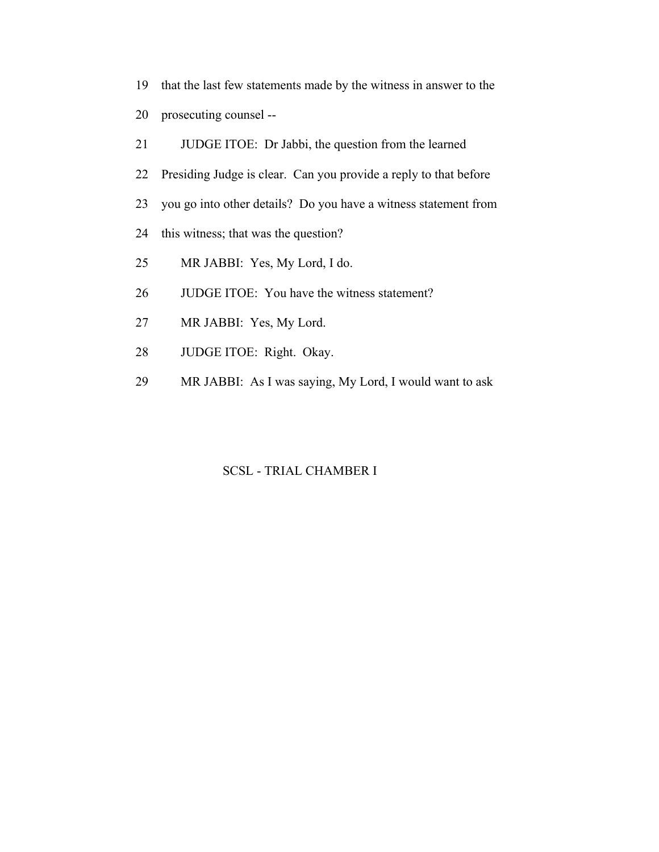- 19 that the last few statements made by the witness in answer to the
- 20 prosecuting counsel --
- 21 JUDGE ITOE: Dr Jabbi, the question from the learned
- 22 Presiding Judge is clear. Can you provide a reply to that before
- 23 you go into other details? Do you have a witness statement from
- 24 this witness; that was the question?
- 25 MR JABBI: Yes, My Lord, I do.
- 26 JUDGE ITOE: You have the witness statement?
- 27 MR JABBI: Yes, My Lord.
- 28 JUDGE ITOE: Right. Okay.
- 29 MR JABBI: As I was saying, My Lord, I would want to ask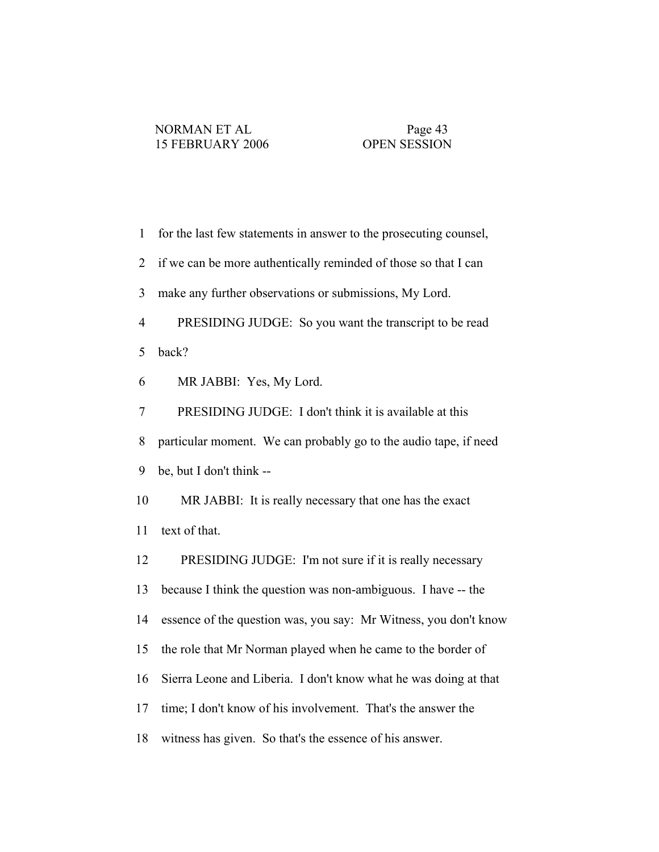| $\mathbf{1}$   | for the last few statements in answer to the prosecuting counsel, |
|----------------|-------------------------------------------------------------------|
| $\overline{2}$ | if we can be more authentically reminded of those so that I can   |
| 3              | make any further observations or submissions, My Lord.            |
| $\overline{4}$ | PRESIDING JUDGE: So you want the transcript to be read            |
| 5              | back?                                                             |
| 6              | MR JABBI: Yes, My Lord.                                           |
| 7              | PRESIDING JUDGE: I don't think it is available at this            |
| 8              | particular moment. We can probably go to the audio tape, if need  |
| 9              | be, but I don't think --                                          |
| 10             | MR JABBI: It is really necessary that one has the exact           |
| 11             | text of that.                                                     |
| 12             | PRESIDING JUDGE: I'm not sure if it is really necessary           |
| 13             | because I think the question was non-ambiguous. I have -- the     |
| 14             | essence of the question was, you say: Mr Witness, you don't know  |
| 15             | the role that Mr Norman played when he came to the border of      |
| 16             | Sierra Leone and Liberia. I don't know what he was doing at that  |
| 17             | time; I don't know of his involvement. That's the answer the      |
| 18             | witness has given. So that's the essence of his answer.           |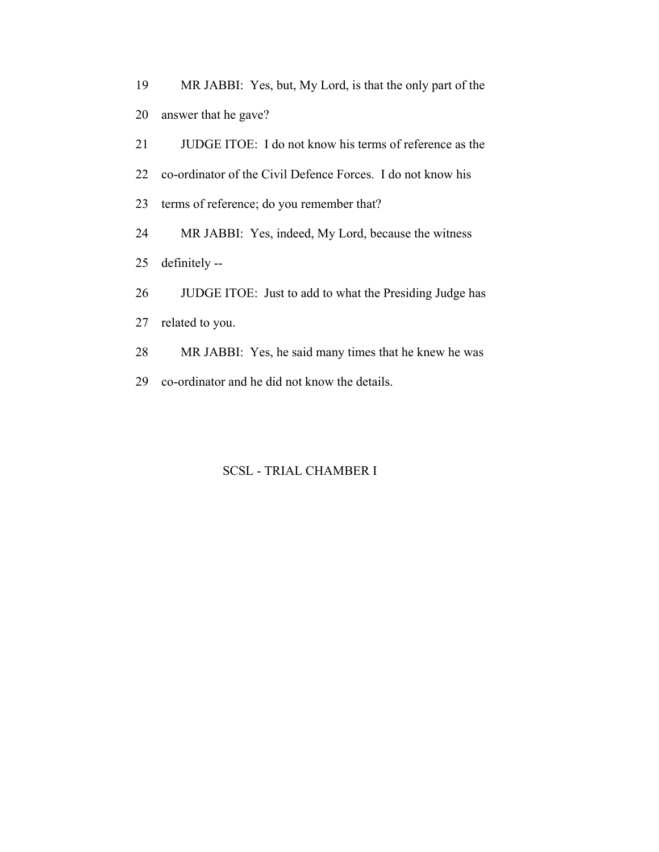19 MR JABBI: Yes, but, My Lord, is that the only part of the 20 answer that he gave?

21 JUDGE ITOE: I do not know his terms of reference as the

22 co-ordinator of the Civil Defence Forces. I do not know his

23 terms of reference; do you remember that?

24 MR JABBI: Yes, indeed, My Lord, because the witness

25 definitely --

26 JUDGE ITOE: Just to add to what the Presiding Judge has

27 related to you.

28 MR JABBI: Yes, he said many times that he knew he was

29 co-ordinator and he did not know the details.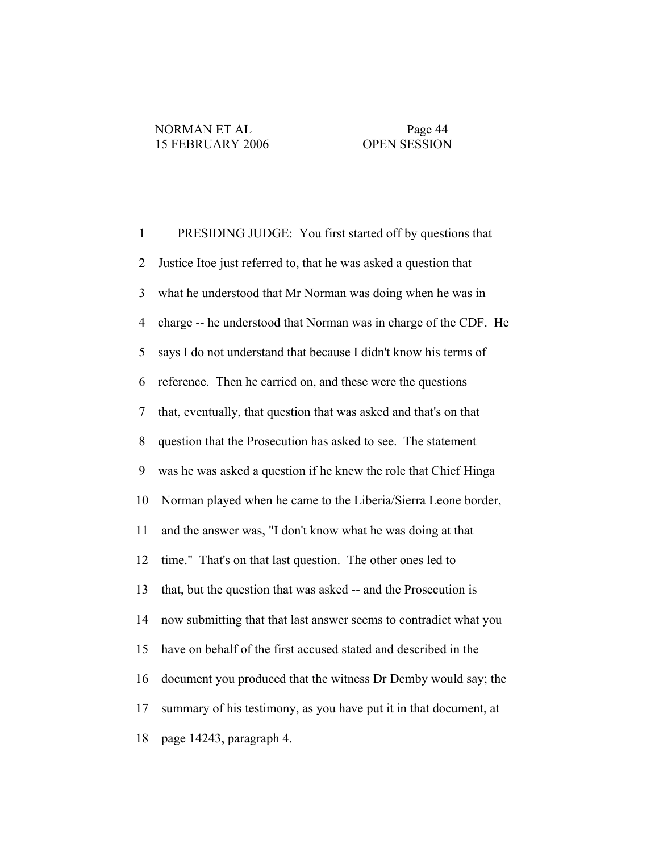1 PRESIDING JUDGE: You first started off by questions that 2 Justice Itoe just referred to, that he was asked a question that 3 what he understood that Mr Norman was doing when he was in 4 charge -- he understood that Norman was in charge of the CDF. He 5 says I do not understand that because I didn't know his terms of 6 reference. Then he carried on, and these were the questions 7 that, eventually, that question that was asked and that's on that 8 question that the Prosecution has asked to see. The statement 9 was he was asked a question if he knew the role that Chief Hinga 10 Norman played when he came to the Liberia/Sierra Leone border, 11 and the answer was, "I don't know what he was doing at that 12 time." That's on that last question. The other ones led to 13 that, but the question that was asked -- and the Prosecution is 14 now submitting that that last answer seems to contradict what you 15 have on behalf of the first accused stated and described in the 16 document you produced that the witness Dr Demby would say; the 17 summary of his testimony, as you have put it in that document, at 18 page 14243, paragraph 4.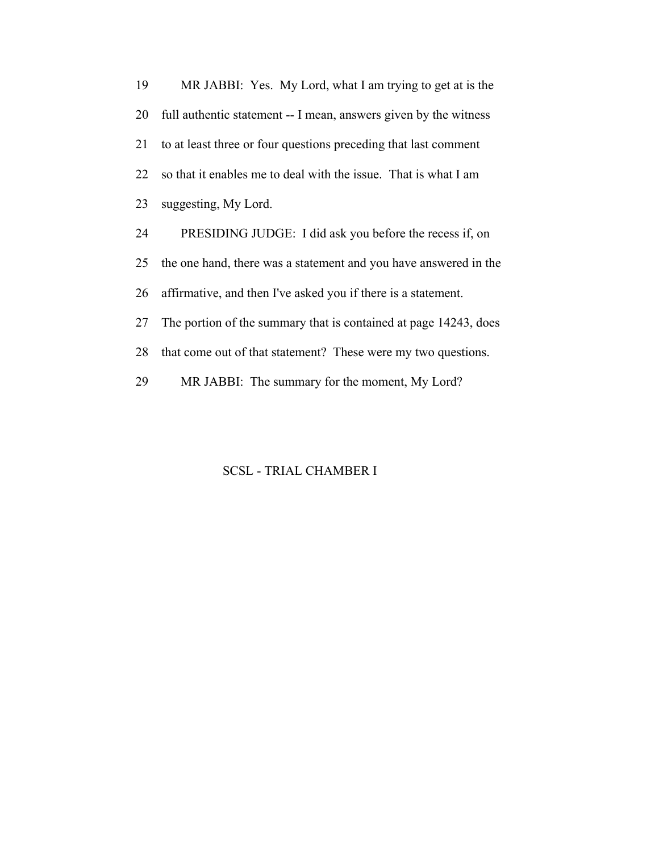19 MR JABBI: Yes. My Lord, what I am trying to get at is the 20 full authentic statement -- I mean, answers given by the witness 21 to at least three or four questions preceding that last comment 22 so that it enables me to deal with the issue. That is what I am 23 suggesting, My Lord. 24 PRESIDING JUDGE: I did ask you before the recess if, on 25 the one hand, there was a statement and you have answered in the 26 affirmative, and then I've asked you if there is a statement.

27 The portion of the summary that is contained at page 14243, does

28 that come out of that statement? These were my two questions.

29 MR JABBI: The summary for the moment, My Lord?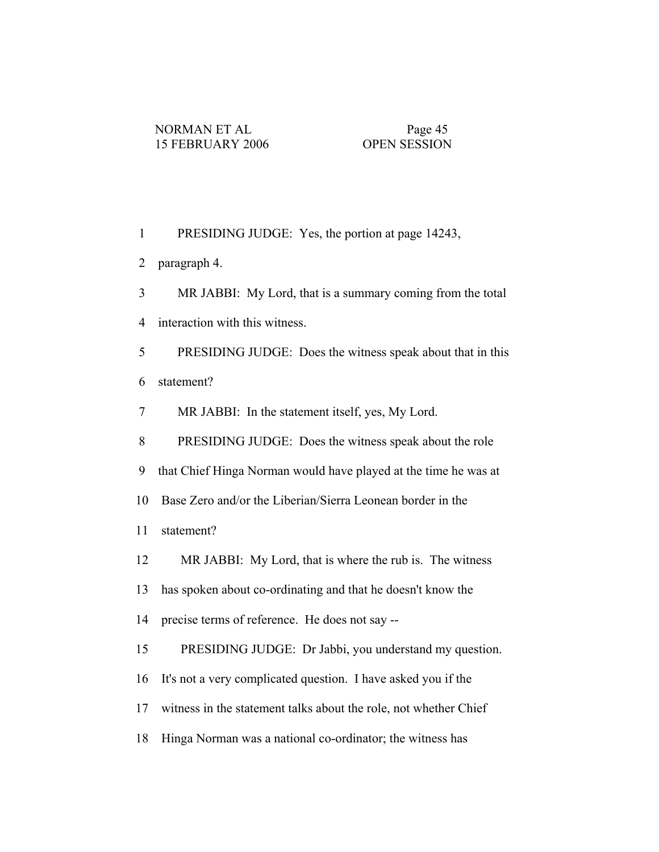| $\mathbf{1}$   | PRESIDING JUDGE: Yes, the portion at page 14243,                 |
|----------------|------------------------------------------------------------------|
| $\overline{2}$ | paragraph 4.                                                     |
| 3              | MR JABBI: My Lord, that is a summary coming from the total       |
| $\overline{4}$ | interaction with this witness.                                   |
| 5              | PRESIDING JUDGE: Does the witness speak about that in this       |
| 6              | statement?                                                       |
| 7              | MR JABBI: In the statement itself, yes, My Lord.                 |
| $8\,$          | PRESIDING JUDGE: Does the witness speak about the role           |
| 9              | that Chief Hinga Norman would have played at the time he was at  |
| 10             | Base Zero and/or the Liberian/Sierra Leonean border in the       |
| 11             | statement?                                                       |
| 12             | MR JABBI: My Lord, that is where the rub is. The witness         |
| 13             | has spoken about co-ordinating and that he doesn't know the      |
| 14             | precise terms of reference. He does not say --                   |
| 15             | PRESIDING JUDGE: Dr Jabbi, you understand my question.           |
| 16             | It's not a very complicated question. I have asked you if the    |
| 17             | witness in the statement talks about the role, not whether Chief |
| 18             | Hinga Norman was a national co-ordinator; the witness has        |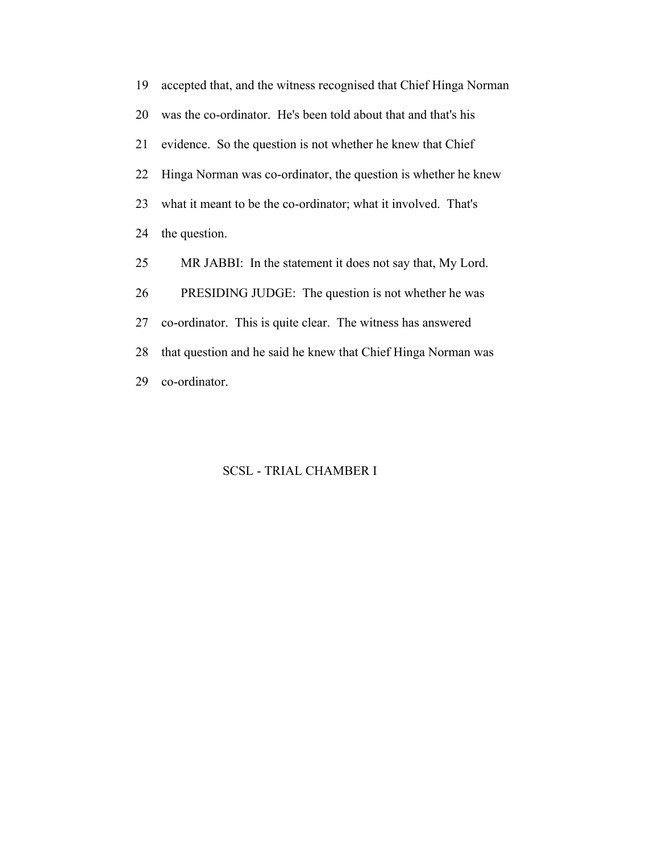19 accepted that, and the witness recognised that Chief Hinga Norman 20 was the co-ordinator. He's been told about that and that's his 21 evidence. So the question is not whether he knew that Chief 22 Hinga Norman was co-ordinator, the question is whether he knew 23 what it meant to be the co-ordinator; what it involved. That's 24 the question. 25 MR JABBI: In the statement it does not say that, My Lord. 26 PRESIDING JUDGE: The question is not whether he was 27 co-ordinator. This is quite clear. The witness has answered 28 that question and he said he knew that Chief Hinga Norman was 29 co-ordinator.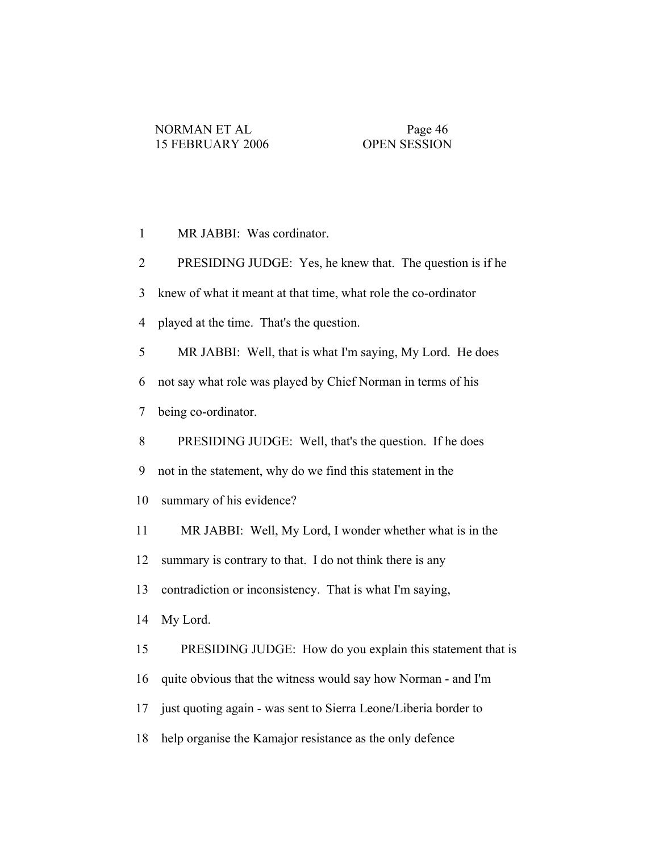| MR JABBI: Was cordinator. |  |
|---------------------------|--|
|---------------------------|--|

2 PRESIDING JUDGE: Yes, he knew that. The question is if he

3 knew of what it meant at that time, what role the co-ordinator

4 played at the time. That's the question.

5 MR JABBI: Well, that is what I'm saying, My Lord. He does

6 not say what role was played by Chief Norman in terms of his

7 being co-ordinator.

8 PRESIDING JUDGE: Well, that's the question. If he does

9 not in the statement, why do we find this statement in the

10 summary of his evidence?

11 MR JABBI: Well, My Lord, I wonder whether what is in the

12 summary is contrary to that. I do not think there is any

13 contradiction or inconsistency. That is what I'm saying,

14 My Lord.

15 PRESIDING JUDGE: How do you explain this statement that is

16 quite obvious that the witness would say how Norman - and I'm

17 just quoting again - was sent to Sierra Leone/Liberia border to

18 help organise the Kamajor resistance as the only defence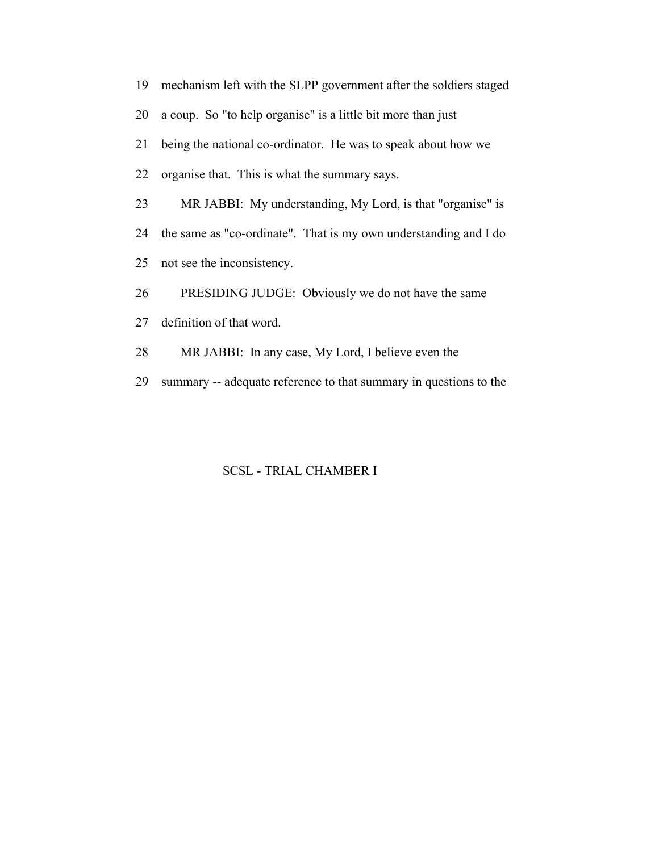| 19 | mechanism left with the SLPP government after the soldiers staged |
|----|-------------------------------------------------------------------|
| 20 | a coup. So "to help organise" is a little bit more than just      |
| 21 | being the national co-ordinator. He was to speak about how we     |
| 22 | organise that. This is what the summary says.                     |
| 23 | MR JABBI: My understanding, My Lord, is that "organise" is        |
| 24 | the same as "co-ordinate". That is my own understanding and I do  |
| 25 | not see the inconsistency.                                        |
| 26 | PRESIDING JUDGE: Obviously we do not have the same                |
| 27 | definition of that word.                                          |
| 28 | MR JABBI: In any case, My Lord, I believe even the                |

29 summary -- adequate reference to that summary in questions to the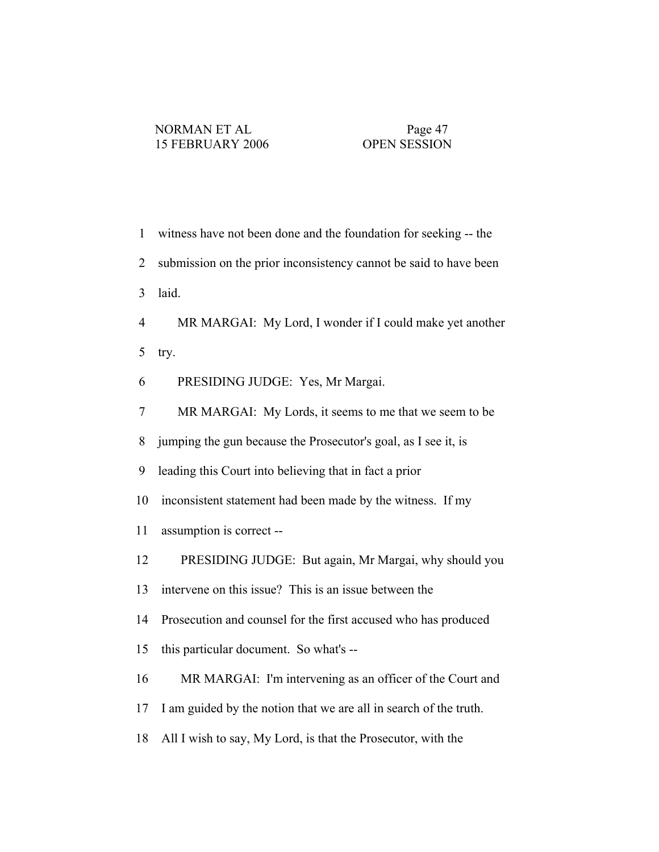| $\mathbf{1}$   | witness have not been done and the foundation for seeking -- the  |
|----------------|-------------------------------------------------------------------|
| $\overline{2}$ | submission on the prior inconsistency cannot be said to have been |
| 3              | laid.                                                             |
| $\overline{4}$ | MR MARGAI: My Lord, I wonder if I could make yet another          |
| 5              | try.                                                              |
| 6              | PRESIDING JUDGE: Yes, Mr Margai.                                  |
| 7              | MR MARGAI: My Lords, it seems to me that we seem to be            |
| 8              | jumping the gun because the Prosecutor's goal, as I see it, is    |
| 9              | leading this Court into believing that in fact a prior            |
| 10             | inconsistent statement had been made by the witness. If my        |
| 11             | assumption is correct--                                           |
| 12             | PRESIDING JUDGE: But again, Mr Margai, why should you             |
| 13             | intervene on this issue? This is an issue between the             |
| 14             | Prosecution and counsel for the first accused who has produced    |
| 15             | this particular document. So what's --                            |
| 16             | MR MARGAI: I'm intervening as an officer of the Court and         |
| 17             | I am guided by the notion that we are all in search of the truth. |
| 18             | All I wish to say, My Lord, is that the Prosecutor, with the      |
|                |                                                                   |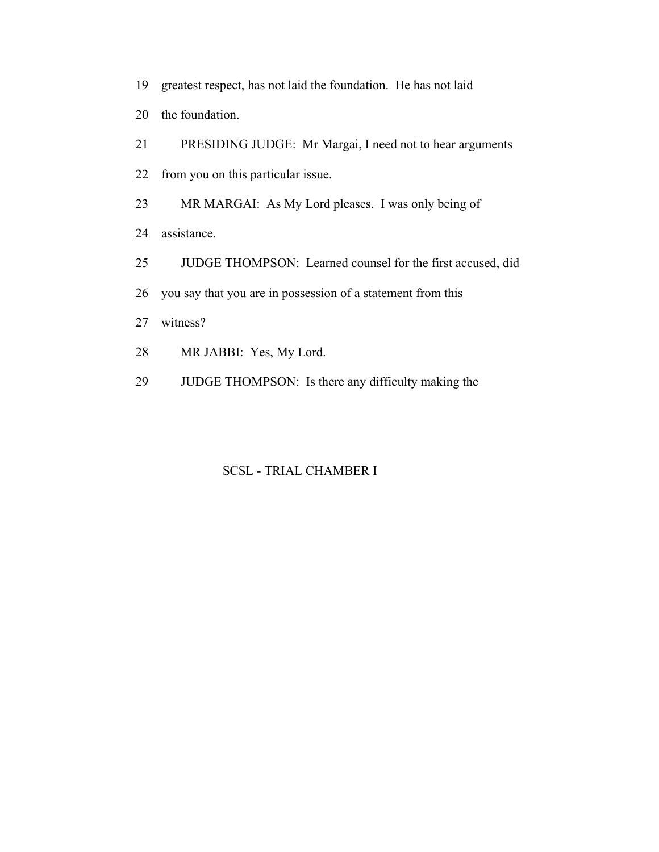- 19 greatest respect, has not laid the foundation. He has not laid
- 20 the foundation.
- 21 PRESIDING JUDGE: Mr Margai, I need not to hear arguments
- 22 from you on this particular issue.
- 23 MR MARGAI: As My Lord pleases. I was only being of
- 24 assistance.
- 25 JUDGE THOMPSON: Learned counsel for the first accused, did
- 26 you say that you are in possession of a statement from this
- 27 witness?
- 28 MR JABBI: Yes, My Lord.
- 29 JUDGE THOMPSON: Is there any difficulty making the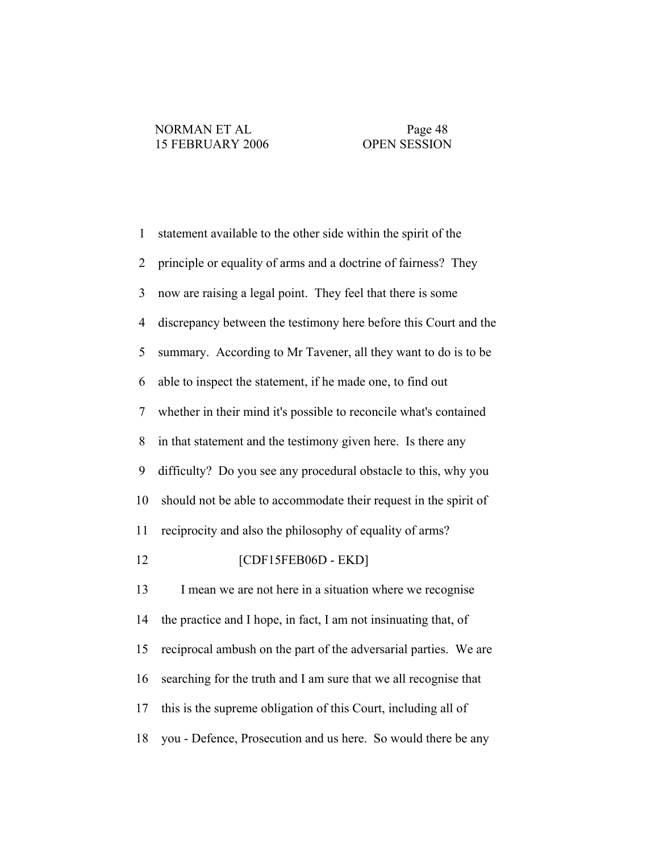1 statement available to the other side within the spirit of the 2 principle or equality of arms and a doctrine of fairness? They 3 now are raising a legal point. They feel that there is some 4 discrepancy between the testimony here before this Court and the 5 summary. According to Mr Tavener, all they want to do is to be 6 able to inspect the statement, if he made one, to find out 7 whether in their mind it's possible to reconcile what's contained 8 in that statement and the testimony given here. Is there any 9 difficulty? Do you see any procedural obstacle to this, why you 10 should not be able to accommodate their request in the spirit of 11 reciprocity and also the philosophy of equality of arms? 12 [CDF15FEB06D - EKD] 13 I mean we are not here in a situation where we recognise 14 the practice and I hope, in fact, I am not insinuating that, of 15 reciprocal ambush on the part of the adversarial parties. We are 16 searching for the truth and I am sure that we all recognise that 17 this is the supreme obligation of this Court, including all of 18 you - Defence, Prosecution and us here. So would there be any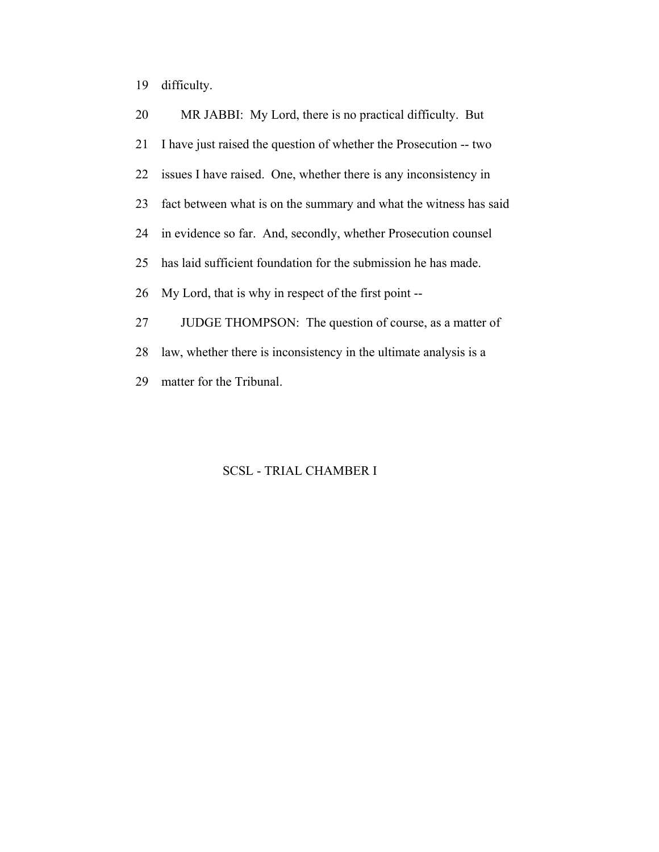19 difficulty.

| 20 | MR JABBI: My Lord, there is no practical difficulty. But          |
|----|-------------------------------------------------------------------|
| 21 | I have just raised the question of whether the Prosecution -- two |
| 22 | issues I have raised. One, whether there is any inconsistency in  |
| 23 | fact between what is on the summary and what the witness has said |
| 24 | in evidence so far. And, secondly, whether Prosecution counsel    |
| 25 | has laid sufficient foundation for the submission he has made.    |
| 26 | My Lord, that is why in respect of the first point --             |
| 27 | JUDGE THOMPSON: The question of course, as a matter of            |
| 28 | law, whether there is inconsistency in the ultimate analysis is a |
| 29 | matter for the Tribunal.                                          |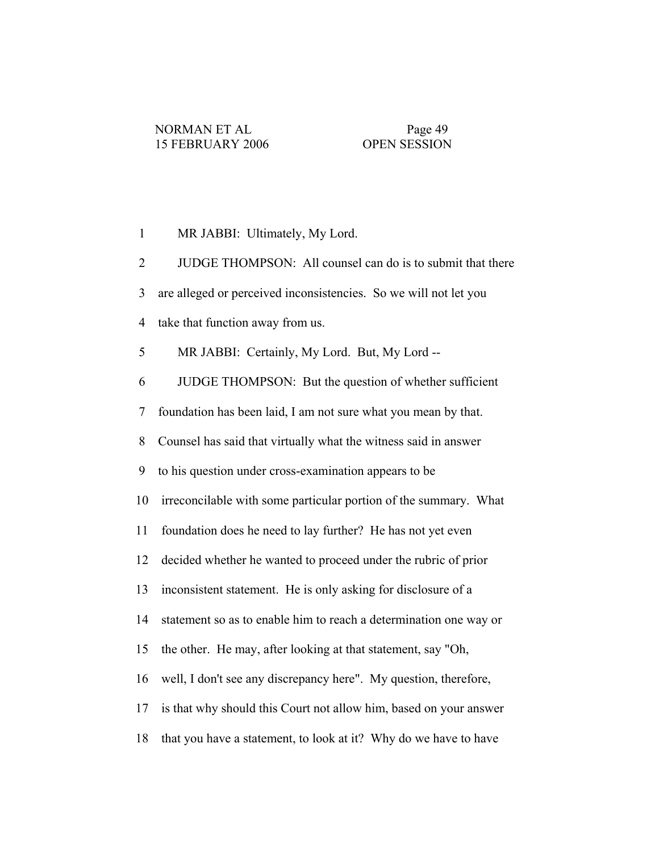1 MR JABBI: Ultimately, My Lord. 2 JUDGE THOMPSON: All counsel can do is to submit that there 3 are alleged or perceived inconsistencies. So we will not let you 4 take that function away from us. 5 MR JABBI: Certainly, My Lord. But, My Lord -- 6 JUDGE THOMPSON: But the question of whether sufficient 7 foundation has been laid, I am not sure what you mean by that. 8 Counsel has said that virtually what the witness said in answer 9 to his question under cross-examination appears to be 10 irreconcilable with some particular portion of the summary. What 11 foundation does he need to lay further? He has not yet even 12 decided whether he wanted to proceed under the rubric of prior 13 inconsistent statement. He is only asking for disclosure of a 14 statement so as to enable him to reach a determination one way or 15 the other. He may, after looking at that statement, say "Oh, 16 well, I don't see any discrepancy here". My question, therefore, 17 is that why should this Court not allow him, based on your answer 18 that you have a statement, to look at it? Why do we have to have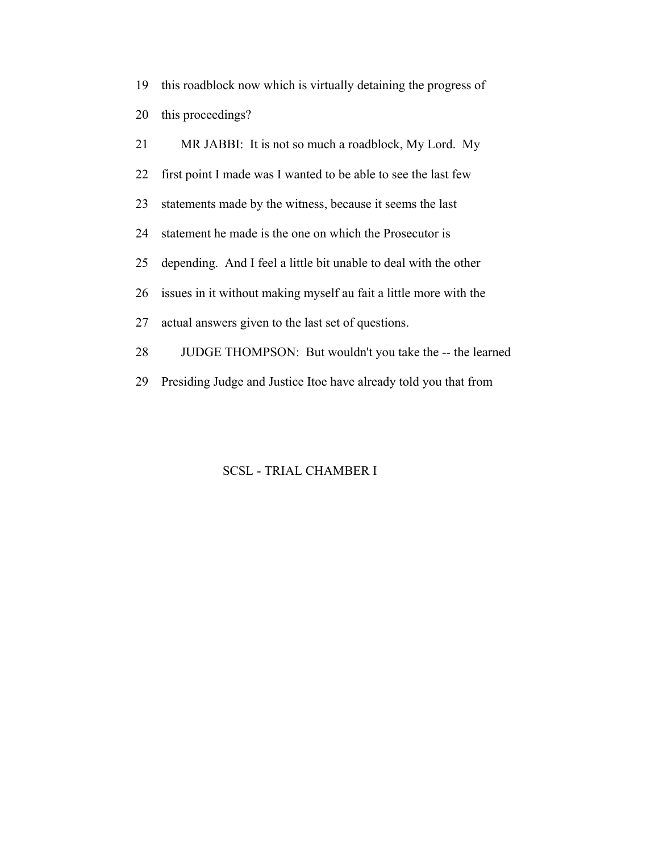19 this roadblock now which is virtually detaining the progress of 20 this proceedings?

 21 MR JABBI: It is not so much a roadblock, My Lord. My 22 first point I made was I wanted to be able to see the last few 23 statements made by the witness, because it seems the last 24 statement he made is the one on which the Prosecutor is 25 depending. And I feel a little bit unable to deal with the other 26 issues in it without making myself au fait a little more with the 27 actual answers given to the last set of questions. 28 JUDGE THOMPSON: But wouldn't you take the -- the learned 29 Presiding Judge and Justice Itoe have already told you that from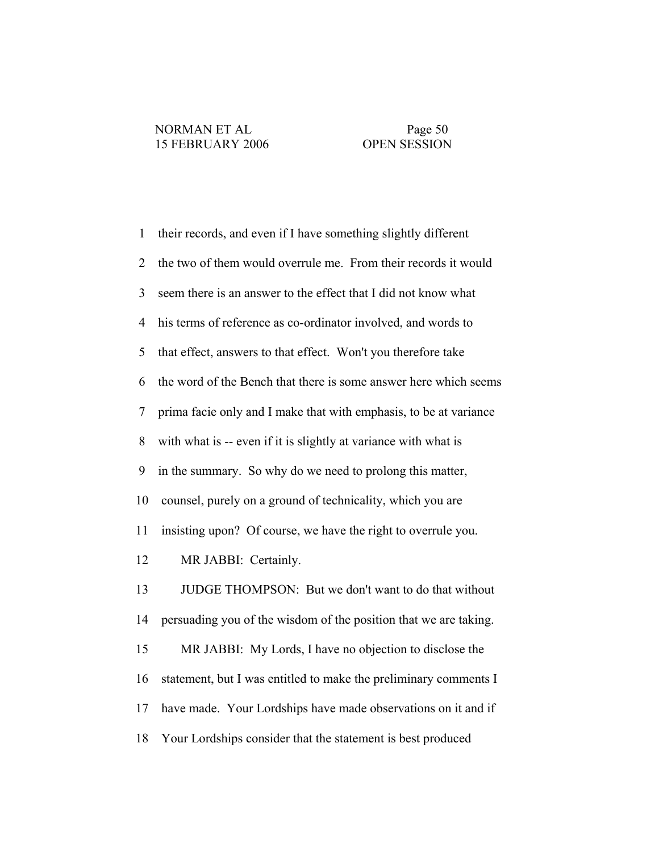1 their records, and even if I have something slightly different 2 the two of them would overrule me. From their records it would 3 seem there is an answer to the effect that I did not know what 4 his terms of reference as co-ordinator involved, and words to 5 that effect, answers to that effect. Won't you therefore take 6 the word of the Bench that there is some answer here which seems 7 prima facie only and I make that with emphasis, to be at variance 8 with what is -- even if it is slightly at variance with what is 9 in the summary. So why do we need to prolong this matter, 10 counsel, purely on a ground of technicality, which you are 11 insisting upon? Of course, we have the right to overrule you. 12 MR JABBI: Certainly. 13 JUDGE THOMPSON: But we don't want to do that without 14 persuading you of the wisdom of the position that we are taking. 15 MR JABBI: My Lords, I have no objection to disclose the 16 statement, but I was entitled to make the preliminary comments I 17 have made. Your Lordships have made observations on it and if 18 Your Lordships consider that the statement is best produced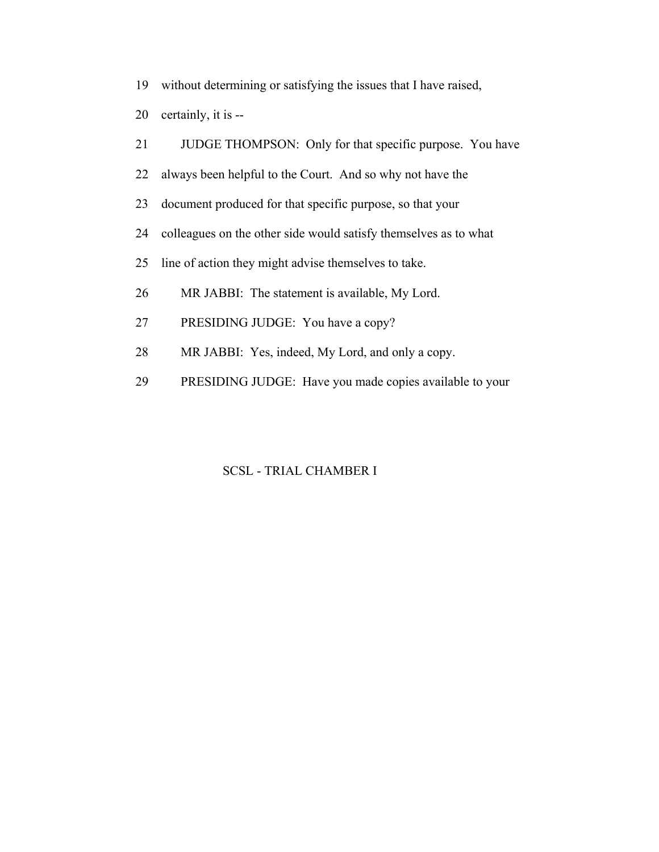- 19 without determining or satisfying the issues that I have raised,
- 20 certainly, it is --
- 21 JUDGE THOMPSON: Only for that specific purpose. You have
- 22 always been helpful to the Court. And so why not have the
- 23 document produced for that specific purpose, so that your
- 24 colleagues on the other side would satisfy themselves as to what
- 25 line of action they might advise themselves to take.
- 26 MR JABBI: The statement is available, My Lord.
- 27 PRESIDING JUDGE: You have a copy?
- 28 MR JABBI: Yes, indeed, My Lord, and only a copy.
- 29 PRESIDING JUDGE: Have you made copies available to your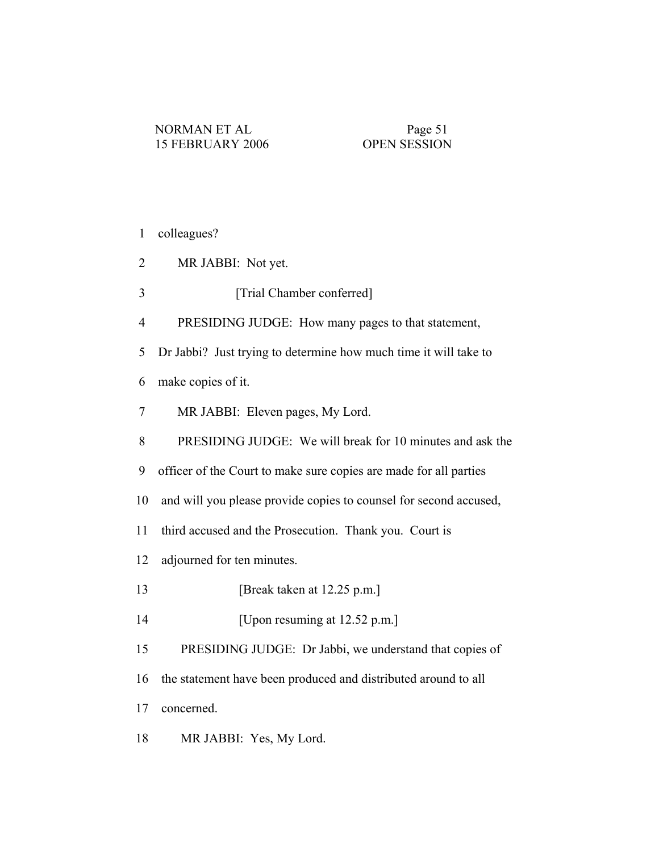1 colleagues?

- 2 MR JABBI: Not yet.
- 3 [Trial Chamber conferred]
- 4 PRESIDING JUDGE: How many pages to that statement,

5 Dr Jabbi? Just trying to determine how much time it will take to

- 6 make copies of it.
- 7 MR JABBI: Eleven pages, My Lord.
- 8 PRESIDING JUDGE: We will break for 10 minutes and ask the
- 9 officer of the Court to make sure copies are made for all parties
- 10 and will you please provide copies to counsel for second accused,
- 11 third accused and the Prosecution. Thank you. Court is
- 12 adjourned for ten minutes.
- 13 **[Break taken at 12.25 p.m.]**
- 14 [Upon resuming at 12.52 p.m.]
- 15 PRESIDING JUDGE: Dr Jabbi, we understand that copies of
- 16 the statement have been produced and distributed around to all
- 17 concerned.
- 18 MR JABBI: Yes, My Lord.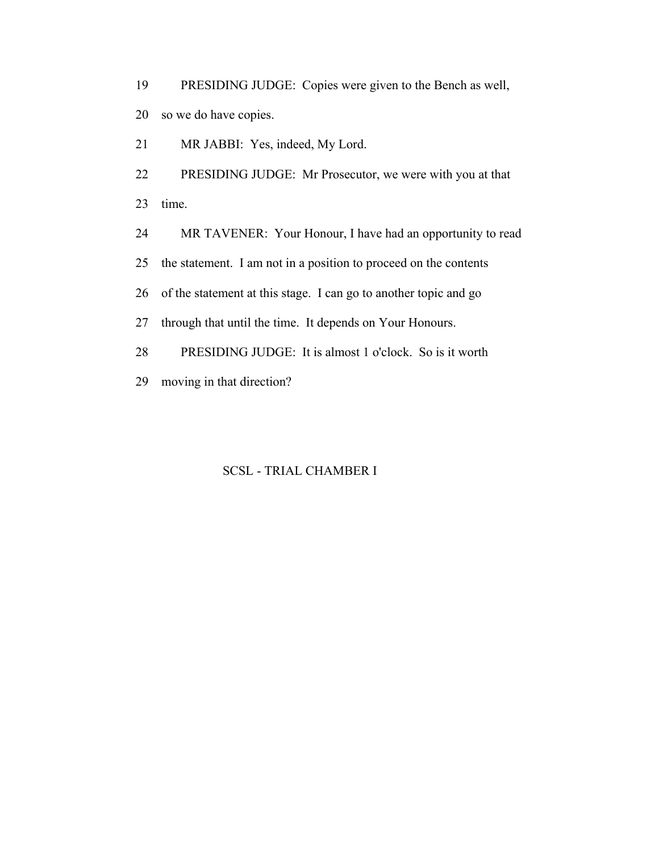19 PRESIDING JUDGE: Copies were given to the Bench as well, 20 so we do have copies.

21 MR JABBI: Yes, indeed, My Lord.

 22 PRESIDING JUDGE: Mr Prosecutor, we were with you at that 23 time.

24 MR TAVENER: Your Honour, I have had an opportunity to read

25 the statement. I am not in a position to proceed on the contents

26 of the statement at this stage. I can go to another topic and go

27 through that until the time. It depends on Your Honours.

28 PRESIDING JUDGE: It is almost 1 o'clock. So is it worth

29 moving in that direction?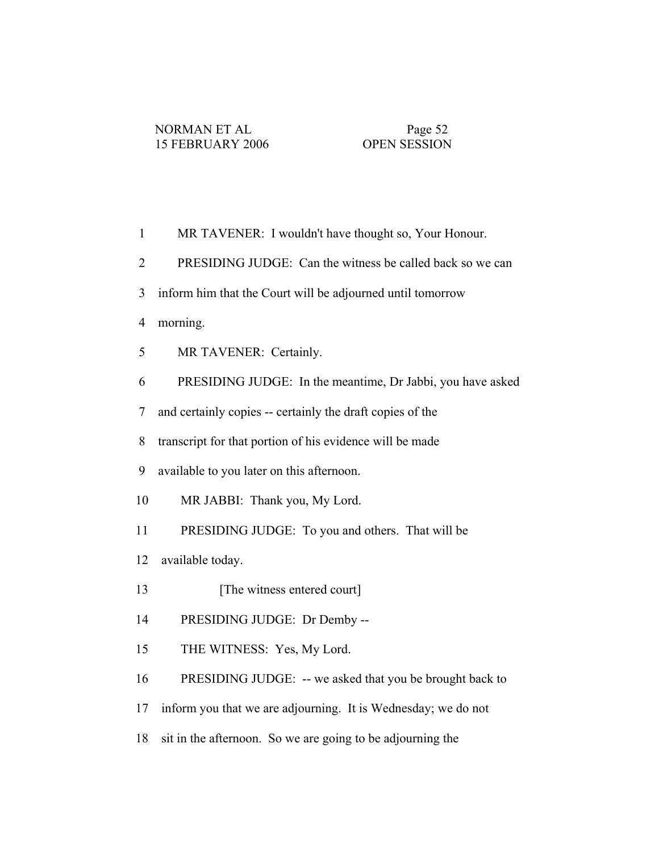| $\mathbf{1}$             | MR TAVENER: I wouldn't have thought so, Your Honour.          |
|--------------------------|---------------------------------------------------------------|
| $\overline{2}$           | PRESIDING JUDGE: Can the witness be called back so we can     |
| $\overline{3}$           | inform him that the Court will be adjourned until tomorrow    |
| $\overline{4}$           | morning.                                                      |
| 5                        | MR TAVENER: Certainly.                                        |
| 6                        | PRESIDING JUDGE: In the meantime, Dr Jabbi, you have asked    |
| $\overline{\mathcal{L}}$ | and certainly copies -- certainly the draft copies of the     |
| 8                        | transcript for that portion of his evidence will be made      |
| 9                        | available to you later on this afternoon.                     |
| 10                       | MR JABBI: Thank you, My Lord.                                 |
| 11                       | PRESIDING JUDGE: To you and others. That will be              |
| 12                       | available today.                                              |
| 13                       | [The witness entered court]                                   |
| 14                       | PRESIDING JUDGE: Dr Demby --                                  |
| 15                       | THE WITNESS: Yes, My Lord.                                    |
| 16                       | PRESIDING JUDGE: -- we asked that you be brought back to      |
| 17                       | inform you that we are adjourning. It is Wednesday; we do not |
| 18                       | sit in the afternoon. So we are going to be adjourning the    |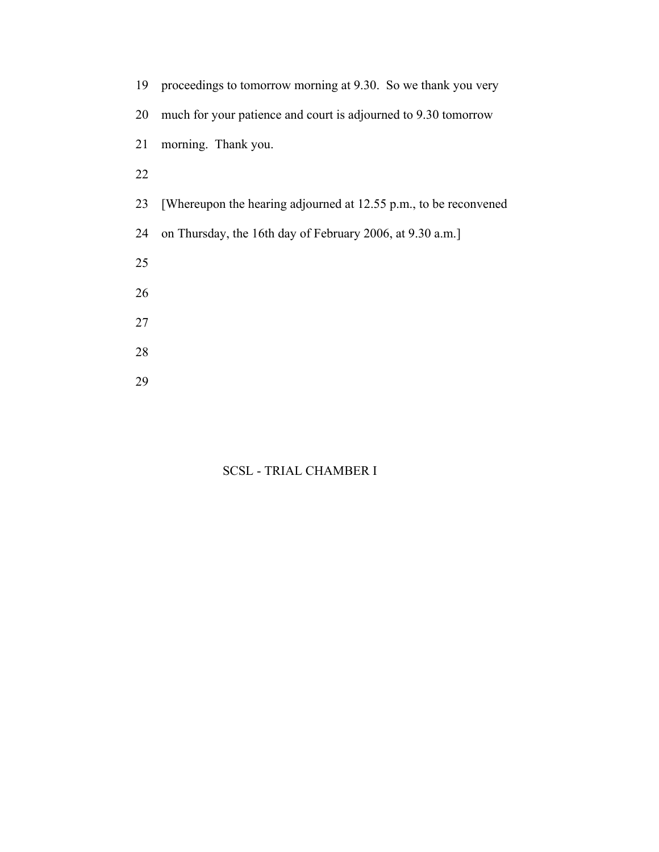| 19 | proceedings to tomorrow morning at 9.30. So we thank you very    |
|----|------------------------------------------------------------------|
| 20 | much for your patience and court is adjourned to 9.30 tomorrow   |
| 21 | morning. Thank you.                                              |
| 22 |                                                                  |
| 23 | [Whereupon the hearing adjourned at 12.55 p.m., to be reconvened |
| 24 | on Thursday, the 16th day of February 2006, at 9.30 a.m.]        |
| 25 |                                                                  |
| 26 |                                                                  |
| 27 |                                                                  |
| 28 |                                                                  |
| 29 |                                                                  |